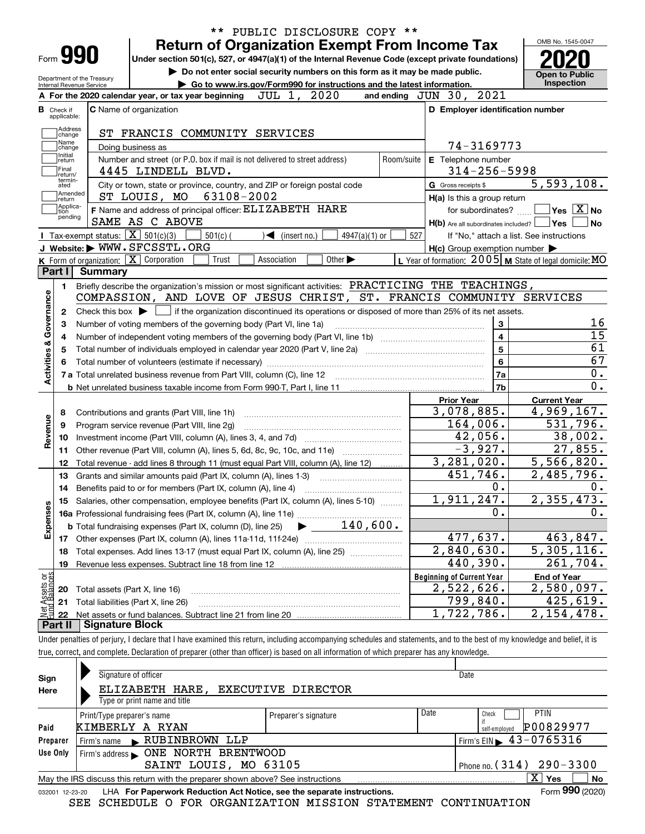| Form 990<br>Department of the Treasury | PUBLIC DISCLOSURE COPY **<br><b>Return of Organization Exempt From Income Tax</b><br>Under section 501(c), 527, or 4947(a)(1) of the Internal Revenue Code (except private foundations)<br>Do not enter social security numbers on this form as it may be made public. |                           |                                                           | OMB No. 1545-0047<br><b>Open to Public</b> |
|----------------------------------------|------------------------------------------------------------------------------------------------------------------------------------------------------------------------------------------------------------------------------------------------------------------------|---------------------------|-----------------------------------------------------------|--------------------------------------------|
| <b>Internal Revenue Service</b>        | Go to www.irs.gov/Form990 for instructions and the latest information.                                                                                                                                                                                                 |                           |                                                           | Inspection                                 |
|                                        | 2020<br>JUL 1,<br>A For the 2020 calendar year, or tax year beginning                                                                                                                                                                                                  |                           | and ending JUN 30, 2021                                   |                                            |
| <b>B</b> Check if<br>applicable:       | <b>C</b> Name of organization                                                                                                                                                                                                                                          |                           | D Employer identification number                          |                                            |
| Address                                | ST FRANCIS COMMUNITY SERVICES                                                                                                                                                                                                                                          |                           |                                                           |                                            |
| change<br>Name                         |                                                                                                                                                                                                                                                                        |                           | 74-3169773                                                |                                            |
| change<br>Initial                      | Doing business as                                                                                                                                                                                                                                                      |                           |                                                           |                                            |
| return<br> Final                       | Number and street (or P.O. box if mail is not delivered to street address)<br>4445 LINDELL BLVD.                                                                                                                                                                       | Room/suite                | E Telephone number<br>$314 - 256 - 5998$                  |                                            |
| return/<br>termin-<br>ated             | City or town, state or province, country, and ZIP or foreign postal code                                                                                                                                                                                               |                           | G Gross receipts \$                                       | 5,593,108.                                 |
| Amended                                | 63108-2002<br>ST LOUIS, MO                                                                                                                                                                                                                                             |                           | $H(a)$ is this a group return                             |                                            |
| return<br> Applica-<br>tion            | F Name and address of principal officer: ELIZABETH HARE                                                                                                                                                                                                                |                           | for subordinates?                                         | $\sqrt{}$ Yes $\sqrt{}$ X $\sqrt{}$ No     |
| pending                                | SAME AS C ABOVE                                                                                                                                                                                                                                                        |                           | $H(b)$ Are all subordinates included? $\Box$ Yes          |                                            |
|                                        | Tax-exempt status: $\boxed{\mathbf{X}}$ 501(c)(3)<br>$501(c)$ (<br>$\triangleleft$ (insert no.)                                                                                                                                                                        | $4947(a)(1)$ or<br>527    |                                                           | If "No," attach a list. See instructions   |
|                                        | J Website: WWW.SFCSSTL.ORG                                                                                                                                                                                                                                             |                           | $H(c)$ Group exemption number $\blacktriangleright$       |                                            |
|                                        | $K$ Form of organization: $X$ Corporation<br>Other $\blacktriangleright$<br>Trust<br>Association                                                                                                                                                                       |                           | L Year of formation: $2005$ M State of legal domicile: MO |                                            |
| Part I                                 | <b>Summary</b>                                                                                                                                                                                                                                                         |                           |                                                           |                                            |
| 1.                                     | Briefly describe the organization's mission or most significant activities: PRACTICING THE TEACHINGS,                                                                                                                                                                  |                           |                                                           |                                            |
|                                        | COMPASSION, AND LOVE OF JESUS CHRIST, ST. FRANCIS COMMUNITY SERVICES                                                                                                                                                                                                   |                           |                                                           |                                            |
| 2                                      | Check this box $\blacktriangleright$ $\Box$ if the organization discontinued its operations or disposed of more than 25% of its net assets.                                                                                                                            |                           |                                                           |                                            |
| З                                      | Number of voting members of the governing body (Part VI, line 1a)                                                                                                                                                                                                      |                           | 3                                                         |                                            |
| 4                                      |                                                                                                                                                                                                                                                                        |                           | 4                                                         |                                            |
| 5                                      | 5                                                                                                                                                                                                                                                                      |                           |                                                           |                                            |
|                                        |                                                                                                                                                                                                                                                                        |                           | 6                                                         |                                            |
| Activities & Governance                |                                                                                                                                                                                                                                                                        |                           | 7a                                                        |                                            |
|                                        |                                                                                                                                                                                                                                                                        |                           | 7b                                                        |                                            |
|                                        |                                                                                                                                                                                                                                                                        |                           | <b>Prior Year</b>                                         | <b>Current Year</b>                        |
| 8                                      | Contributions and grants (Part VIII, line 1h)                                                                                                                                                                                                                          |                           | 3,078,885.                                                | 4,969,167.                                 |
| Revenue<br>9                           | Program service revenue (Part VIII, line 2g)                                                                                                                                                                                                                           |                           | 164,006.<br>42,056.                                       | 531,796.                                   |
| 10                                     |                                                                                                                                                                                                                                                                        |                           | $-3,927.$                                                 | 38,002.<br>27,855.                         |
| 11                                     | Other revenue (Part VIII, column (A), lines 5, 6d, 8c, 9c, 10c, and 11e)                                                                                                                                                                                               |                           | 3,281,020.                                                | 5,566,820.                                 |
| 12                                     | Total revenue - add lines 8 through 11 (must equal Part VIII, column (A), line 12)                                                                                                                                                                                     |                           | 451,746.                                                  | $\overline{2,485}$ , 796.                  |
| 13                                     | Grants and similar amounts paid (Part IX, column (A), lines 1-3)                                                                                                                                                                                                       |                           | 0.                                                        |                                            |
| 14                                     | 15 Salaries, other compensation, employee benefits (Part IX, column (A), lines 5-10)                                                                                                                                                                                   |                           | 1,911,247.                                                | 2,355,473.                                 |
| Expenses                               |                                                                                                                                                                                                                                                                        |                           | 0.                                                        |                                            |
|                                        | $140,600$ .<br><b>b</b> Total fundraising expenses (Part IX, column (D), line 25)                                                                                                                                                                                      |                           |                                                           |                                            |
| 17                                     |                                                                                                                                                                                                                                                                        |                           | 477,637.                                                  | 463,847.                                   |
| 18                                     | Total expenses. Add lines 13-17 (must equal Part IX, column (A), line 25)                                                                                                                                                                                              | $\overline{2,840}$ , 630. | 5,305,116.                                                |                                            |
| 19                                     | Revenue less expenses. Subtract line 18 from line 12                                                                                                                                                                                                                   |                           | 440,390.                                                  | 261,704.                                   |
|                                        |                                                                                                                                                                                                                                                                        |                           | <b>Beginning of Current Year</b>                          | <b>End of Year</b>                         |
| t Assets or<br>d Balances<br>20        | Total assets (Part X, line 16)                                                                                                                                                                                                                                         |                           | 2,522,626.                                                | 2,580,097.                                 |
| 21                                     | Total liabilities (Part X, line 26)                                                                                                                                                                                                                                    |                           | 799,840.                                                  | 425,619.                                   |
| -22                                    |                                                                                                                                                                                                                                                                        |                           | 1,722,786.                                                | 2, 154, 478.                               |
| Part II                                | <b>Signature Block</b>                                                                                                                                                                                                                                                 |                           |                                                           |                                            |

true, correct, and complete. Declaration of preparer (other than officer) is based on all information of which preparer has any knowledge.

| Sign            | Signature of officer                                                                                          |                      |      | Date                                            |  |  |  |  |  |  |  |
|-----------------|---------------------------------------------------------------------------------------------------------------|----------------------|------|-------------------------------------------------|--|--|--|--|--|--|--|
| Here            | ELIZABETH HARE, EXECUTIVE DIRECTOR<br>Type or print name and title                                            |                      |      |                                                 |  |  |  |  |  |  |  |
|                 | Print/Type preparer's name                                                                                    | Preparer's signature | Date | <b>PTIN</b><br>Check                            |  |  |  |  |  |  |  |
| Paid            | KIMBERLY A RYAN                                                                                               |                      |      | P00829977<br>self-emploved                      |  |  |  |  |  |  |  |
| Preparer        | Firm's name RUBINBROWN<br>LLP                                                                                 |                      |      | $1$ Firm's EIN $\blacktriangleright$ 43-0765316 |  |  |  |  |  |  |  |
| Use Only        | Firm's address <b>ONE NORTH BRENTWOOD</b>                                                                     |                      |      |                                                 |  |  |  |  |  |  |  |
|                 | Phone no. $(314)$ 290 - 3300<br>SAINT LOUIS, MO 63105                                                         |                      |      |                                                 |  |  |  |  |  |  |  |
|                 | $X \mid Y$ es<br><b>No</b><br>May the IRS discuss this return with the preparer shown above? See instructions |                      |      |                                                 |  |  |  |  |  |  |  |
| 032001 12-23-20 | LHA For Paperwork Reduction Act Notice, see the separate instructions.                                        |                      |      | Form 990 (2020)                                 |  |  |  |  |  |  |  |
|                 | COURDIII R. O ROB ODCANTRAMIONI MICCIONI CMAMEMENIM CONMINIIAMIONI<br>C D D L                                 |                      |      |                                                 |  |  |  |  |  |  |  |

SEE SCHEDULE O FOR ORGANIZATION MISSION STATEMENT CONTINUATION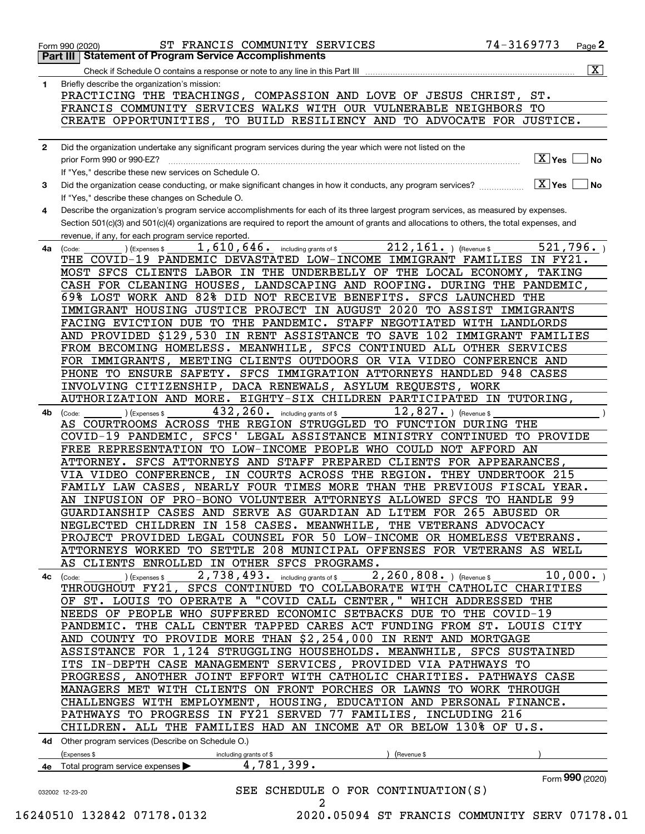|              | ST FRANCIS COMMUNITY SERVICES<br>Form 990 (2020)                                                                                             | 74-3169773                          | Page $2$                |
|--------------|----------------------------------------------------------------------------------------------------------------------------------------------|-------------------------------------|-------------------------|
|              | <b>Part III   Statement of Program Service Accomplishments</b>                                                                               |                                     | $\overline{\mathbf{x}}$ |
|              |                                                                                                                                              |                                     |                         |
| 1.           | Briefly describe the organization's mission:                                                                                                 |                                     |                         |
|              | PRACTICING THE TEACHINGS, COMPASSION AND LOVE OF JESUS CHRIST, ST.                                                                           |                                     |                         |
|              | FRANCIS COMMUNITY SERVICES WALKS WITH OUR VULNERABLE NEIGHBORS TO                                                                            |                                     |                         |
|              | CREATE OPPORTUNITIES, TO BUILD RESILIENCY AND TO ADVOCATE FOR JUSTICE.                                                                       |                                     |                         |
| $\mathbf{2}$ | Did the organization undertake any significant program services during the year which were not listed on the                                 |                                     |                         |
|              | prior Form 990 or 990-EZ?                                                                                                                    | $\boxed{\text{X}}$ Yes $\boxed{\ }$ | No                      |
|              | If "Yes," describe these new services on Schedule O.                                                                                         |                                     |                         |
| 3            | Did the organization cease conducting, or make significant changes in how it conducts, any program services?                                 | $X$ Yes $\Box$ No                   |                         |
|              | If "Yes," describe these changes on Schedule O.                                                                                              |                                     |                         |
| 4            | Describe the organization's program service accomplishments for each of its three largest program services, as measured by expenses.         |                                     |                         |
|              | Section 501(c)(3) and 501(c)(4) organizations are required to report the amount of grants and allocations to others, the total expenses, and |                                     |                         |
|              | revenue, if any, for each program service reported.                                                                                          |                                     |                         |
| 4a           | $212, 161.$ (Revenue \$<br>1,610,646. including grants of \$<br>(Expenses \$<br>(Code:                                                       |                                     | 521,796.                |
|              | THE COVID-19 PANDEMIC DEVASTATED LOW-INCOME IMMIGRANT FAMILIES IN FY21.                                                                      |                                     |                         |
|              | MOST SFCS CLIENTS LABOR IN THE UNDERBELLY OF THE LOCAL ECONOMY, TAKING                                                                       |                                     |                         |
|              | CASH FOR CLEANING HOUSES, LANDSCAPING AND ROOFING. DURING THE PANDEMIC,                                                                      |                                     |                         |
|              | 69% LOST WORK AND 82% DID NOT RECEIVE BENEFITS. SFCS LAUNCHED THE                                                                            |                                     |                         |
|              | IMMIGRANT HOUSING JUSTICE PROJECT IN AUGUST 2020 TO ASSIST IMMIGRANTS                                                                        |                                     |                         |
|              | FACING EVICTION DUE TO THE PANDEMIC. STAFF NEGOTIATED WITH LANDLORDS                                                                         |                                     |                         |
|              | AND PROVIDED \$129,530 IN RENT ASSISTANCE TO SAVE 102 IMMIGRANT FAMILIES                                                                     |                                     |                         |
|              | FROM BECOMING HOMELESS. MEANWHILE, SFCS CONTINUED ALL OTHER SERVICES                                                                         |                                     |                         |
|              | FOR IMMIGRANTS, MEETING CLIENTS OUTDOORS OR VIA VIDEO CONFERENCE AND                                                                         |                                     |                         |
|              | PHONE TO ENSURE SAFETY. SFCS IMMIGRATION ATTORNEYS HANDLED 948 CASES                                                                         |                                     |                         |
|              | INVOLVING CITIZENSHIP, DACA RENEWALS, ASYLUM REQUESTS, WORK                                                                                  |                                     |                         |
|              | AUTHORIZATION AND MORE. EIGHTY-SIX CHILDREN PARTICIPATED IN TUTORING,                                                                        |                                     |                         |
|              | 432, 260. including grants of \$<br>$12,827.$ (Revenue \$                                                                                    |                                     |                         |
| 4b           | ) (Expenses \$<br>(Code:<br>AS COURTROOMS ACROSS THE REGION STRUGGLED TO FUNCTION DURING THE                                                 |                                     |                         |
|              | COVID-19 PANDEMIC, SFCS' LEGAL ASSISTANCE MINISTRY CONTINUED TO PROVIDE                                                                      |                                     |                         |
|              | FREE REPRESENTATION TO LOW-INCOME PEOPLE WHO COULD NOT AFFORD AN                                                                             |                                     |                         |
|              | ATTORNEY. SFCS ATTORNEYS AND STAFF PREPARED CLIENTS FOR APPEARANCES,                                                                         |                                     |                         |
|              | VIA VIDEO CONFERENCE, IN COURTS ACROSS THE REGION. THEY UNDERTOOK 215                                                                        |                                     |                         |
|              | FAMILY LAW CASES, NEARLY FOUR TIMES MORE THAN THE PREVIOUS FISCAL YEAR.                                                                      |                                     |                         |
|              | AN INFUSION OF PRO-BONO VOLUNTEER ATTORNEYS ALLOWED SFCS TO HANDLE 99                                                                        |                                     |                         |
|              | GUARDIANSHIP CASES AND SERVE AS GUARDIAN AD LITEM FOR 265 ABUSED OR                                                                          |                                     |                         |
|              |                                                                                                                                              |                                     |                         |
|              | NEGLECTED CHILDREN IN 158 CASES. MEANWHILE, THE VETERANS ADVOCACY                                                                            |                                     |                         |
|              | PROJECT PROVIDED LEGAL COUNSEL FOR 50 LOW-INCOME OR HOMELESS VETERANS.                                                                       |                                     |                         |
|              | ATTORNEYS WORKED TO SETTLE 208 MUNICIPAL OFFENSES FOR VETERANS AS WELL                                                                       |                                     |                         |
|              | AS CLIENTS ENROLLED IN OTHER SFCS PROGRAMS.                                                                                                  |                                     |                         |
| 4c           | 2,260,808. ) (Revenue \$<br>2,738,493. including grants of \$<br>(Expenses \$<br>(Code:                                                      |                                     | 10,000.                 |
|              | THROUGHOUT FY21, SFCS CONTINUED TO COLLABORATE WITH CATHOLIC CHARITIES                                                                       |                                     |                         |
|              | OF ST. LOUIS TO OPERATE A "COVID CALL CENTER," WHICH ADDRESSED THE                                                                           |                                     |                         |
|              | NEEDS OF PEOPLE WHO SUFFERED ECONOMIC SETBACKS DUE TO THE COVID-19                                                                           |                                     |                         |
|              | PANDEMIC. THE CALL CENTER TAPPED CARES ACT FUNDING FROM ST. LOUIS CITY                                                                       |                                     |                         |
|              | AND COUNTY TO PROVIDE MORE THAN \$2,254,000 IN RENT AND MORTGAGE                                                                             |                                     |                         |
|              | ASSISTANCE FOR 1,124 STRUGGLING HOUSEHOLDS. MEANWHILE, SFCS SUSTAINED                                                                        |                                     |                         |
|              | ITS IN-DEPTH CASE MANAGEMENT SERVICES, PROVIDED VIA PATHWAYS TO                                                                              |                                     |                         |
|              | PROGRESS, ANOTHER JOINT EFFORT WITH CATHOLIC CHARITIES. PATHWAYS CASE                                                                        |                                     |                         |
|              | MANAGERS MET WITH CLIENTS ON FRONT PORCHES OR LAWNS TO WORK THROUGH                                                                          |                                     |                         |
|              | CHALLENGES WITH EMPLOYMENT, HOUSING, EDUCATION AND PERSONAL FINANCE.                                                                         |                                     |                         |
|              | PATHWAYS TO PROGRESS IN FY21 SERVED 77 FAMILIES, INCLUDING 216                                                                               |                                     |                         |
|              | CHILDREN. ALL THE FAMILIES HAD AN INCOME AT OR BELOW 130% OF U.S.                                                                            |                                     |                         |
|              | 4d Other program services (Describe on Schedule O.)                                                                                          |                                     |                         |
|              | (Expenses \$<br>(Revenue \$<br>including grants of \$                                                                                        |                                     |                         |
|              | 4,781,399.<br>4e Total program service expenses                                                                                              |                                     |                         |
|              | SEE SCHEDULE O FOR CONTINUATION(S)                                                                                                           |                                     | Form 990 (2020)         |
|              | 032002 12-23-20<br>2                                                                                                                         |                                     |                         |
|              | 16240510 132842 07178.0132<br>2020.05094 ST FRANCIS COMMUNITY SERV 07178.01                                                                  |                                     |                         |
|              |                                                                                                                                              |                                     |                         |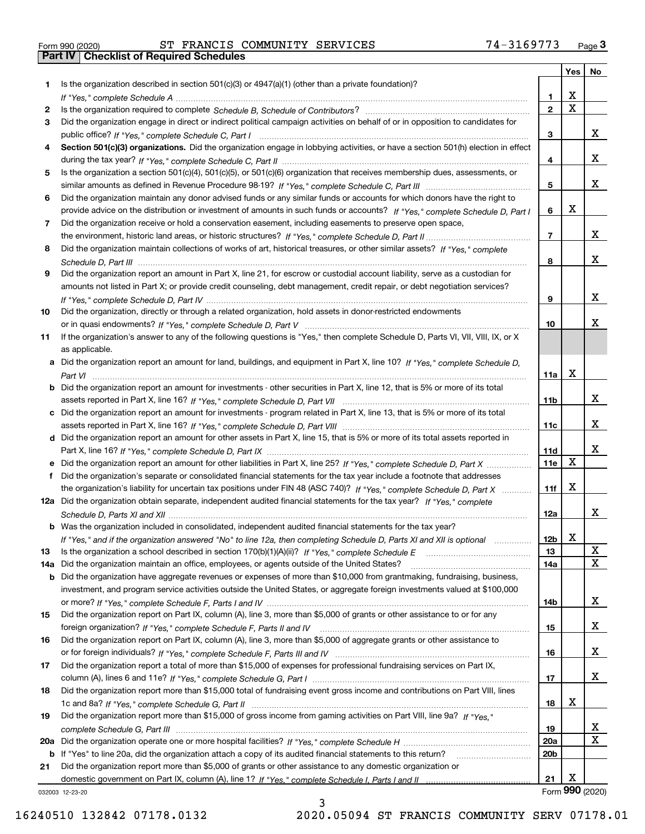|  | Form 990 (2020) |
|--|-----------------|

Form 990 (2020) ST FRANCIS COMMUNITY SERVICES 7 4-3169773 <sub>Page</sub> 3<br>**Part IV | Checklist of Required Schedules** 

|     |                                                                                                                                                                                                                                                           |                        | Yes         | No              |
|-----|-----------------------------------------------------------------------------------------------------------------------------------------------------------------------------------------------------------------------------------------------------------|------------------------|-------------|-----------------|
| 1.  | Is the organization described in section $501(c)(3)$ or $4947(a)(1)$ (other than a private foundation)?                                                                                                                                                   |                        |             |                 |
|     |                                                                                                                                                                                                                                                           | 1.                     | X           |                 |
| 2   |                                                                                                                                                                                                                                                           | $\overline{2}$         | $\mathbf X$ |                 |
| 3   | Did the organization engage in direct or indirect political campaign activities on behalf of or in opposition to candidates for                                                                                                                           |                        |             |                 |
|     |                                                                                                                                                                                                                                                           | 3                      |             | x               |
| 4   | Section 501(c)(3) organizations. Did the organization engage in lobbying activities, or have a section 501(h) election in effect                                                                                                                          |                        |             |                 |
|     |                                                                                                                                                                                                                                                           | 4                      |             | x               |
| 5   | Is the organization a section 501(c)(4), 501(c)(5), or 501(c)(6) organization that receives membership dues, assessments, or                                                                                                                              |                        |             | x               |
|     |                                                                                                                                                                                                                                                           | 5                      |             |                 |
| 6   | Did the organization maintain any donor advised funds or any similar funds or accounts for which donors have the right to<br>provide advice on the distribution or investment of amounts in such funds or accounts? If "Yes," complete Schedule D, Part I | 6                      | X           |                 |
| 7   | Did the organization receive or hold a conservation easement, including easements to preserve open space,                                                                                                                                                 |                        |             |                 |
|     |                                                                                                                                                                                                                                                           | $\overline{7}$         |             | x               |
| 8   | Did the organization maintain collections of works of art, historical treasures, or other similar assets? If "Yes," complete                                                                                                                              |                        |             |                 |
|     |                                                                                                                                                                                                                                                           | 8                      |             | x               |
| 9   | Did the organization report an amount in Part X, line 21, for escrow or custodial account liability, serve as a custodian for                                                                                                                             |                        |             |                 |
|     | amounts not listed in Part X; or provide credit counseling, debt management, credit repair, or debt negotiation services?                                                                                                                                 |                        |             |                 |
|     |                                                                                                                                                                                                                                                           | 9                      |             | x               |
| 10  | Did the organization, directly or through a related organization, hold assets in donor-restricted endowments                                                                                                                                              |                        |             |                 |
|     |                                                                                                                                                                                                                                                           | 10                     |             | x               |
| 11  | If the organization's answer to any of the following questions is "Yes," then complete Schedule D, Parts VI, VIII, VIII, IX, or X                                                                                                                         |                        |             |                 |
|     | as applicable.                                                                                                                                                                                                                                            |                        |             |                 |
|     | a Did the organization report an amount for land, buildings, and equipment in Part X, line 10? If "Yes," complete Schedule D,                                                                                                                             |                        |             |                 |
|     |                                                                                                                                                                                                                                                           | 11a                    | X           |                 |
|     | b Did the organization report an amount for investments - other securities in Part X, line 12, that is 5% or more of its total                                                                                                                            |                        |             |                 |
|     |                                                                                                                                                                                                                                                           | 11 <sub>b</sub>        |             | x               |
|     | c Did the organization report an amount for investments - program related in Part X, line 13, that is 5% or more of its total                                                                                                                             |                        |             |                 |
|     |                                                                                                                                                                                                                                                           | 11c                    |             | x               |
|     | d Did the organization report an amount for other assets in Part X, line 15, that is 5% or more of its total assets reported in                                                                                                                           |                        |             |                 |
|     |                                                                                                                                                                                                                                                           | 11d                    | $\mathbf X$ | x               |
|     | e Did the organization report an amount for other liabilities in Part X, line 25? If "Yes," complete Schedule D, Part X                                                                                                                                   | 11e                    |             |                 |
|     | Did the organization's separate or consolidated financial statements for the tax year include a footnote that addresses                                                                                                                                   |                        | X           |                 |
|     | the organization's liability for uncertain tax positions under FIN 48 (ASC 740)? If "Yes," complete Schedule D, Part X<br>12a Did the organization obtain separate, independent audited financial statements for the tax year? If "Yes," complete         | 11f                    |             |                 |
|     |                                                                                                                                                                                                                                                           | 12a                    |             | x               |
|     | b Was the organization included in consolidated, independent audited financial statements for the tax year?                                                                                                                                               |                        |             |                 |
|     | If "Yes," and if the organization answered "No" to line 12a, then completing Schedule D, Parts XI and XII is optional metallion                                                                                                                           | 12b                    | X           |                 |
| 13  |                                                                                                                                                                                                                                                           | 13                     |             | X               |
| 14a | Did the organization maintain an office, employees, or agents outside of the United States?                                                                                                                                                               | 14a                    |             | X               |
|     | <b>b</b> Did the organization have aggregate revenues or expenses of more than \$10,000 from grantmaking, fundraising, business,                                                                                                                          |                        |             |                 |
|     | investment, and program service activities outside the United States, or aggregate foreign investments valued at \$100,000                                                                                                                                |                        |             |                 |
|     |                                                                                                                                                                                                                                                           | 14b                    |             | x               |
| 15  | Did the organization report on Part IX, column (A), line 3, more than \$5,000 of grants or other assistance to or for any                                                                                                                                 |                        |             |                 |
|     |                                                                                                                                                                                                                                                           | 15                     |             | x               |
| 16  | Did the organization report on Part IX, column (A), line 3, more than \$5,000 of aggregate grants or other assistance to                                                                                                                                  |                        |             |                 |
|     |                                                                                                                                                                                                                                                           | 16                     |             | x               |
| 17  | Did the organization report a total of more than \$15,000 of expenses for professional fundraising services on Part IX,                                                                                                                                   |                        |             |                 |
|     |                                                                                                                                                                                                                                                           | 17                     |             | x               |
| 18  | Did the organization report more than \$15,000 total of fundraising event gross income and contributions on Part VIII, lines                                                                                                                              |                        |             |                 |
|     |                                                                                                                                                                                                                                                           | 18                     | х           |                 |
| 19  | Did the organization report more than \$15,000 of gross income from gaming activities on Part VIII, line 9a? If "Yes."                                                                                                                                    |                        |             |                 |
|     |                                                                                                                                                                                                                                                           | 19                     |             | X.<br>х         |
|     |                                                                                                                                                                                                                                                           | 20a<br>20 <sub>b</sub> |             |                 |
| 21  | b If "Yes" to line 20a, did the organization attach a copy of its audited financial statements to this return?<br>Did the organization report more than \$5,000 of grants or other assistance to any domestic organization or                             |                        |             |                 |
|     |                                                                                                                                                                                                                                                           | 21                     | х           |                 |
|     | 032003 12-23-20                                                                                                                                                                                                                                           |                        |             | Form 990 (2020) |

032003 12-23-20

3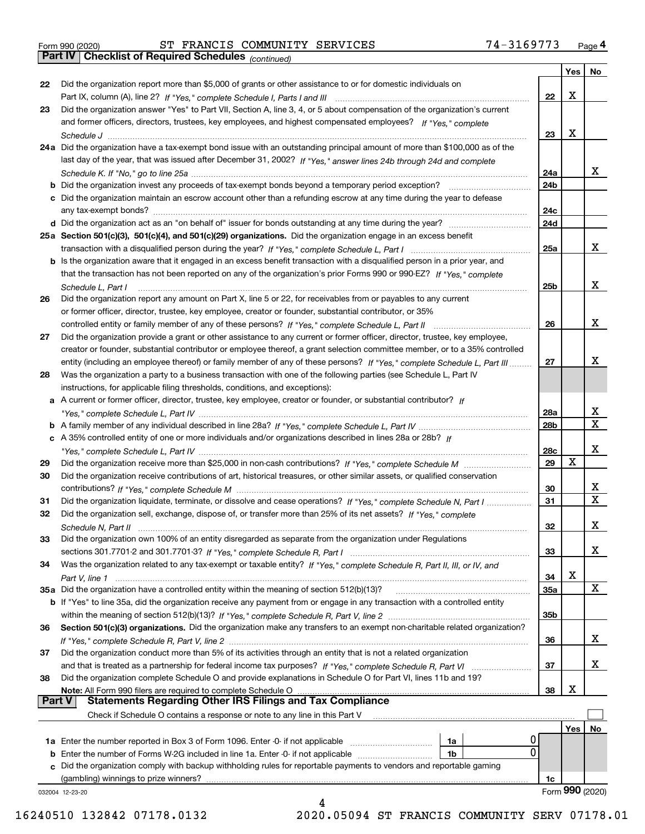|  | Form 990 (2020) |
|--|-----------------|
|  |                 |

Form 990 (2020) ST FRANCIS COMMUNITY SERVICES 7 4-3169773 <sub>Page</sub> 4<br>**Part IV | Checklist of Required Schedules** <sub>(continued)</sub>

*(continued)*

|               |                                                                                                                              |                        | Yes        | ∣ No             |
|---------------|------------------------------------------------------------------------------------------------------------------------------|------------------------|------------|------------------|
| 22            | Did the organization report more than \$5,000 of grants or other assistance to or for domestic individuals on                |                        |            |                  |
|               |                                                                                                                              | 22                     | X          |                  |
| 23            | Did the organization answer "Yes" to Part VII, Section A, line 3, 4, or 5 about compensation of the organization's current   |                        |            |                  |
|               | and former officers, directors, trustees, key employees, and highest compensated employees? If "Yes," complete               |                        |            |                  |
|               | Schedule J                                                                                                                   | 23                     | х          |                  |
|               | 24a Did the organization have a tax-exempt bond issue with an outstanding principal amount of more than \$100,000 as of the  |                        |            |                  |
|               | last day of the year, that was issued after December 31, 2002? If "Yes," answer lines 24b through 24d and complete           |                        |            |                  |
|               |                                                                                                                              | 24a                    |            | x                |
|               | <b>b</b> Did the organization invest any proceeds of tax-exempt bonds beyond a temporary period exception?                   | 24b                    |            |                  |
|               | c Did the organization maintain an escrow account other than a refunding escrow at any time during the year to defease       |                        |            |                  |
|               |                                                                                                                              | 24c                    |            |                  |
|               |                                                                                                                              | 24d                    |            |                  |
|               | 25a Section 501(c)(3), 501(c)(4), and 501(c)(29) organizations. Did the organization engage in an excess benefit             |                        |            |                  |
|               |                                                                                                                              | 25a                    |            | x                |
|               | b Is the organization aware that it engaged in an excess benefit transaction with a disqualified person in a prior year, and |                        |            |                  |
|               | that the transaction has not been reported on any of the organization's prior Forms 990 or 990-EZ? If "Yes," complete        |                        |            |                  |
|               | Schedule L. Part I                                                                                                           | 25b                    |            | x                |
| 26            | Did the organization report any amount on Part X, line 5 or 22, for receivables from or payables to any current              |                        |            |                  |
|               | or former officer, director, trustee, key employee, creator or founder, substantial contributor, or 35%                      |                        |            |                  |
|               |                                                                                                                              | 26                     |            | x                |
| 27            | Did the organization provide a grant or other assistance to any current or former officer, director, trustee, key employee,  |                        |            |                  |
|               | creator or founder, substantial contributor or employee thereof, a grant selection committee member, or to a 35% controlled  |                        |            |                  |
|               |                                                                                                                              | 27                     |            | х                |
| 28            | entity (including an employee thereof) or family member of any of these persons? If "Yes," complete Schedule L, Part III     |                        |            |                  |
|               | Was the organization a party to a business transaction with one of the following parties (see Schedule L, Part IV            |                        |            |                  |
|               | instructions, for applicable filing thresholds, conditions, and exceptions):                                                 |                        |            |                  |
|               | a A current or former officer, director, trustee, key employee, creator or founder, or substantial contributor? If           |                        |            | x                |
|               |                                                                                                                              | 28a<br>28 <sub>b</sub> |            | $\mathbf X$      |
|               |                                                                                                                              |                        |            |                  |
|               | c A 35% controlled entity of one or more individuals and/or organizations described in lines 28a or 28b? If                  |                        |            | х                |
|               |                                                                                                                              | 28c                    | X          |                  |
| 29            |                                                                                                                              | 29                     |            |                  |
| 30            | Did the organization receive contributions of art, historical treasures, or other similar assets, or qualified conservation  |                        |            |                  |
|               |                                                                                                                              | 30                     |            | x<br>$\mathbf x$ |
| 31            | Did the organization liquidate, terminate, or dissolve and cease operations? If "Yes," complete Schedule N, Part I           | 31                     |            |                  |
| 32            | Did the organization sell, exchange, dispose of, or transfer more than 25% of its net assets? If "Yes," complete             |                        |            |                  |
|               |                                                                                                                              | 32                     |            | х                |
| 33            | Did the organization own 100% of an entity disregarded as separate from the organization under Regulations                   |                        |            |                  |
|               |                                                                                                                              | 33                     |            | х                |
| 34            | Was the organization related to any tax-exempt or taxable entity? If "Yes," complete Schedule R, Part II, III, or IV, and    |                        |            |                  |
|               |                                                                                                                              | 34                     | X          |                  |
|               | 35a Did the organization have a controlled entity within the meaning of section 512(b)(13)?                                  | <b>35a</b>             |            | X                |
|               | b If "Yes" to line 35a, did the organization receive any payment from or engage in any transaction with a controlled entity  |                        |            |                  |
|               |                                                                                                                              | 35b                    |            |                  |
| 36            | Section 501(c)(3) organizations. Did the organization make any transfers to an exempt non-charitable related organization?   |                        |            |                  |
|               |                                                                                                                              | 36                     |            | x                |
| 37            | Did the organization conduct more than 5% of its activities through an entity that is not a related organization             |                        |            |                  |
|               |                                                                                                                              | 37                     |            | x                |
| 38            | Did the organization complete Schedule O and provide explanations in Schedule O for Part VI, lines 11b and 19?               |                        |            |                  |
|               | Note: All Form 990 filers are required to complete Schedule O                                                                | 38                     | х          |                  |
| <b>Part V</b> | <b>Statements Regarding Other IRS Filings and Tax Compliance</b>                                                             |                        |            |                  |
|               | Check if Schedule O contains a response or note to any line in this Part V                                                   |                        |            |                  |
|               |                                                                                                                              |                        | <b>Yes</b> | No               |
|               | Ü<br><b>1a</b> Enter the number reported in Box 3 of Form 1096. Enter -0- if not applicable <i>manumumumum</i><br>1a         |                        |            |                  |
|               | $\Omega$<br>1b                                                                                                               |                        |            |                  |
|               | c Did the organization comply with backup withholding rules for reportable payments to vendors and reportable gaming         |                        |            |                  |
|               | (gambling) winnings to prize winners?                                                                                        | 1c                     |            |                  |
|               | 032004 12-23-20                                                                                                              |                        |            | Form 990 (2020)  |
|               |                                                                                                                              |                        |            |                  |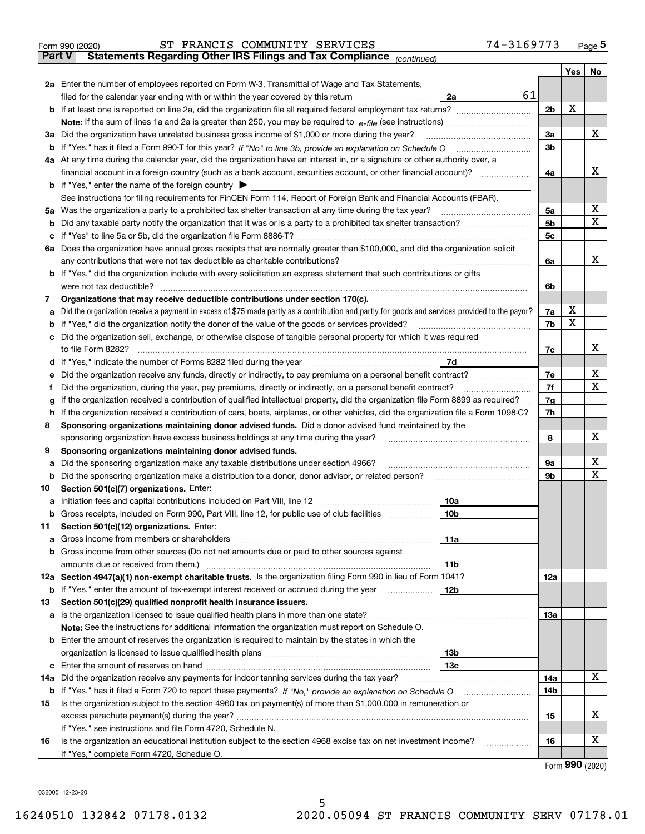| Form 990 (2020) |                                                                                                                                                                                                     |  | ST FRANCIS COMMUNITY SERVICES |  |  |  | 74-3169773 |  |       | Page 5 |
|-----------------|-----------------------------------------------------------------------------------------------------------------------------------------------------------------------------------------------------|--|-------------------------------|--|--|--|------------|--|-------|--------|
| Part V          | <b>Statements Regarding Other IRS Filings and Tax Compliance</b> (continued)                                                                                                                        |  |                               |  |  |  |            |  |       |        |
|                 |                                                                                                                                                                                                     |  |                               |  |  |  |            |  | Yes l | No     |
|                 | $\bigwedge_{i=1}^{\infty}$ . Equivalently interest constructed by $\bigcup_{i=1}^{\infty}$ . With $\bigwedge_{i=1}^{\infty}$ is the constructed of $\bigwedge_{i=1}^{\infty}$ . On the construction |  |                               |  |  |  |            |  |       |        |

|     | 2a Enter the number of employees reported on Form W-3, Transmittal of Wage and Tax Statements,                                                    |    |     |   |             |  |  |  |  |  |  |
|-----|---------------------------------------------------------------------------------------------------------------------------------------------------|----|-----|---|-------------|--|--|--|--|--|--|
|     | filed for the calendar year ending with or within the year covered by this return <i>manumumumum</i><br>2a                                        | 61 |     |   |             |  |  |  |  |  |  |
|     |                                                                                                                                                   |    | 2b  | х |             |  |  |  |  |  |  |
|     |                                                                                                                                                   |    |     |   |             |  |  |  |  |  |  |
|     | 3a Did the organization have unrelated business gross income of \$1,000 or more during the year?                                                  |    | За  |   | x           |  |  |  |  |  |  |
|     |                                                                                                                                                   |    | 3b  |   |             |  |  |  |  |  |  |
|     | 4a At any time during the calendar year, did the organization have an interest in, or a signature or other authority over, a                      |    |     |   |             |  |  |  |  |  |  |
|     |                                                                                                                                                   |    | 4a  |   | x           |  |  |  |  |  |  |
|     | <b>b</b> If "Yes," enter the name of the foreign country                                                                                          |    |     |   |             |  |  |  |  |  |  |
|     | See instructions for filing requirements for FinCEN Form 114, Report of Foreign Bank and Financial Accounts (FBAR).                               |    |     |   |             |  |  |  |  |  |  |
|     | 5a Was the organization a party to a prohibited tax shelter transaction at any time during the tax year?                                          |    | 5а  |   | х           |  |  |  |  |  |  |
|     |                                                                                                                                                   |    | 5b  |   | $\mathbf X$ |  |  |  |  |  |  |
|     |                                                                                                                                                   |    | 5c  |   |             |  |  |  |  |  |  |
|     | 6a Does the organization have annual gross receipts that are normally greater than \$100,000, and did the organization solicit                    |    |     |   |             |  |  |  |  |  |  |
|     | any contributions that were not tax deductible as charitable contributions?                                                                       |    | 6a  |   | x           |  |  |  |  |  |  |
|     | <b>b</b> If "Yes," did the organization include with every solicitation an express statement that such contributions or gifts                     |    |     |   |             |  |  |  |  |  |  |
|     | were not tax deductible?                                                                                                                          |    | 6b  |   |             |  |  |  |  |  |  |
| 7   | Organizations that may receive deductible contributions under section 170(c).                                                                     |    |     |   |             |  |  |  |  |  |  |
|     | a Did the organization receive a payment in excess of \$75 made partly as a contribution and partly for goods and services provided to the payor? |    | 7a  | х |             |  |  |  |  |  |  |
|     | <b>b</b> If "Yes," did the organization notify the donor of the value of the goods or services provided?                                          |    | 7b  | X |             |  |  |  |  |  |  |
|     | c Did the organization sell, exchange, or otherwise dispose of tangible personal property for which it was required                               |    |     |   |             |  |  |  |  |  |  |
|     | to file Form 8282?                                                                                                                                |    | 7c  |   | х           |  |  |  |  |  |  |
|     | d If "Yes," indicate the number of Forms 8282 filed during the year<br>7d                                                                         |    |     |   |             |  |  |  |  |  |  |
|     | e Did the organization receive any funds, directly or indirectly, to pay premiums on a personal benefit contract?                                 |    |     |   |             |  |  |  |  |  |  |
|     | Did the organization, during the year, pay premiums, directly or indirectly, on a personal benefit contract?                                      |    |     |   |             |  |  |  |  |  |  |
| g   | If the organization received a contribution of qualified intellectual property, did the organization file Form 8899 as required?                  |    |     |   |             |  |  |  |  |  |  |
|     | h If the organization received a contribution of cars, boats, airplanes, or other vehicles, did the organization file a Form 1098-C?              |    |     |   |             |  |  |  |  |  |  |
| 8   | Sponsoring organizations maintaining donor advised funds. Did a donor advised fund maintained by the                                              |    |     |   |             |  |  |  |  |  |  |
|     | sponsoring organization have excess business holdings at any time during the year?                                                                |    | 8   |   | х           |  |  |  |  |  |  |
| 9   | Sponsoring organizations maintaining donor advised funds.                                                                                         |    |     |   |             |  |  |  |  |  |  |
| а   | Did the sponsoring organization make any taxable distributions under section 4966?                                                                |    | 9а  |   | х           |  |  |  |  |  |  |
|     | <b>b</b> Did the sponsoring organization make a distribution to a donor, donor advisor, or related person?                                        |    | 9b  |   | х           |  |  |  |  |  |  |
| 10  | Section 501(c)(7) organizations. Enter:                                                                                                           |    |     |   |             |  |  |  |  |  |  |
|     | 10a                                                                                                                                               |    |     |   |             |  |  |  |  |  |  |
|     | b Gross receipts, included on Form 990, Part VIII, line 12, for public use of club facilities<br>10 <sub>b</sub>                                  |    |     |   |             |  |  |  |  |  |  |
| 11. | Section 501(c)(12) organizations. Enter:                                                                                                          |    |     |   |             |  |  |  |  |  |  |
|     | 11a                                                                                                                                               |    |     |   |             |  |  |  |  |  |  |
|     | <b>b</b> Gross income from other sources (Do not net amounts due or paid to other sources against                                                 |    |     |   |             |  |  |  |  |  |  |
|     | 11b                                                                                                                                               |    |     |   |             |  |  |  |  |  |  |
|     | 12a Section 4947(a)(1) non-exempt charitable trusts. Is the organization filing Form 990 in lieu of Form 1041?                                    |    | 12a |   |             |  |  |  |  |  |  |
|     | <b>b</b> If "Yes," enter the amount of tax-exempt interest received or accrued during the year<br>  12b                                           |    |     |   |             |  |  |  |  |  |  |
| 13  | Section 501(c)(29) qualified nonprofit health insurance issuers.                                                                                  |    |     |   |             |  |  |  |  |  |  |
|     | a Is the organization licensed to issue qualified health plans in more than one state?                                                            |    | 13а |   |             |  |  |  |  |  |  |
|     | Note: See the instructions for additional information the organization must report on Schedule O.                                                 |    |     |   |             |  |  |  |  |  |  |
|     | <b>b</b> Enter the amount of reserves the organization is required to maintain by the states in which the                                         |    |     |   |             |  |  |  |  |  |  |
|     | 13 <sub>b</sub>                                                                                                                                   |    |     |   |             |  |  |  |  |  |  |
|     | 13c                                                                                                                                               |    |     |   | x           |  |  |  |  |  |  |
| 14a | Did the organization receive any payments for indoor tanning services during the tax year?                                                        |    | 14a |   |             |  |  |  |  |  |  |
|     |                                                                                                                                                   |    | 14b |   |             |  |  |  |  |  |  |
| 15  | Is the organization subject to the section 4960 tax on payment(s) of more than \$1,000,000 in remuneration or                                     |    |     |   | х           |  |  |  |  |  |  |
|     |                                                                                                                                                   |    | 15  |   |             |  |  |  |  |  |  |
|     | If "Yes," see instructions and file Form 4720, Schedule N.                                                                                        |    |     |   | х           |  |  |  |  |  |  |
| 16  | Is the organization an educational institution subject to the section 4968 excise tax on net investment income?                                   |    | 16  |   |             |  |  |  |  |  |  |
|     | If "Yes," complete Form 4720, Schedule O.                                                                                                         |    |     |   |             |  |  |  |  |  |  |

Form (2020) **990**

032005 12-23-20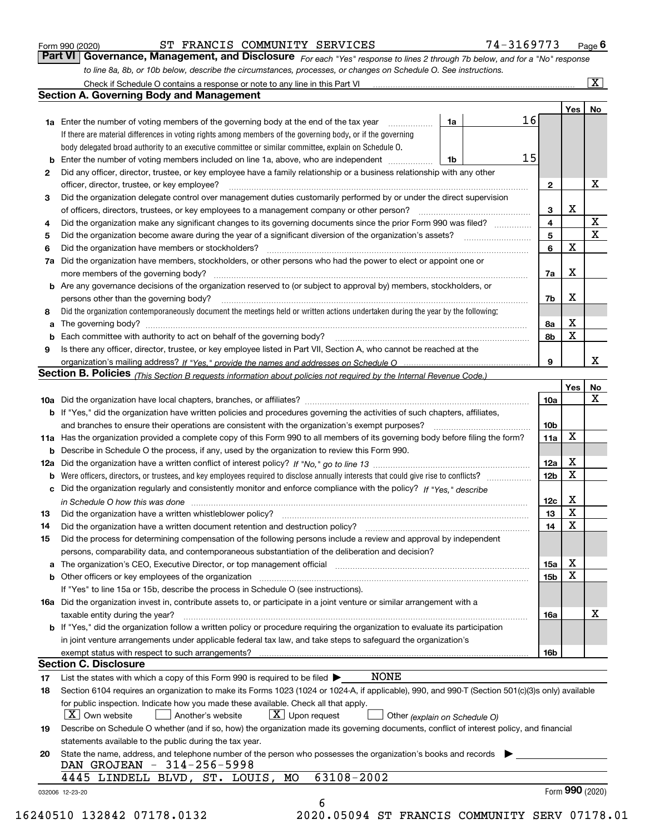|    | to line 8a, 8b, or 10b below, describe the circumstances, processes, or changes on Schedule O. See instructions.                                                                                                              |                        |        |                       |  |  |  |  |
|----|-------------------------------------------------------------------------------------------------------------------------------------------------------------------------------------------------------------------------------|------------------------|--------|-----------------------|--|--|--|--|
|    | Check if Schedule O contains a response or note to any line in this Part VI                                                                                                                                                   |                        |        | $\overline{\text{X}}$ |  |  |  |  |
|    | <b>Section A. Governing Body and Management</b>                                                                                                                                                                               |                        |        |                       |  |  |  |  |
|    |                                                                                                                                                                                                                               |                        | Yes    | No                    |  |  |  |  |
|    | 16<br>1a<br><b>1a</b> Enter the number of voting members of the governing body at the end of the tax year                                                                                                                     |                        |        |                       |  |  |  |  |
|    | If there are material differences in voting rights among members of the governing body, or if the governing                                                                                                                   |                        |        |                       |  |  |  |  |
|    | body delegated broad authority to an executive committee or similar committee, explain on Schedule O.                                                                                                                         |                        |        |                       |  |  |  |  |
|    | 15<br>Enter the number of voting members included on line 1a, above, who are independent <i>management</i><br>1b                                                                                                              |                        |        |                       |  |  |  |  |
| 2  | Did any officer, director, trustee, or key employee have a family relationship or a business relationship with any other                                                                                                      |                        |        |                       |  |  |  |  |
|    | officer, director, trustee, or key employee?                                                                                                                                                                                  | $\mathbf{2}$           |        | х                     |  |  |  |  |
| 3  | Did the organization delegate control over management duties customarily performed by or under the direct supervision                                                                                                         |                        |        |                       |  |  |  |  |
|    |                                                                                                                                                                                                                               | 3                      | х      |                       |  |  |  |  |
| 4  | Did the organization make any significant changes to its governing documents since the prior Form 990 was filed?                                                                                                              | 4                      |        | X                     |  |  |  |  |
| 5  |                                                                                                                                                                                                                               | 5                      |        | $\mathbf X$           |  |  |  |  |
|    |                                                                                                                                                                                                                               | 6                      | X      |                       |  |  |  |  |
| 6  | Did the organization have members or stockholders?                                                                                                                                                                            |                        |        |                       |  |  |  |  |
| 7a | Did the organization have members, stockholders, or other persons who had the power to elect or appoint one or                                                                                                                |                        |        |                       |  |  |  |  |
|    |                                                                                                                                                                                                                               | 7a                     | х      |                       |  |  |  |  |
|    | b Are any governance decisions of the organization reserved to (or subject to approval by) members, stockholders, or                                                                                                          |                        |        |                       |  |  |  |  |
|    | persons other than the governing body?                                                                                                                                                                                        | 7b                     | х      |                       |  |  |  |  |
| 8  | Did the organization contemporaneously document the meetings held or written actions undertaken during the year by the following:                                                                                             |                        |        |                       |  |  |  |  |
| a  |                                                                                                                                                                                                                               | 8а                     | х      |                       |  |  |  |  |
|    |                                                                                                                                                                                                                               | 8b                     | X      |                       |  |  |  |  |
| 9  | Is there any officer, director, trustee, or key employee listed in Part VII, Section A, who cannot be reached at the                                                                                                          |                        |        |                       |  |  |  |  |
|    |                                                                                                                                                                                                                               | 9                      |        | x                     |  |  |  |  |
|    | Section B. Policies (This Section B requests information about policies not required by the Internal Revenue Code.)                                                                                                           |                        |        |                       |  |  |  |  |
|    |                                                                                                                                                                                                                               |                        | Yes    | No                    |  |  |  |  |
|    |                                                                                                                                                                                                                               | <b>10a</b>             |        | x                     |  |  |  |  |
|    | b If "Yes," did the organization have written policies and procedures governing the activities of such chapters, affiliates,                                                                                                  |                        |        |                       |  |  |  |  |
|    | and branches to ensure their operations are consistent with the organization's exempt purposes?                                                                                                                               |                        |        |                       |  |  |  |  |
|    | 11a Has the organization provided a complete copy of this Form 990 to all members of its governing body before filing the form?                                                                                               |                        |        |                       |  |  |  |  |
|    | <b>b</b> Describe in Schedule O the process, if any, used by the organization to review this Form 990.                                                                                                                        |                        |        |                       |  |  |  |  |
|    |                                                                                                                                                                                                                               |                        |        |                       |  |  |  |  |
| b  |                                                                                                                                                                                                                               | 12a<br>12 <sub>b</sub> | х<br>Χ |                       |  |  |  |  |
|    | c Did the organization regularly and consistently monitor and enforce compliance with the policy? If "Yes," describe                                                                                                          |                        |        |                       |  |  |  |  |
|    |                                                                                                                                                                                                                               | 12c                    | х      |                       |  |  |  |  |
|    | in Schedule O how this was done www.communication.com/www.communication.com/www.communication.com/www.communic                                                                                                                | 13                     | X      |                       |  |  |  |  |
| 13 |                                                                                                                                                                                                                               | 14                     | X      |                       |  |  |  |  |
| 14 |                                                                                                                                                                                                                               |                        |        |                       |  |  |  |  |
| 15 | Did the process for determining compensation of the following persons include a review and approval by independent                                                                                                            |                        |        |                       |  |  |  |  |
|    | persons, comparability data, and contemporaneous substantiation of the deliberation and decision?                                                                                                                             |                        |        |                       |  |  |  |  |
| a  | The organization's CEO, Executive Director, or top management official manufactured content content of the organization's CEO, Executive Director, or top management official manufactured content of the original content of | 15a                    | х      |                       |  |  |  |  |
|    | <b>b</b> Other officers or key employees of the organization                                                                                                                                                                  | 15 <sub>b</sub>        | X      |                       |  |  |  |  |
|    | If "Yes" to line 15a or 15b, describe the process in Schedule O (see instructions).                                                                                                                                           |                        |        |                       |  |  |  |  |
|    | 16a Did the organization invest in, contribute assets to, or participate in a joint venture or similar arrangement with a                                                                                                     |                        |        |                       |  |  |  |  |
|    | taxable entity during the year?                                                                                                                                                                                               | 16a                    |        | x                     |  |  |  |  |
|    | b If "Yes," did the organization follow a written policy or procedure requiring the organization to evaluate its participation                                                                                                |                        |        |                       |  |  |  |  |
|    | in joint venture arrangements under applicable federal tax law, and take steps to safeguard the organization's                                                                                                                |                        |        |                       |  |  |  |  |
|    | exempt status with respect to such arrangements?                                                                                                                                                                              | 16b                    |        |                       |  |  |  |  |
|    | <b>Section C. Disclosure</b>                                                                                                                                                                                                  |                        |        |                       |  |  |  |  |
| 17 | NONE<br>List the states with which a copy of this Form 990 is required to be filed $\blacktriangleright$                                                                                                                      |                        |        |                       |  |  |  |  |
| 18 | Section 6104 requires an organization to make its Forms 1023 (1024 or 1024-A, if applicable), 990, and 990-T (Section 501(c)(3)s only) available                                                                              |                        |        |                       |  |  |  |  |
|    | for public inspection. Indicate how you made these available. Check all that apply.                                                                                                                                           |                        |        |                       |  |  |  |  |
|    | $X$ Own website<br>$X$ Upon request<br>Another's website<br>Other (explain on Schedule O)                                                                                                                                     |                        |        |                       |  |  |  |  |
| 19 | Describe on Schedule O whether (and if so, how) the organization made its governing documents, conflict of interest policy, and financial                                                                                     |                        |        |                       |  |  |  |  |
|    | statements available to the public during the tax year.                                                                                                                                                                       |                        |        |                       |  |  |  |  |
| 20 | State the name, address, and telephone number of the person who possesses the organization's books and records                                                                                                                |                        |        |                       |  |  |  |  |
|    | DAN GROJEAN - 314-256-5998                                                                                                                                                                                                    |                        |        |                       |  |  |  |  |
|    | 63108-2002<br>4445 LINDELL BLVD, ST. LOUIS, MO                                                                                                                                                                                |                        |        |                       |  |  |  |  |
|    | 032006 12-23-20                                                                                                                                                                                                               |                        |        | Form 990 (2020)       |  |  |  |  |
|    | 6                                                                                                                                                                                                                             |                        |        |                       |  |  |  |  |

Form 990 (2020) **1990 COVERT STANCIS COMMUNITY SERVICES 1999 1-3169773** Page 6<br>**Part VI Governance, Management, and Disclosure** *For each "Yes" response to lines 2 through 7b below, and for a "No" response* 

ST FRANCIS COMMUNITY SERVICES 74-3169773

16240510 132842 07178.0132 2020.05094 ST FRANCIS COMMUNITY SERV 07178.01

*For each "Yes" response to lines 2 through 7b below, and for a "No" response*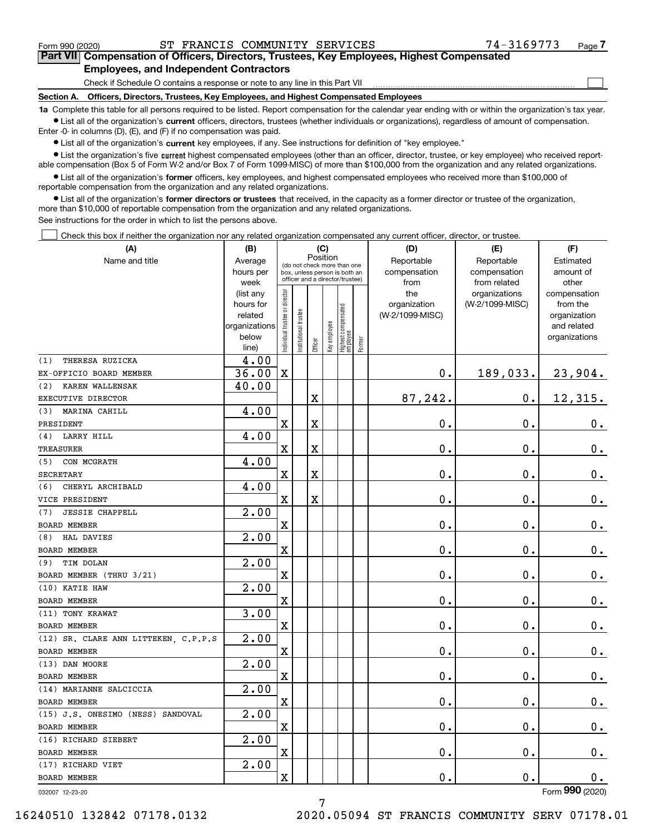$\mathcal{L}^{\text{max}}$ 

## **7Part VII Compensation of Officers, Directors, Trustees, Key Employees, Highest Compensated Employees, and Independent Contractors**

Check if Schedule O contains a response or note to any line in this Part VII

**Section A. Officers, Directors, Trustees, Key Employees, and Highest Compensated Employees**

**1a**  Complete this table for all persons required to be listed. Report compensation for the calendar year ending with or within the organization's tax year. **•** List all of the organization's current officers, directors, trustees (whether individuals or organizations), regardless of amount of compensation.

Enter -0- in columns (D), (E), and (F) if no compensation was paid.

 $\bullet$  List all of the organization's  $\,$ current key employees, if any. See instructions for definition of "key employee."

**•** List the organization's five current highest compensated employees (other than an officer, director, trustee, or key employee) who received reportable compensation (Box 5 of Form W-2 and/or Box 7 of Form 1099-MISC) of more than \$100,000 from the organization and any related organizations.

**•** List all of the organization's former officers, key employees, and highest compensated employees who received more than \$100,000 of reportable compensation from the organization and any related organizations.

**former directors or trustees**  ¥ List all of the organization's that received, in the capacity as a former director or trustee of the organization, more than \$10,000 of reportable compensation from the organization and any related organizations.

See instructions for the order in which to list the persons above.

Check this box if neither the organization nor any related organization compensated any current officer, director, or trustee.  $\mathcal{L}^{\text{max}}$ 

| (A)                                  | (B)                                                |                                |                                                                  |         | (C) |                                                 |        | (D)             | (E)                | (F)                         |
|--------------------------------------|----------------------------------------------------|--------------------------------|------------------------------------------------------------------|---------|-----|-------------------------------------------------|--------|-----------------|--------------------|-----------------------------|
| Name and title                       | Position<br>Average<br>(do not check more than one |                                |                                                                  |         |     |                                                 |        | Reportable      | Reportable         | Estimated                   |
|                                      | hours per                                          |                                | box, unless person is both an<br>officer and a director/trustee) |         |     |                                                 |        | compensation    | compensation       | amount of                   |
|                                      | week                                               |                                |                                                                  |         |     |                                                 |        | from            | from related       | other                       |
|                                      | (list any                                          |                                |                                                                  |         |     |                                                 |        | the             | organizations      | compensation                |
|                                      | hours for                                          |                                |                                                                  |         |     |                                                 |        | organization    | (W-2/1099-MISC)    | from the                    |
|                                      | related<br>organizations                           |                                |                                                                  |         |     |                                                 |        | (W-2/1099-MISC) |                    | organization<br>and related |
|                                      | below                                              |                                |                                                                  |         |     |                                                 |        |                 |                    | organizations               |
|                                      | line)                                              | Individual trustee or director | nstitutional trustee                                             | Officer |     | key employee<br>Highest compensated<br>employee | Former |                 |                    |                             |
| THERESA RUZICKA<br>(1)               | 4.00                                               |                                |                                                                  |         |     |                                                 |        |                 |                    |                             |
| EX-OFFICIO BOARD MEMBER              | 36.00                                              | $\mathbf x$                    |                                                                  |         |     |                                                 |        | $\mathbf 0$ .   | 189,033.           | 23,904.                     |
| KAREN WALLENSAK<br>(2)               | 40.00                                              |                                |                                                                  |         |     |                                                 |        |                 |                    |                             |
| EXECUTIVE DIRECTOR                   |                                                    |                                |                                                                  | X       |     |                                                 |        | 87,242.         | $\mathbf 0$ .      | 12,315.                     |
| MARINA CAHILL<br>(3)                 | 4.00                                               |                                |                                                                  |         |     |                                                 |        |                 |                    |                             |
| PRESIDENT                            |                                                    | $\mathbf X$                    |                                                                  | X       |     |                                                 |        | 0.              | 0.                 | $0_{.}$                     |
| LARRY HILL<br>(4)                    | 4.00                                               |                                |                                                                  |         |     |                                                 |        |                 |                    |                             |
| <b>TREASURER</b>                     |                                                    | $\mathbf X$                    |                                                                  | X       |     |                                                 |        | 0.              | 0.                 | 0.                          |
| CON MCGRATH<br>(5)                   | 4.00                                               |                                |                                                                  |         |     |                                                 |        |                 |                    |                             |
| <b>SECRETARY</b>                     |                                                    | $\mathbf X$                    |                                                                  | X       |     |                                                 |        | 0.              | 0.                 | $0_{.}$                     |
| CHERYL ARCHIBALD<br>(6)              | 4.00                                               |                                |                                                                  |         |     |                                                 |        |                 |                    |                             |
| VICE PRESIDENT                       |                                                    | $\mathbf X$                    |                                                                  | X       |     |                                                 |        | 0.              | 0.                 | 0.                          |
| <b>JESSIE CHAPPELL</b><br>(7)        | 2.00                                               |                                |                                                                  |         |     |                                                 |        |                 |                    |                             |
| <b>BOARD MEMBER</b>                  |                                                    | $\mathbf X$                    |                                                                  |         |     |                                                 |        | 0.              | 0.                 | $0_{.}$                     |
| HAL DAVIES<br>(8)                    | 2.00                                               |                                |                                                                  |         |     |                                                 |        |                 |                    |                             |
| BOARD MEMBER                         |                                                    | $\mathbf X$                    |                                                                  |         |     |                                                 |        | 0.              | 0.                 | $\mathbf 0$ .               |
| TIM DOLAN<br>(9)                     | 2.00                                               |                                |                                                                  |         |     |                                                 |        |                 |                    |                             |
| BOARD MEMBER (THRU 3/21)             |                                                    | $\mathbf X$                    |                                                                  |         |     |                                                 |        | 0.              | 0.                 | $\mathbf 0$ .               |
| (10) KATIE HAW                       | 2.00                                               |                                |                                                                  |         |     |                                                 |        |                 |                    |                             |
| BOARD MEMBER                         |                                                    | $\mathbf X$                    |                                                                  |         |     |                                                 |        | 0.              | 0.                 | $\mathbf 0$ .               |
| (11) TONY KRAWAT                     | 3.00                                               |                                |                                                                  |         |     |                                                 |        |                 |                    |                             |
| <b>BOARD MEMBER</b>                  |                                                    | $\mathbf X$                    |                                                                  |         |     |                                                 |        | 0.              | 0.                 | $\mathbf 0$ .               |
| (12) SR. CLARE ANN LITTEKEN, C.P.P.S | $\overline{2.00}$                                  |                                |                                                                  |         |     |                                                 |        |                 |                    |                             |
| <b>BOARD MEMBER</b>                  |                                                    | $\mathbf X$                    |                                                                  |         |     |                                                 |        | 0.              | 0.                 | $0$ .                       |
| (13) DAN MOORE                       | $\overline{2.00}$                                  |                                |                                                                  |         |     |                                                 |        |                 |                    |                             |
| BOARD MEMBER                         |                                                    | $\mathbf X$                    |                                                                  |         |     |                                                 |        | 0.              | 0.                 | 0.                          |
| (14) MARIANNE SALCICCIA              | 2.00                                               |                                |                                                                  |         |     |                                                 |        |                 |                    |                             |
| BOARD MEMBER                         |                                                    | X                              |                                                                  |         |     |                                                 |        | 0.              | 0.                 | 0.                          |
| (15) J.S. ONESIMO (NESS) SANDOVAL    | 2.00                                               |                                |                                                                  |         |     |                                                 |        |                 |                    |                             |
| <b>BOARD MEMBER</b>                  |                                                    | X                              |                                                                  |         |     |                                                 |        | $\mathbf 0$ .   | $\boldsymbol{0}$ . | 0.                          |
| (16) RICHARD SIEBERT                 | 2.00                                               |                                |                                                                  |         |     |                                                 |        |                 |                    |                             |
| BOARD MEMBER                         |                                                    | $\mathbf X$                    |                                                                  |         |     |                                                 |        | $\mathbf 0$ .   | $\boldsymbol{0}$ . | $0_{.}$                     |
| (17) RICHARD VIET                    | 2.00                                               |                                |                                                                  |         |     |                                                 |        |                 |                    |                             |
| BOARD MEMBER                         |                                                    | $\mathbf X$                    |                                                                  |         |     |                                                 |        | $\mathbf 0$ .   | $\mathbf 0$ .      | 0.                          |
| 032007 12-23-20                      |                                                    |                                |                                                                  |         |     |                                                 |        |                 |                    | Form 990 (2020)             |

032007 12-23-20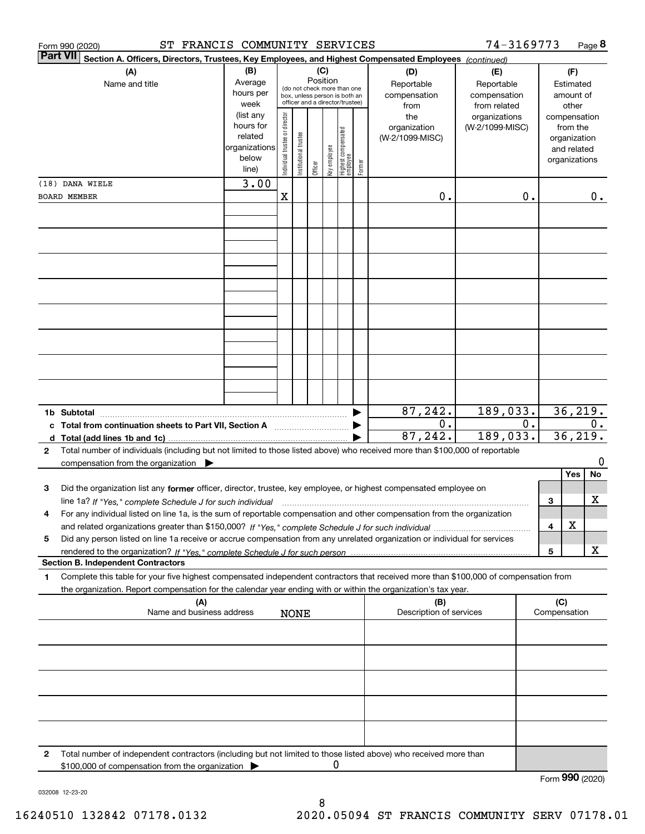| <b>Part VII</b><br>Section A. Officers, Directors, Trustees, Key Employees, and Highest Compensated Employees (continued)<br>(B)<br>(C)<br>(A)<br>(D)<br>(E)<br>(F)<br>Position<br>Average<br>Reportable<br>Name and title<br>Reportable<br>Estimated<br>(do not check more than one<br>hours per<br>compensation<br>compensation<br>amount of<br>box, unless person is both an<br>officer and a director/trustee)<br>week<br>from<br>from related<br>other<br>(list any<br>Individual trustee or director<br>organizations<br>the<br>compensation<br>hours for<br>(W-2/1099-MISC)<br>organization<br>from the<br>  Highest compensated<br>  employee<br>Institutional trustee<br>related<br>(W-2/1099-MISC)<br>organization<br>organizations<br>key employee<br>and related<br>below<br>organizations<br>Former<br>Officer<br>line)<br>3.00<br>(18) DANA WIELE<br>X<br>0.<br>0.<br>0.<br>BOARD MEMBER<br>87,242.<br>36, 219.<br>189,033.<br>0.<br>0.<br>0.<br>c Total from continuation sheets to Part VII, Section A<br>87,242.<br>36, 219.<br>189,033.<br>Total number of individuals (including but not limited to those listed above) who received more than \$100,000 of reportable<br>2<br>0<br>compensation from the organization $\blacktriangleright$<br>No<br>Yes<br>Did the organization list any former officer, director, trustee, key employee, or highest compensated employee on<br>3<br>х<br>3<br>line 1a? If "Yes," complete Schedule J for such individual manufactured contained and the Ves," complete Schedule J for such individual<br>For any individual listed on line 1a, is the sum of reportable compensation and other compensation from the organization<br>4<br>х<br>4<br>Did any person listed on line 1a receive or accrue compensation from any unrelated organization or individual for services<br>5<br>х<br>5<br><b>Section B. Independent Contractors</b><br>Complete this table for your five highest compensated independent contractors that received more than \$100,000 of compensation from<br>1<br>the organization. Report compensation for the calendar year ending with or within the organization's tax year.<br>(A)<br>(C)<br>(B)<br>Description of services<br>Name and business address<br>Compensation<br><b>NONE</b><br>Total number of independent contractors (including but not limited to those listed above) who received more than<br>2<br>0<br>\$100,000 of compensation from the organization<br>Form 990 (2020) | ST FRANCIS COMMUNITY SERVICES<br>Form 990 (2020) |  |  |  |  |  |  |  | 74-3169773 |  |  | Page 8 |
|---------------------------------------------------------------------------------------------------------------------------------------------------------------------------------------------------------------------------------------------------------------------------------------------------------------------------------------------------------------------------------------------------------------------------------------------------------------------------------------------------------------------------------------------------------------------------------------------------------------------------------------------------------------------------------------------------------------------------------------------------------------------------------------------------------------------------------------------------------------------------------------------------------------------------------------------------------------------------------------------------------------------------------------------------------------------------------------------------------------------------------------------------------------------------------------------------------------------------------------------------------------------------------------------------------------------------------------------------------------------------------------------------------------------------------------------------------------------------------------------------------------------------------------------------------------------------------------------------------------------------------------------------------------------------------------------------------------------------------------------------------------------------------------------------------------------------------------------------------------------------------------------------------------------------------------------------------------------------------------------------------------------------------------------------------------------------------------------------------------------------------------------------------------------------------------------------------------------------------------------------------------------------------------------------------------------------------------------------------------------------------------------------------------------------------------------------------------------------------|--------------------------------------------------|--|--|--|--|--|--|--|------------|--|--|--------|
|                                                                                                                                                                                                                                                                                                                                                                                                                                                                                                                                                                                                                                                                                                                                                                                                                                                                                                                                                                                                                                                                                                                                                                                                                                                                                                                                                                                                                                                                                                                                                                                                                                                                                                                                                                                                                                                                                                                                                                                                                                                                                                                                                                                                                                                                                                                                                                                                                                                                                 |                                                  |  |  |  |  |  |  |  |            |  |  |        |
|                                                                                                                                                                                                                                                                                                                                                                                                                                                                                                                                                                                                                                                                                                                                                                                                                                                                                                                                                                                                                                                                                                                                                                                                                                                                                                                                                                                                                                                                                                                                                                                                                                                                                                                                                                                                                                                                                                                                                                                                                                                                                                                                                                                                                                                                                                                                                                                                                                                                                 |                                                  |  |  |  |  |  |  |  |            |  |  |        |
|                                                                                                                                                                                                                                                                                                                                                                                                                                                                                                                                                                                                                                                                                                                                                                                                                                                                                                                                                                                                                                                                                                                                                                                                                                                                                                                                                                                                                                                                                                                                                                                                                                                                                                                                                                                                                                                                                                                                                                                                                                                                                                                                                                                                                                                                                                                                                                                                                                                                                 |                                                  |  |  |  |  |  |  |  |            |  |  |        |
|                                                                                                                                                                                                                                                                                                                                                                                                                                                                                                                                                                                                                                                                                                                                                                                                                                                                                                                                                                                                                                                                                                                                                                                                                                                                                                                                                                                                                                                                                                                                                                                                                                                                                                                                                                                                                                                                                                                                                                                                                                                                                                                                                                                                                                                                                                                                                                                                                                                                                 |                                                  |  |  |  |  |  |  |  |            |  |  |        |
|                                                                                                                                                                                                                                                                                                                                                                                                                                                                                                                                                                                                                                                                                                                                                                                                                                                                                                                                                                                                                                                                                                                                                                                                                                                                                                                                                                                                                                                                                                                                                                                                                                                                                                                                                                                                                                                                                                                                                                                                                                                                                                                                                                                                                                                                                                                                                                                                                                                                                 |                                                  |  |  |  |  |  |  |  |            |  |  |        |
|                                                                                                                                                                                                                                                                                                                                                                                                                                                                                                                                                                                                                                                                                                                                                                                                                                                                                                                                                                                                                                                                                                                                                                                                                                                                                                                                                                                                                                                                                                                                                                                                                                                                                                                                                                                                                                                                                                                                                                                                                                                                                                                                                                                                                                                                                                                                                                                                                                                                                 |                                                  |  |  |  |  |  |  |  |            |  |  |        |
|                                                                                                                                                                                                                                                                                                                                                                                                                                                                                                                                                                                                                                                                                                                                                                                                                                                                                                                                                                                                                                                                                                                                                                                                                                                                                                                                                                                                                                                                                                                                                                                                                                                                                                                                                                                                                                                                                                                                                                                                                                                                                                                                                                                                                                                                                                                                                                                                                                                                                 |                                                  |  |  |  |  |  |  |  |            |  |  |        |
|                                                                                                                                                                                                                                                                                                                                                                                                                                                                                                                                                                                                                                                                                                                                                                                                                                                                                                                                                                                                                                                                                                                                                                                                                                                                                                                                                                                                                                                                                                                                                                                                                                                                                                                                                                                                                                                                                                                                                                                                                                                                                                                                                                                                                                                                                                                                                                                                                                                                                 |                                                  |  |  |  |  |  |  |  |            |  |  |        |
|                                                                                                                                                                                                                                                                                                                                                                                                                                                                                                                                                                                                                                                                                                                                                                                                                                                                                                                                                                                                                                                                                                                                                                                                                                                                                                                                                                                                                                                                                                                                                                                                                                                                                                                                                                                                                                                                                                                                                                                                                                                                                                                                                                                                                                                                                                                                                                                                                                                                                 |                                                  |  |  |  |  |  |  |  |            |  |  |        |
|                                                                                                                                                                                                                                                                                                                                                                                                                                                                                                                                                                                                                                                                                                                                                                                                                                                                                                                                                                                                                                                                                                                                                                                                                                                                                                                                                                                                                                                                                                                                                                                                                                                                                                                                                                                                                                                                                                                                                                                                                                                                                                                                                                                                                                                                                                                                                                                                                                                                                 |                                                  |  |  |  |  |  |  |  |            |  |  |        |
|                                                                                                                                                                                                                                                                                                                                                                                                                                                                                                                                                                                                                                                                                                                                                                                                                                                                                                                                                                                                                                                                                                                                                                                                                                                                                                                                                                                                                                                                                                                                                                                                                                                                                                                                                                                                                                                                                                                                                                                                                                                                                                                                                                                                                                                                                                                                                                                                                                                                                 |                                                  |  |  |  |  |  |  |  |            |  |  |        |
|                                                                                                                                                                                                                                                                                                                                                                                                                                                                                                                                                                                                                                                                                                                                                                                                                                                                                                                                                                                                                                                                                                                                                                                                                                                                                                                                                                                                                                                                                                                                                                                                                                                                                                                                                                                                                                                                                                                                                                                                                                                                                                                                                                                                                                                                                                                                                                                                                                                                                 |                                                  |  |  |  |  |  |  |  |            |  |  |        |
|                                                                                                                                                                                                                                                                                                                                                                                                                                                                                                                                                                                                                                                                                                                                                                                                                                                                                                                                                                                                                                                                                                                                                                                                                                                                                                                                                                                                                                                                                                                                                                                                                                                                                                                                                                                                                                                                                                                                                                                                                                                                                                                                                                                                                                                                                                                                                                                                                                                                                 |                                                  |  |  |  |  |  |  |  |            |  |  |        |
|                                                                                                                                                                                                                                                                                                                                                                                                                                                                                                                                                                                                                                                                                                                                                                                                                                                                                                                                                                                                                                                                                                                                                                                                                                                                                                                                                                                                                                                                                                                                                                                                                                                                                                                                                                                                                                                                                                                                                                                                                                                                                                                                                                                                                                                                                                                                                                                                                                                                                 |                                                  |  |  |  |  |  |  |  |            |  |  |        |
|                                                                                                                                                                                                                                                                                                                                                                                                                                                                                                                                                                                                                                                                                                                                                                                                                                                                                                                                                                                                                                                                                                                                                                                                                                                                                                                                                                                                                                                                                                                                                                                                                                                                                                                                                                                                                                                                                                                                                                                                                                                                                                                                                                                                                                                                                                                                                                                                                                                                                 |                                                  |  |  |  |  |  |  |  |            |  |  |        |
|                                                                                                                                                                                                                                                                                                                                                                                                                                                                                                                                                                                                                                                                                                                                                                                                                                                                                                                                                                                                                                                                                                                                                                                                                                                                                                                                                                                                                                                                                                                                                                                                                                                                                                                                                                                                                                                                                                                                                                                                                                                                                                                                                                                                                                                                                                                                                                                                                                                                                 |                                                  |  |  |  |  |  |  |  |            |  |  |        |
|                                                                                                                                                                                                                                                                                                                                                                                                                                                                                                                                                                                                                                                                                                                                                                                                                                                                                                                                                                                                                                                                                                                                                                                                                                                                                                                                                                                                                                                                                                                                                                                                                                                                                                                                                                                                                                                                                                                                                                                                                                                                                                                                                                                                                                                                                                                                                                                                                                                                                 |                                                  |  |  |  |  |  |  |  |            |  |  |        |
|                                                                                                                                                                                                                                                                                                                                                                                                                                                                                                                                                                                                                                                                                                                                                                                                                                                                                                                                                                                                                                                                                                                                                                                                                                                                                                                                                                                                                                                                                                                                                                                                                                                                                                                                                                                                                                                                                                                                                                                                                                                                                                                                                                                                                                                                                                                                                                                                                                                                                 |                                                  |  |  |  |  |  |  |  |            |  |  |        |
|                                                                                                                                                                                                                                                                                                                                                                                                                                                                                                                                                                                                                                                                                                                                                                                                                                                                                                                                                                                                                                                                                                                                                                                                                                                                                                                                                                                                                                                                                                                                                                                                                                                                                                                                                                                                                                                                                                                                                                                                                                                                                                                                                                                                                                                                                                                                                                                                                                                                                 |                                                  |  |  |  |  |  |  |  |            |  |  |        |
|                                                                                                                                                                                                                                                                                                                                                                                                                                                                                                                                                                                                                                                                                                                                                                                                                                                                                                                                                                                                                                                                                                                                                                                                                                                                                                                                                                                                                                                                                                                                                                                                                                                                                                                                                                                                                                                                                                                                                                                                                                                                                                                                                                                                                                                                                                                                                                                                                                                                                 |                                                  |  |  |  |  |  |  |  |            |  |  |        |
|                                                                                                                                                                                                                                                                                                                                                                                                                                                                                                                                                                                                                                                                                                                                                                                                                                                                                                                                                                                                                                                                                                                                                                                                                                                                                                                                                                                                                                                                                                                                                                                                                                                                                                                                                                                                                                                                                                                                                                                                                                                                                                                                                                                                                                                                                                                                                                                                                                                                                 |                                                  |  |  |  |  |  |  |  |            |  |  |        |
|                                                                                                                                                                                                                                                                                                                                                                                                                                                                                                                                                                                                                                                                                                                                                                                                                                                                                                                                                                                                                                                                                                                                                                                                                                                                                                                                                                                                                                                                                                                                                                                                                                                                                                                                                                                                                                                                                                                                                                                                                                                                                                                                                                                                                                                                                                                                                                                                                                                                                 |                                                  |  |  |  |  |  |  |  |            |  |  |        |
|                                                                                                                                                                                                                                                                                                                                                                                                                                                                                                                                                                                                                                                                                                                                                                                                                                                                                                                                                                                                                                                                                                                                                                                                                                                                                                                                                                                                                                                                                                                                                                                                                                                                                                                                                                                                                                                                                                                                                                                                                                                                                                                                                                                                                                                                                                                                                                                                                                                                                 |                                                  |  |  |  |  |  |  |  |            |  |  |        |
|                                                                                                                                                                                                                                                                                                                                                                                                                                                                                                                                                                                                                                                                                                                                                                                                                                                                                                                                                                                                                                                                                                                                                                                                                                                                                                                                                                                                                                                                                                                                                                                                                                                                                                                                                                                                                                                                                                                                                                                                                                                                                                                                                                                                                                                                                                                                                                                                                                                                                 |                                                  |  |  |  |  |  |  |  |            |  |  |        |
|                                                                                                                                                                                                                                                                                                                                                                                                                                                                                                                                                                                                                                                                                                                                                                                                                                                                                                                                                                                                                                                                                                                                                                                                                                                                                                                                                                                                                                                                                                                                                                                                                                                                                                                                                                                                                                                                                                                                                                                                                                                                                                                                                                                                                                                                                                                                                                                                                                                                                 |                                                  |  |  |  |  |  |  |  |            |  |  |        |
|                                                                                                                                                                                                                                                                                                                                                                                                                                                                                                                                                                                                                                                                                                                                                                                                                                                                                                                                                                                                                                                                                                                                                                                                                                                                                                                                                                                                                                                                                                                                                                                                                                                                                                                                                                                                                                                                                                                                                                                                                                                                                                                                                                                                                                                                                                                                                                                                                                                                                 |                                                  |  |  |  |  |  |  |  |            |  |  |        |
|                                                                                                                                                                                                                                                                                                                                                                                                                                                                                                                                                                                                                                                                                                                                                                                                                                                                                                                                                                                                                                                                                                                                                                                                                                                                                                                                                                                                                                                                                                                                                                                                                                                                                                                                                                                                                                                                                                                                                                                                                                                                                                                                                                                                                                                                                                                                                                                                                                                                                 |                                                  |  |  |  |  |  |  |  |            |  |  |        |
|                                                                                                                                                                                                                                                                                                                                                                                                                                                                                                                                                                                                                                                                                                                                                                                                                                                                                                                                                                                                                                                                                                                                                                                                                                                                                                                                                                                                                                                                                                                                                                                                                                                                                                                                                                                                                                                                                                                                                                                                                                                                                                                                                                                                                                                                                                                                                                                                                                                                                 |                                                  |  |  |  |  |  |  |  |            |  |  |        |
|                                                                                                                                                                                                                                                                                                                                                                                                                                                                                                                                                                                                                                                                                                                                                                                                                                                                                                                                                                                                                                                                                                                                                                                                                                                                                                                                                                                                                                                                                                                                                                                                                                                                                                                                                                                                                                                                                                                                                                                                                                                                                                                                                                                                                                                                                                                                                                                                                                                                                 |                                                  |  |  |  |  |  |  |  |            |  |  |        |

032008 12-23-20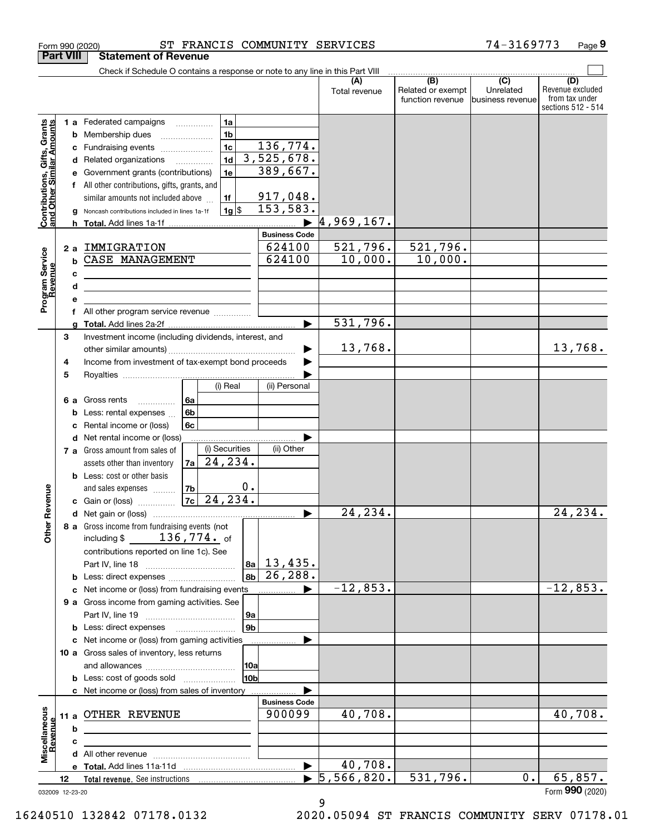|                                                           |        |   | Check if Schedule O contains a response or note to any line in this Part VIII |    |                 |                                                |               |                          |                  |                         |
|-----------------------------------------------------------|--------|---|-------------------------------------------------------------------------------|----|-----------------|------------------------------------------------|---------------|--------------------------|------------------|-------------------------|
|                                                           |        |   |                                                                               |    |                 |                                                | Total revenue | (B)<br>Related or exempt | (C)<br>Unrelated | (D)<br>Revenue excluded |
|                                                           |        |   |                                                                               |    |                 |                                                |               | function revenue         | business revenue | from tax under          |
|                                                           |        |   |                                                                               |    |                 |                                                |               |                          |                  | sections 512 - 514      |
| Contributions, Gifts, Grants<br>and Other Similar Amounts |        |   | 1 a Federated campaigns                                                       |    | 1a              |                                                |               |                          |                  |                         |
|                                                           |        |   | 1 <sub>b</sub><br><b>b</b> Membership dues<br>1 <sub>c</sub>                  |    |                 | 136,774.                                       |               |                          |                  |                         |
|                                                           |        |   | c Fundraising events                                                          |    | 1 <sub>d</sub>  | 3,525,678.                                     |               |                          |                  |                         |
|                                                           |        |   | d Related organizations<br>e Government grants (contributions)                |    | 1e              | 389,667.                                       |               |                          |                  |                         |
|                                                           |        |   | f All other contributions, gifts, grants, and                                 |    |                 |                                                |               |                          |                  |                         |
|                                                           |        |   | similar amounts not included above                                            |    | 1f              | 917,048.                                       |               |                          |                  |                         |
|                                                           |        |   | g Noncash contributions included in lines 1a-1f                               |    | $1g$ \$         | 153,583.                                       |               |                          |                  |                         |
|                                                           |        |   |                                                                               |    |                 |                                                | 4,969,167.    |                          |                  |                         |
|                                                           |        |   | 2 a IMMIGRATION                                                               |    |                 | <b>Business Code</b>                           |               |                          |                  |                         |
|                                                           |        |   |                                                                               |    |                 | 624100                                         | 521,796.      | 521,796.                 |                  |                         |
|                                                           |        |   | <b>b CASE MANAGEMENT</b>                                                      |    |                 | 624100                                         | 10,000.       | 10,000.                  |                  |                         |
| Program Service<br>Revenue                                |        | c |                                                                               |    |                 |                                                |               |                          |                  |                         |
|                                                           |        | d |                                                                               |    |                 |                                                |               |                          |                  |                         |
|                                                           |        |   |                                                                               |    |                 |                                                |               |                          |                  |                         |
|                                                           |        |   | f All other program service revenue                                           |    |                 |                                                |               |                          |                  |                         |
|                                                           |        |   |                                                                               |    |                 |                                                | 531,796.      |                          |                  |                         |
|                                                           | 3      |   | Investment income (including dividends, interest, and                         |    |                 |                                                |               |                          |                  |                         |
|                                                           |        |   |                                                                               |    |                 |                                                | 13,768.       |                          |                  | 13,768.                 |
|                                                           | 4<br>5 |   | Income from investment of tax-exempt bond proceeds                            |    |                 |                                                |               |                          |                  |                         |
|                                                           |        |   |                                                                               |    | (i) Real        | (ii) Personal                                  |               |                          |                  |                         |
|                                                           |        |   | 6 a Gross rents                                                               | 6а |                 |                                                |               |                          |                  |                         |
|                                                           |        |   | <b>b</b> Less: rental expenses $\ldots$                                       | 6b |                 |                                                |               |                          |                  |                         |
|                                                           |        |   | c Rental income or (loss)                                                     | 6c |                 |                                                |               |                          |                  |                         |
|                                                           |        |   | d Net rental income or (loss)                                                 |    |                 |                                                |               |                          |                  |                         |
|                                                           |        |   | 7 a Gross amount from sales of                                                |    | (i) Securities  | (ii) Other                                     |               |                          |                  |                         |
|                                                           |        |   | assets other than inventory                                                   |    | $ 7a $ 24, 234. |                                                |               |                          |                  |                         |
|                                                           |        |   | <b>b</b> Less: cost or other basis                                            |    |                 |                                                |               |                          |                  |                         |
|                                                           |        |   | and sales expenses                                                            | 7b |                 | 0.                                             |               |                          |                  |                         |
| her Revenue                                               |        |   | <b>c</b> Gain or (loss) $\ldots$                                              |    | $ 7c $ 24, 234. |                                                |               |                          |                  |                         |
|                                                           |        |   |                                                                               |    |                 |                                                | 24,234.       |                          |                  | 24,234.                 |
|                                                           |        |   | 8 a Gross income from fundraising events (not                                 |    |                 |                                                |               |                          |                  |                         |
| δ                                                         |        |   | including \$                                                                  |    | $136$ ,774. of  |                                                |               |                          |                  |                         |
|                                                           |        |   | contributions reported on line 1c). See                                       |    |                 |                                                |               |                          |                  |                         |
|                                                           |        |   | <b>b</b> Less: direct expenses <b>constants b</b>                             |    |                 | $ a_1 $ 13,435.<br>26, 288.<br> 8 <sub>b</sub> |               |                          |                  |                         |
|                                                           |        |   | c Net income or (loss) from fundraising events                                |    |                 |                                                | $-12,853.$    |                          |                  | $-12,853.$              |
|                                                           |        |   | 9 a Gross income from gaming activities. See                                  |    |                 |                                                |               |                          |                  |                         |
|                                                           |        |   |                                                                               |    |                 | 9a                                             |               |                          |                  |                         |
|                                                           |        |   | <b>b</b> Less: direct expenses <b>manually</b>                                |    |                 | l 9b                                           |               |                          |                  |                         |
|                                                           |        |   | c Net income or (loss) from gaming activities                                 |    |                 |                                                |               |                          |                  |                         |
|                                                           |        |   | 10 a Gross sales of inventory, less returns                                   |    |                 |                                                |               |                          |                  |                         |
|                                                           |        |   |                                                                               |    |                 | 10a                                            |               |                          |                  |                         |
|                                                           |        |   | <b>b</b> Less: cost of goods sold                                             |    |                 | 10b                                            |               |                          |                  |                         |
|                                                           |        |   | c Net income or (loss) from sales of inventory                                |    |                 |                                                |               |                          |                  |                         |
|                                                           |        |   |                                                                               |    |                 | <b>Business Code</b>                           |               |                          |                  |                         |
|                                                           |        |   | 11 a OTHER REVENUE                                                            |    |                 | 900099                                         | 40,708.       |                          |                  | 40,708.                 |
|                                                           |        | b |                                                                               |    |                 |                                                |               |                          |                  |                         |
| Miscellaneous<br>Revenue                                  |        | c |                                                                               |    |                 |                                                |               |                          |                  |                         |
|                                                           |        |   |                                                                               |    |                 |                                                | 40,708.       |                          |                  |                         |
|                                                           | 12     |   | Total revenue. See instructions                                               |    |                 |                                                | 5,566,820.    | 531,796.                 | 0.               | 65,857.                 |
| 032009 12-23-20                                           |        |   |                                                                               |    |                 |                                                |               |                          |                  | Form 990 (2020)         |

9

Form 990 (2020) ST FRANCIS COMMUNITY SERVICES 74-3169773 Page

**Part VIII Statement of Revenue**

16240510 132842 07178.0132 2020.05094 ST FRANCIS COMMUNITY SERV 07178.01

**9**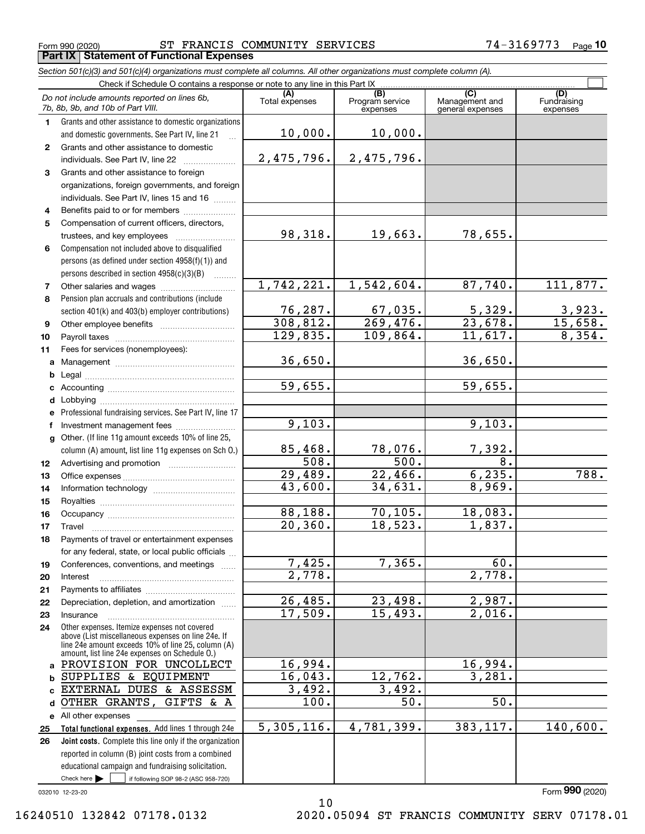Form 990 (2020) ST FRANCIS COMMUNITY SERVICES 74-3169773 <sub>Page</sub> **Part IX Statement of Functional Expenses**

### *Section 501(c)(3) and 501(c)(4) organizations must complete all columns. All other organizations must complete column (A).*

|              | Do not include amounts reported on lines 6b,<br>7b, 8b, 9b, and 10b of Part VIII.                                                                                                                          | (A)<br>Total expenses | (B)<br>Program service<br>expenses | (C)<br>Management and<br>general expenses | (D)<br>Fundraising<br>expenses |  |  |  |  |
|--------------|------------------------------------------------------------------------------------------------------------------------------------------------------------------------------------------------------------|-----------------------|------------------------------------|-------------------------------------------|--------------------------------|--|--|--|--|
| 1.           | Grants and other assistance to domestic organizations                                                                                                                                                      |                       |                                    |                                           |                                |  |  |  |  |
|              | and domestic governments. See Part IV, line 21                                                                                                                                                             | 10,000.               | $10,000$ .                         |                                           |                                |  |  |  |  |
| $\mathbf{2}$ | Grants and other assistance to domestic                                                                                                                                                                    |                       |                                    |                                           |                                |  |  |  |  |
|              | individuals. See Part IV, line 22                                                                                                                                                                          | 2,475,796.            | 2,475,796.                         |                                           |                                |  |  |  |  |
| 3            | Grants and other assistance to foreign                                                                                                                                                                     |                       |                                    |                                           |                                |  |  |  |  |
|              | organizations, foreign governments, and foreign                                                                                                                                                            |                       |                                    |                                           |                                |  |  |  |  |
|              | individuals. See Part IV, lines 15 and 16                                                                                                                                                                  |                       |                                    |                                           |                                |  |  |  |  |
| 4            | Benefits paid to or for members                                                                                                                                                                            |                       |                                    |                                           |                                |  |  |  |  |
| 5            | Compensation of current officers, directors,                                                                                                                                                               |                       |                                    |                                           |                                |  |  |  |  |
|              |                                                                                                                                                                                                            | 98,318.               | 19,663.                            | 78,655.                                   |                                |  |  |  |  |
| 6            | Compensation not included above to disqualified                                                                                                                                                            |                       |                                    |                                           |                                |  |  |  |  |
|              | persons (as defined under section 4958(f)(1)) and                                                                                                                                                          |                       |                                    |                                           |                                |  |  |  |  |
|              | persons described in section 4958(c)(3)(B)                                                                                                                                                                 |                       |                                    |                                           |                                |  |  |  |  |
| 7            | Other salaries and wages                                                                                                                                                                                   | 1,742,221.            | 1,542,604.                         | 87,740.                                   | 111,877.                       |  |  |  |  |
| 8            | Pension plan accruals and contributions (include                                                                                                                                                           |                       |                                    |                                           |                                |  |  |  |  |
|              | section 401(k) and 403(b) employer contributions)                                                                                                                                                          | 76, 287.<br>308, 812. | 67,035.<br>269, 476.               | 5,329.<br>23,678.                         | 3,923.<br>15,658.              |  |  |  |  |
| 9            |                                                                                                                                                                                                            | 129,835.              | 109,864.                           | 11,617.                                   | 8,354.                         |  |  |  |  |
| 10           |                                                                                                                                                                                                            |                       |                                    |                                           |                                |  |  |  |  |
| 11           | Fees for services (nonemployees):                                                                                                                                                                          | 36,650.               |                                    | 36,650.                                   |                                |  |  |  |  |
| a            |                                                                                                                                                                                                            |                       |                                    |                                           |                                |  |  |  |  |
| b<br>c       |                                                                                                                                                                                                            | 59,655.               |                                    | 59,655.                                   |                                |  |  |  |  |
| d            |                                                                                                                                                                                                            |                       |                                    |                                           |                                |  |  |  |  |
| e            | Professional fundraising services. See Part IV, line 17                                                                                                                                                    |                       |                                    |                                           |                                |  |  |  |  |
| f            | Investment management fees                                                                                                                                                                                 | 9,103.                |                                    | 9,103.                                    |                                |  |  |  |  |
| $\mathbf{q}$ | Other. (If line 11g amount exceeds 10% of line 25,                                                                                                                                                         |                       |                                    |                                           |                                |  |  |  |  |
|              | column (A) amount, list line 11g expenses on Sch 0.)                                                                                                                                                       | 85,468.               | 78,076.                            | 7,392.                                    |                                |  |  |  |  |
| 12           |                                                                                                                                                                                                            | $\overline{508}$ .    | $\overline{500}$ .                 | 8.                                        |                                |  |  |  |  |
| 13           |                                                                                                                                                                                                            | 29,489.               | 22,466.                            | 6, 235.                                   | $\overline{788}$ .             |  |  |  |  |
| 14           |                                                                                                                                                                                                            | 43,600.               | 34,631.                            | 8,969.                                    |                                |  |  |  |  |
| 15           |                                                                                                                                                                                                            |                       |                                    |                                           |                                |  |  |  |  |
| 16           |                                                                                                                                                                                                            | 88,188.               | 70, 105.                           | 18,083.                                   |                                |  |  |  |  |
| 17           | Travel                                                                                                                                                                                                     | 20, 360.              | 18,523.                            | 1,837.                                    |                                |  |  |  |  |
| 18           | Payments of travel or entertainment expenses                                                                                                                                                               |                       |                                    |                                           |                                |  |  |  |  |
|              | for any federal, state, or local public officials                                                                                                                                                          |                       |                                    |                                           |                                |  |  |  |  |
| 19           | Conferences, conventions, and meetings                                                                                                                                                                     | 7,425.                | 7,365.                             | 60.                                       |                                |  |  |  |  |
| 20           | Interest                                                                                                                                                                                                   | $\overline{2,778}$ .  |                                    | 2,778.                                    |                                |  |  |  |  |
| 21           |                                                                                                                                                                                                            |                       |                                    |                                           |                                |  |  |  |  |
| 22           | Depreciation, depletion, and amortization                                                                                                                                                                  | 26,485.<br>17,509.    | 23,498.<br>15,493.                 | 2,987.<br>$\overline{2,016}$ .            |                                |  |  |  |  |
| 23           | Insurance                                                                                                                                                                                                  |                       |                                    |                                           |                                |  |  |  |  |
| 24           | Other expenses. Itemize expenses not covered<br>above (List miscellaneous expenses on line 24e. If<br>line 24e amount exceeds 10% of line 25, column (A)<br>amount, list line 24e expenses on Schedule O.) |                       |                                    |                                           |                                |  |  |  |  |
| a            | PROVISION FOR UNCOLLECT                                                                                                                                                                                    | 16,994.               |                                    | 16,994.                                   |                                |  |  |  |  |
| b            | SUPPLIES & EQUIPMENT                                                                                                                                                                                       | 16,043.               | 12,762.                            | 3,281.                                    |                                |  |  |  |  |
| c            | EXTERNAL DUES & ASSESSM                                                                                                                                                                                    | 3,492.                | 3,492.                             |                                           |                                |  |  |  |  |
| d            | GIFTS & A<br>OTHER GRANTS,                                                                                                                                                                                 | $\overline{100}$ .    | 50.                                | 50.                                       |                                |  |  |  |  |
|              | e All other expenses                                                                                                                                                                                       |                       |                                    |                                           |                                |  |  |  |  |
| 25           | Total functional expenses. Add lines 1 through 24e                                                                                                                                                         | 5,305,116.            | 4,781,399.                         | 383, 117.                                 | 140,600.                       |  |  |  |  |
| 26           | Joint costs. Complete this line only if the organization                                                                                                                                                   |                       |                                    |                                           |                                |  |  |  |  |
|              | reported in column (B) joint costs from a combined                                                                                                                                                         |                       |                                    |                                           |                                |  |  |  |  |
|              | educational campaign and fundraising solicitation.                                                                                                                                                         |                       |                                    |                                           |                                |  |  |  |  |
|              | Check here $\blacktriangleright$<br>if following SOP 98-2 (ASC 958-720)                                                                                                                                    |                       |                                    |                                           |                                |  |  |  |  |
|              | 032010 12-23-20                                                                                                                                                                                            |                       |                                    |                                           | Form 990 (2020)                |  |  |  |  |

10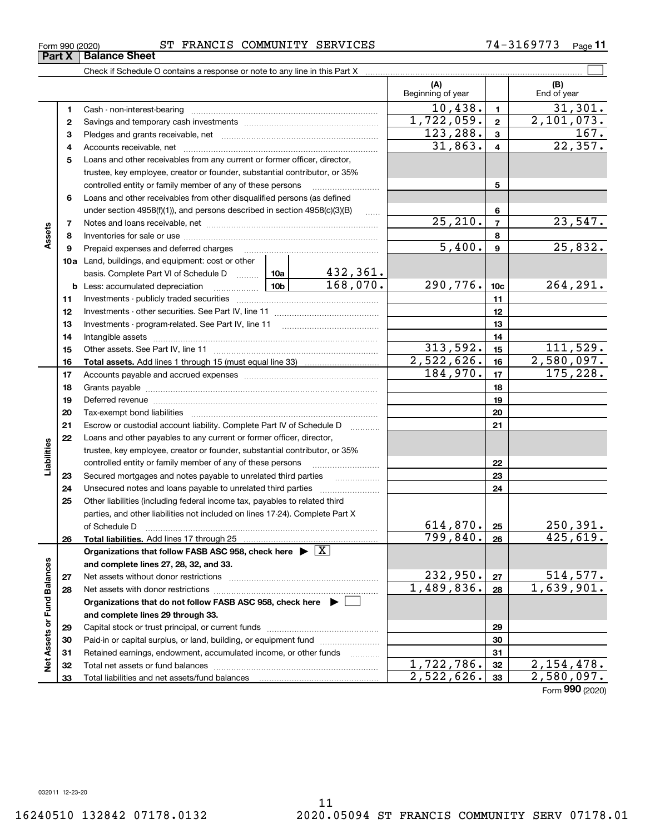**33**

Total liabilities and net assets/fund balances

**33**

 $2,522,626.$   $33$   $2,580,097.$ 

Form (2020) **990**

| Form 990 (2020)               |  |  |
|-------------------------------|--|--|
| <b>Part X   Balance Sheet</b> |  |  |

#### Form 990 (2020) ST FRANCIS COMMUNITY SERVICES 74-3169773 <sub>Page</sub>

Check if Schedule O contains a response or note to any line in this Part X

|                             |          |                                                                                                                                                                                                                                |            |                     | (A)<br>Beginning of year |                 | (B)<br>End of year   |
|-----------------------------|----------|--------------------------------------------------------------------------------------------------------------------------------------------------------------------------------------------------------------------------------|------------|---------------------|--------------------------|-----------------|----------------------|
|                             | 1        | Cash - non-interest-bearing                                                                                                                                                                                                    |            |                     | 10,438.                  | 1               | 31,301.              |
|                             | 2        |                                                                                                                                                                                                                                | 1,722,059. | $\mathbf{2}$        | 2,101,073.               |                 |                      |
|                             | з        |                                                                                                                                                                                                                                | 123,288.   | 3                   | 167.                     |                 |                      |
|                             | 4        |                                                                                                                                                                                                                                |            |                     | 31,863.                  | 4               | 22, 357.             |
|                             | 5        | Loans and other receivables from any current or former officer, director,                                                                                                                                                      |            |                     |                          |                 |                      |
|                             |          | trustee, key employee, creator or founder, substantial contributor, or 35%                                                                                                                                                     |            |                     |                          |                 |                      |
|                             |          | controlled entity or family member of any of these persons                                                                                                                                                                     |            |                     |                          | 5               |                      |
|                             | 6        | Loans and other receivables from other disqualified persons (as defined                                                                                                                                                        |            |                     |                          |                 |                      |
|                             |          | under section 4958(f)(1)), and persons described in section 4958(c)(3)(B)                                                                                                                                                      |            | $\sim$              |                          | 6               |                      |
|                             | 7        |                                                                                                                                                                                                                                |            |                     | $\overline{25,210}$ .    | $\overline{7}$  | 23,547.              |
| Assets                      | 8        |                                                                                                                                                                                                                                |            |                     |                          | 8               |                      |
|                             | 9        | Prepaid expenses and deferred charges                                                                                                                                                                                          |            |                     | 5,400.                   | 9               | 25,832.              |
|                             |          | 10a Land, buildings, and equipment: cost or other                                                                                                                                                                              |            |                     |                          |                 |                      |
|                             |          | basis. Complete Part VI of Schedule D    10a   432, 361.                                                                                                                                                                       |            |                     |                          |                 |                      |
|                             |          | <b>b</b> Less: accumulated depreciation                                                                                                                                                                                        |            | 168,070.            | 290,776.                 | 10 <sub>c</sub> | 264, 291.            |
|                             | 11       |                                                                                                                                                                                                                                |            |                     |                          | 11              |                      |
|                             | 12       |                                                                                                                                                                                                                                |            |                     |                          | 12              |                      |
|                             | 13       | Investments - program-related. See Part IV, line 11                                                                                                                                                                            |            |                     |                          | 13              |                      |
|                             | 14       |                                                                                                                                                                                                                                |            |                     | 14                       |                 |                      |
|                             | 15       |                                                                                                                                                                                                                                |            |                     | 313,592.                 | 15              | 111,529.             |
|                             | 16       |                                                                                                                                                                                                                                |            |                     | 2,522,626.               | 16              | 2,580,097.           |
|                             | 17       |                                                                                                                                                                                                                                | 184,970.   | 17                  | 175,228.                 |                 |                      |
|                             | 18       |                                                                                                                                                                                                                                |            | 18                  |                          |                 |                      |
|                             | 19       | Deferred revenue material contracts and a contract of the contract of the contract of the contract of the contract of the contract of the contract of the contract of the contract of the contract of the contract of the cont |            |                     |                          | 19              |                      |
|                             | 20       |                                                                                                                                                                                                                                |            |                     |                          | 20              |                      |
|                             | 21       | Escrow or custodial account liability. Complete Part IV of Schedule D                                                                                                                                                          |            | 1.1.1.1.1.1.1.1.1.1 |                          | 21              |                      |
|                             | 22       | Loans and other payables to any current or former officer, director,                                                                                                                                                           |            |                     |                          |                 |                      |
| Liabilities                 |          | trustee, key employee, creator or founder, substantial contributor, or 35%                                                                                                                                                     |            |                     |                          |                 |                      |
|                             |          | controlled entity or family member of any of these persons                                                                                                                                                                     |            |                     |                          | 22              |                      |
|                             | 23       | Secured mortgages and notes payable to unrelated third parties                                                                                                                                                                 |            |                     |                          | 23              |                      |
|                             | 24       |                                                                                                                                                                                                                                |            |                     |                          | 24              |                      |
|                             | 25       | Other liabilities (including federal income tax, payables to related third                                                                                                                                                     |            |                     |                          |                 |                      |
|                             |          | parties, and other liabilities not included on lines 17-24). Complete Part X                                                                                                                                                   |            |                     |                          |                 |                      |
|                             |          | of Schedule D                                                                                                                                                                                                                  |            |                     | 614,870.<br>799,840.     | 25              | 250,391.<br>425,619. |
|                             | 26       |                                                                                                                                                                                                                                |            |                     |                          | 26              |                      |
|                             |          | Organizations that follow FASB ASC 958, check here $\blacktriangleright \boxed{X}$                                                                                                                                             |            |                     |                          |                 |                      |
|                             |          | and complete lines 27, 28, 32, and 33.                                                                                                                                                                                         | 232,950.   |                     | 514,577.                 |                 |                      |
|                             | 27       | Net assets without donor restrictions                                                                                                                                                                                          |            |                     | 1,489,836.               | 27              | 1,639,901.           |
|                             | 28       | Net assets with donor restrictions                                                                                                                                                                                             |            |                     |                          | 28              |                      |
| Net Assets or Fund Balances |          | Organizations that do not follow FASB ASC 958, check here $\blacktriangleright$                                                                                                                                                |            |                     |                          |                 |                      |
|                             |          | and complete lines 29 through 33.                                                                                                                                                                                              |            |                     |                          |                 |                      |
|                             | 29       | Capital stock or trust principal, or current funds                                                                                                                                                                             |            |                     |                          | 29<br>30        |                      |
|                             | 30       |                                                                                                                                                                                                                                |            | .                   |                          | 31              |                      |
|                             | 31<br>32 | Retained earnings, endowment, accumulated income, or other funds                                                                                                                                                               | 1,722,786. | 32                  | 2,154,478.               |                 |                      |
|                             |          |                                                                                                                                                                                                                                |            |                     |                          |                 |                      |

 $\mathcal{L}^{\text{max}}$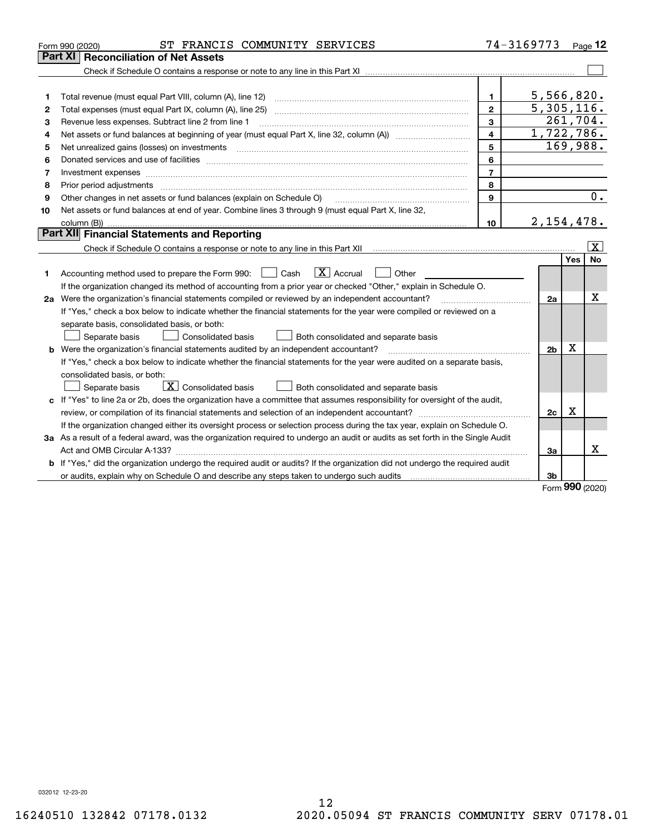| Part XI<br>Reconciliation of Net Assets<br>5,566,820.<br>$\mathbf{1}$<br>1<br>5,305,116.<br>$\overline{2}$<br>2<br>261,704.<br>3<br>Revenue less expenses. Subtract line 2 from line 1<br>з<br>1,722,786.<br>4<br>4<br>169,988.<br>5<br>5<br>6<br>6<br>$\overline{7}$<br>7<br>8<br>8<br>Prior period adjustments material contents and content of the content of the content of the content of the content of the content of the content of the content of the content of the content of the content of the content of<br>$\overline{0}$ .<br>$\mathbf{9}$<br>Other changes in net assets or fund balances (explain on Schedule O)<br>9<br>Net assets or fund balances at end of year. Combine lines 3 through 9 (must equal Part X, line 32,<br>10<br>2, 154, 478.<br>10<br>Part XII Financial Statements and Reporting<br>$\overline{\mathbf{X}}$<br>Yes<br><b>No</b><br>$\overline{X}$ Accrual<br>Accounting method used to prepare the Form 990: <u>June</u> Cash<br>Other<br>1<br>If the organization changed its method of accounting from a prior year or checked "Other," explain in Schedule O.<br>х<br>2a Were the organization's financial statements compiled or reviewed by an independent accountant?<br>2a<br>If "Yes," check a box below to indicate whether the financial statements for the year were compiled or reviewed on a<br>separate basis, consolidated basis, or both:<br>Separate basis<br>Consolidated basis<br>Both consolidated and separate basis<br>X<br>b Were the organization's financial statements audited by an independent accountant?<br>2 <sub>b</sub><br>If "Yes," check a box below to indicate whether the financial statements for the year were audited on a separate basis,<br>consolidated basis, or both:<br>$\boxed{\textbf{X}}$ Consolidated basis<br>Both consolidated and separate basis<br>Separate basis<br>c If "Yes" to line 2a or 2b, does the organization have a committee that assumes responsibility for oversight of the audit,<br>$\mathbf X$<br>2c<br>If the organization changed either its oversight process or selection process during the tax year, explain on Schedule O.<br>3a As a result of a federal award, was the organization required to undergo an audit or audits as set forth in the Single Audit<br>x<br>За<br>b If "Yes," did the organization undergo the required audit or audits? If the organization did not undergo the required audit<br>or audits, explain why on Schedule O and describe any steps taken to undergo such audits [11] content to under<br>3b<br><b>nnn</b> | ST FRANCIS COMMUNITY SERVICES<br>Form 990 (2020) | 74-3169773 | Page $12$ |
|------------------------------------------------------------------------------------------------------------------------------------------------------------------------------------------------------------------------------------------------------------------------------------------------------------------------------------------------------------------------------------------------------------------------------------------------------------------------------------------------------------------------------------------------------------------------------------------------------------------------------------------------------------------------------------------------------------------------------------------------------------------------------------------------------------------------------------------------------------------------------------------------------------------------------------------------------------------------------------------------------------------------------------------------------------------------------------------------------------------------------------------------------------------------------------------------------------------------------------------------------------------------------------------------------------------------------------------------------------------------------------------------------------------------------------------------------------------------------------------------------------------------------------------------------------------------------------------------------------------------------------------------------------------------------------------------------------------------------------------------------------------------------------------------------------------------------------------------------------------------------------------------------------------------------------------------------------------------------------------------------------------------------------------------------------------------------------------------------------------------------------------------------------------------------------------------------------------------------------------------------------------------------------------------------------------------------------------------------------------------------------------------------------------------------------------------------------------------------------------------------------------------------------------------------------------------|--------------------------------------------------|------------|-----------|
|                                                                                                                                                                                                                                                                                                                                                                                                                                                                                                                                                                                                                                                                                                                                                                                                                                                                                                                                                                                                                                                                                                                                                                                                                                                                                                                                                                                                                                                                                                                                                                                                                                                                                                                                                                                                                                                                                                                                                                                                                                                                                                                                                                                                                                                                                                                                                                                                                                                                                                                                                                        |                                                  |            |           |
|                                                                                                                                                                                                                                                                                                                                                                                                                                                                                                                                                                                                                                                                                                                                                                                                                                                                                                                                                                                                                                                                                                                                                                                                                                                                                                                                                                                                                                                                                                                                                                                                                                                                                                                                                                                                                                                                                                                                                                                                                                                                                                                                                                                                                                                                                                                                                                                                                                                                                                                                                                        |                                                  |            |           |
|                                                                                                                                                                                                                                                                                                                                                                                                                                                                                                                                                                                                                                                                                                                                                                                                                                                                                                                                                                                                                                                                                                                                                                                                                                                                                                                                                                                                                                                                                                                                                                                                                                                                                                                                                                                                                                                                                                                                                                                                                                                                                                                                                                                                                                                                                                                                                                                                                                                                                                                                                                        |                                                  |            |           |
|                                                                                                                                                                                                                                                                                                                                                                                                                                                                                                                                                                                                                                                                                                                                                                                                                                                                                                                                                                                                                                                                                                                                                                                                                                                                                                                                                                                                                                                                                                                                                                                                                                                                                                                                                                                                                                                                                                                                                                                                                                                                                                                                                                                                                                                                                                                                                                                                                                                                                                                                                                        |                                                  |            |           |
|                                                                                                                                                                                                                                                                                                                                                                                                                                                                                                                                                                                                                                                                                                                                                                                                                                                                                                                                                                                                                                                                                                                                                                                                                                                                                                                                                                                                                                                                                                                                                                                                                                                                                                                                                                                                                                                                                                                                                                                                                                                                                                                                                                                                                                                                                                                                                                                                                                                                                                                                                                        |                                                  |            |           |
|                                                                                                                                                                                                                                                                                                                                                                                                                                                                                                                                                                                                                                                                                                                                                                                                                                                                                                                                                                                                                                                                                                                                                                                                                                                                                                                                                                                                                                                                                                                                                                                                                                                                                                                                                                                                                                                                                                                                                                                                                                                                                                                                                                                                                                                                                                                                                                                                                                                                                                                                                                        |                                                  |            |           |
|                                                                                                                                                                                                                                                                                                                                                                                                                                                                                                                                                                                                                                                                                                                                                                                                                                                                                                                                                                                                                                                                                                                                                                                                                                                                                                                                                                                                                                                                                                                                                                                                                                                                                                                                                                                                                                                                                                                                                                                                                                                                                                                                                                                                                                                                                                                                                                                                                                                                                                                                                                        |                                                  |            |           |
|                                                                                                                                                                                                                                                                                                                                                                                                                                                                                                                                                                                                                                                                                                                                                                                                                                                                                                                                                                                                                                                                                                                                                                                                                                                                                                                                                                                                                                                                                                                                                                                                                                                                                                                                                                                                                                                                                                                                                                                                                                                                                                                                                                                                                                                                                                                                                                                                                                                                                                                                                                        |                                                  |            |           |
|                                                                                                                                                                                                                                                                                                                                                                                                                                                                                                                                                                                                                                                                                                                                                                                                                                                                                                                                                                                                                                                                                                                                                                                                                                                                                                                                                                                                                                                                                                                                                                                                                                                                                                                                                                                                                                                                                                                                                                                                                                                                                                                                                                                                                                                                                                                                                                                                                                                                                                                                                                        |                                                  |            |           |
|                                                                                                                                                                                                                                                                                                                                                                                                                                                                                                                                                                                                                                                                                                                                                                                                                                                                                                                                                                                                                                                                                                                                                                                                                                                                                                                                                                                                                                                                                                                                                                                                                                                                                                                                                                                                                                                                                                                                                                                                                                                                                                                                                                                                                                                                                                                                                                                                                                                                                                                                                                        |                                                  |            |           |
|                                                                                                                                                                                                                                                                                                                                                                                                                                                                                                                                                                                                                                                                                                                                                                                                                                                                                                                                                                                                                                                                                                                                                                                                                                                                                                                                                                                                                                                                                                                                                                                                                                                                                                                                                                                                                                                                                                                                                                                                                                                                                                                                                                                                                                                                                                                                                                                                                                                                                                                                                                        |                                                  |            |           |
|                                                                                                                                                                                                                                                                                                                                                                                                                                                                                                                                                                                                                                                                                                                                                                                                                                                                                                                                                                                                                                                                                                                                                                                                                                                                                                                                                                                                                                                                                                                                                                                                                                                                                                                                                                                                                                                                                                                                                                                                                                                                                                                                                                                                                                                                                                                                                                                                                                                                                                                                                                        |                                                  |            |           |
|                                                                                                                                                                                                                                                                                                                                                                                                                                                                                                                                                                                                                                                                                                                                                                                                                                                                                                                                                                                                                                                                                                                                                                                                                                                                                                                                                                                                                                                                                                                                                                                                                                                                                                                                                                                                                                                                                                                                                                                                                                                                                                                                                                                                                                                                                                                                                                                                                                                                                                                                                                        |                                                  |            |           |
|                                                                                                                                                                                                                                                                                                                                                                                                                                                                                                                                                                                                                                                                                                                                                                                                                                                                                                                                                                                                                                                                                                                                                                                                                                                                                                                                                                                                                                                                                                                                                                                                                                                                                                                                                                                                                                                                                                                                                                                                                                                                                                                                                                                                                                                                                                                                                                                                                                                                                                                                                                        |                                                  |            |           |
|                                                                                                                                                                                                                                                                                                                                                                                                                                                                                                                                                                                                                                                                                                                                                                                                                                                                                                                                                                                                                                                                                                                                                                                                                                                                                                                                                                                                                                                                                                                                                                                                                                                                                                                                                                                                                                                                                                                                                                                                                                                                                                                                                                                                                                                                                                                                                                                                                                                                                                                                                                        |                                                  |            |           |
|                                                                                                                                                                                                                                                                                                                                                                                                                                                                                                                                                                                                                                                                                                                                                                                                                                                                                                                                                                                                                                                                                                                                                                                                                                                                                                                                                                                                                                                                                                                                                                                                                                                                                                                                                                                                                                                                                                                                                                                                                                                                                                                                                                                                                                                                                                                                                                                                                                                                                                                                                                        |                                                  |            |           |
|                                                                                                                                                                                                                                                                                                                                                                                                                                                                                                                                                                                                                                                                                                                                                                                                                                                                                                                                                                                                                                                                                                                                                                                                                                                                                                                                                                                                                                                                                                                                                                                                                                                                                                                                                                                                                                                                                                                                                                                                                                                                                                                                                                                                                                                                                                                                                                                                                                                                                                                                                                        |                                                  |            |           |
|                                                                                                                                                                                                                                                                                                                                                                                                                                                                                                                                                                                                                                                                                                                                                                                                                                                                                                                                                                                                                                                                                                                                                                                                                                                                                                                                                                                                                                                                                                                                                                                                                                                                                                                                                                                                                                                                                                                                                                                                                                                                                                                                                                                                                                                                                                                                                                                                                                                                                                                                                                        |                                                  |            |           |
|                                                                                                                                                                                                                                                                                                                                                                                                                                                                                                                                                                                                                                                                                                                                                                                                                                                                                                                                                                                                                                                                                                                                                                                                                                                                                                                                                                                                                                                                                                                                                                                                                                                                                                                                                                                                                                                                                                                                                                                                                                                                                                                                                                                                                                                                                                                                                                                                                                                                                                                                                                        |                                                  |            |           |
|                                                                                                                                                                                                                                                                                                                                                                                                                                                                                                                                                                                                                                                                                                                                                                                                                                                                                                                                                                                                                                                                                                                                                                                                                                                                                                                                                                                                                                                                                                                                                                                                                                                                                                                                                                                                                                                                                                                                                                                                                                                                                                                                                                                                                                                                                                                                                                                                                                                                                                                                                                        |                                                  |            |           |
|                                                                                                                                                                                                                                                                                                                                                                                                                                                                                                                                                                                                                                                                                                                                                                                                                                                                                                                                                                                                                                                                                                                                                                                                                                                                                                                                                                                                                                                                                                                                                                                                                                                                                                                                                                                                                                                                                                                                                                                                                                                                                                                                                                                                                                                                                                                                                                                                                                                                                                                                                                        |                                                  |            |           |
|                                                                                                                                                                                                                                                                                                                                                                                                                                                                                                                                                                                                                                                                                                                                                                                                                                                                                                                                                                                                                                                                                                                                                                                                                                                                                                                                                                                                                                                                                                                                                                                                                                                                                                                                                                                                                                                                                                                                                                                                                                                                                                                                                                                                                                                                                                                                                                                                                                                                                                                                                                        |                                                  |            |           |
|                                                                                                                                                                                                                                                                                                                                                                                                                                                                                                                                                                                                                                                                                                                                                                                                                                                                                                                                                                                                                                                                                                                                                                                                                                                                                                                                                                                                                                                                                                                                                                                                                                                                                                                                                                                                                                                                                                                                                                                                                                                                                                                                                                                                                                                                                                                                                                                                                                                                                                                                                                        |                                                  |            |           |
|                                                                                                                                                                                                                                                                                                                                                                                                                                                                                                                                                                                                                                                                                                                                                                                                                                                                                                                                                                                                                                                                                                                                                                                                                                                                                                                                                                                                                                                                                                                                                                                                                                                                                                                                                                                                                                                                                                                                                                                                                                                                                                                                                                                                                                                                                                                                                                                                                                                                                                                                                                        |                                                  |            |           |
|                                                                                                                                                                                                                                                                                                                                                                                                                                                                                                                                                                                                                                                                                                                                                                                                                                                                                                                                                                                                                                                                                                                                                                                                                                                                                                                                                                                                                                                                                                                                                                                                                                                                                                                                                                                                                                                                                                                                                                                                                                                                                                                                                                                                                                                                                                                                                                                                                                                                                                                                                                        |                                                  |            |           |
|                                                                                                                                                                                                                                                                                                                                                                                                                                                                                                                                                                                                                                                                                                                                                                                                                                                                                                                                                                                                                                                                                                                                                                                                                                                                                                                                                                                                                                                                                                                                                                                                                                                                                                                                                                                                                                                                                                                                                                                                                                                                                                                                                                                                                                                                                                                                                                                                                                                                                                                                                                        |                                                  |            |           |
|                                                                                                                                                                                                                                                                                                                                                                                                                                                                                                                                                                                                                                                                                                                                                                                                                                                                                                                                                                                                                                                                                                                                                                                                                                                                                                                                                                                                                                                                                                                                                                                                                                                                                                                                                                                                                                                                                                                                                                                                                                                                                                                                                                                                                                                                                                                                                                                                                                                                                                                                                                        |                                                  |            |           |
|                                                                                                                                                                                                                                                                                                                                                                                                                                                                                                                                                                                                                                                                                                                                                                                                                                                                                                                                                                                                                                                                                                                                                                                                                                                                                                                                                                                                                                                                                                                                                                                                                                                                                                                                                                                                                                                                                                                                                                                                                                                                                                                                                                                                                                                                                                                                                                                                                                                                                                                                                                        |                                                  |            |           |
|                                                                                                                                                                                                                                                                                                                                                                                                                                                                                                                                                                                                                                                                                                                                                                                                                                                                                                                                                                                                                                                                                                                                                                                                                                                                                                                                                                                                                                                                                                                                                                                                                                                                                                                                                                                                                                                                                                                                                                                                                                                                                                                                                                                                                                                                                                                                                                                                                                                                                                                                                                        |                                                  |            |           |
|                                                                                                                                                                                                                                                                                                                                                                                                                                                                                                                                                                                                                                                                                                                                                                                                                                                                                                                                                                                                                                                                                                                                                                                                                                                                                                                                                                                                                                                                                                                                                                                                                                                                                                                                                                                                                                                                                                                                                                                                                                                                                                                                                                                                                                                                                                                                                                                                                                                                                                                                                                        |                                                  |            |           |
|                                                                                                                                                                                                                                                                                                                                                                                                                                                                                                                                                                                                                                                                                                                                                                                                                                                                                                                                                                                                                                                                                                                                                                                                                                                                                                                                                                                                                                                                                                                                                                                                                                                                                                                                                                                                                                                                                                                                                                                                                                                                                                                                                                                                                                                                                                                                                                                                                                                                                                                                                                        |                                                  |            |           |
|                                                                                                                                                                                                                                                                                                                                                                                                                                                                                                                                                                                                                                                                                                                                                                                                                                                                                                                                                                                                                                                                                                                                                                                                                                                                                                                                                                                                                                                                                                                                                                                                                                                                                                                                                                                                                                                                                                                                                                                                                                                                                                                                                                                                                                                                                                                                                                                                                                                                                                                                                                        |                                                  |            |           |
|                                                                                                                                                                                                                                                                                                                                                                                                                                                                                                                                                                                                                                                                                                                                                                                                                                                                                                                                                                                                                                                                                                                                                                                                                                                                                                                                                                                                                                                                                                                                                                                                                                                                                                                                                                                                                                                                                                                                                                                                                                                                                                                                                                                                                                                                                                                                                                                                                                                                                                                                                                        |                                                  |            |           |
|                                                                                                                                                                                                                                                                                                                                                                                                                                                                                                                                                                                                                                                                                                                                                                                                                                                                                                                                                                                                                                                                                                                                                                                                                                                                                                                                                                                                                                                                                                                                                                                                                                                                                                                                                                                                                                                                                                                                                                                                                                                                                                                                                                                                                                                                                                                                                                                                                                                                                                                                                                        |                                                  |            |           |

Form (2020) **990**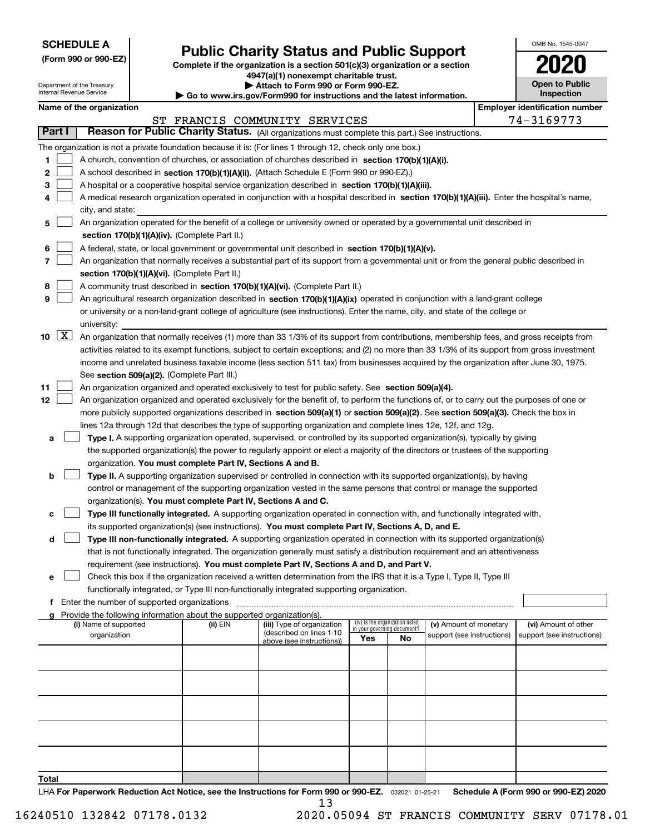| <b>SCHEDULE A</b> |
|-------------------|
|-------------------|

Department of the Treasury Internal Revenue Service

**(Form 990 or 990-EZ)**

# **Public Charity Status and Public Support**

**Complete if the organization is a section 501(c)(3) organization or a section 4947(a)(1) nonexempt charitable trust.**

**| Attach to Form 990 or Form 990-EZ.** 

**| Go to www.irs.gov/Form990 for instructions and the latest information.**

| OMB No 1545-0047                    |
|-------------------------------------|
| 020                                 |
| <b>Open to Public</b><br>Inspection |

| Name of the organization |  |
|--------------------------|--|
|--------------------------|--|

|       |                    | Name of the organization                                                                                                                     |          |                                                        |                                                                |    |                                                      |  | <b>Employer identification number</b> |  |  |  |
|-------|--------------------|----------------------------------------------------------------------------------------------------------------------------------------------|----------|--------------------------------------------------------|----------------------------------------------------------------|----|------------------------------------------------------|--|---------------------------------------|--|--|--|
|       |                    |                                                                                                                                              |          | ST FRANCIS COMMUNITY SERVICES                          |                                                                |    |                                                      |  | 74-3169773                            |  |  |  |
|       | Part I             | Reason for Public Charity Status. (All organizations must complete this part.) See instructions.                                             |          |                                                        |                                                                |    |                                                      |  |                                       |  |  |  |
|       |                    | The organization is not a private foundation because it is: (For lines 1 through 12, check only one box.)                                    |          |                                                        |                                                                |    |                                                      |  |                                       |  |  |  |
| 1.    |                    | A church, convention of churches, or association of churches described in section 170(b)(1)(A)(i).                                           |          |                                                        |                                                                |    |                                                      |  |                                       |  |  |  |
| 2     |                    | A school described in section 170(b)(1)(A)(ii). (Attach Schedule E (Form 990 or 990-EZ).)                                                    |          |                                                        |                                                                |    |                                                      |  |                                       |  |  |  |
| 3     |                    | A hospital or a cooperative hospital service organization described in section $170(b)(1)(A)(iii)$ .                                         |          |                                                        |                                                                |    |                                                      |  |                                       |  |  |  |
| 4     |                    | A medical research organization operated in conjunction with a hospital described in section 170(b)(1)(A)(iii). Enter the hospital's name,   |          |                                                        |                                                                |    |                                                      |  |                                       |  |  |  |
|       |                    | city, and state:                                                                                                                             |          |                                                        |                                                                |    |                                                      |  |                                       |  |  |  |
| 5     |                    | An organization operated for the benefit of a college or university owned or operated by a governmental unit described in                    |          |                                                        |                                                                |    |                                                      |  |                                       |  |  |  |
|       |                    | section 170(b)(1)(A)(iv). (Complete Part II.)                                                                                                |          |                                                        |                                                                |    |                                                      |  |                                       |  |  |  |
| 6     |                    | A federal, state, or local government or governmental unit described in section 170(b)(1)(A)(v).                                             |          |                                                        |                                                                |    |                                                      |  |                                       |  |  |  |
| 7     |                    | An organization that normally receives a substantial part of its support from a governmental unit or from the general public described in    |          |                                                        |                                                                |    |                                                      |  |                                       |  |  |  |
|       |                    | section 170(b)(1)(A)(vi). (Complete Part II.)                                                                                                |          |                                                        |                                                                |    |                                                      |  |                                       |  |  |  |
| 8     |                    | A community trust described in section 170(b)(1)(A)(vi). (Complete Part II.)                                                                 |          |                                                        |                                                                |    |                                                      |  |                                       |  |  |  |
| 9     |                    | An agricultural research organization described in section 170(b)(1)(A)(ix) operated in conjunction with a land-grant college                |          |                                                        |                                                                |    |                                                      |  |                                       |  |  |  |
|       |                    | or university or a non-land-grant college of agriculture (see instructions). Enter the name, city, and state of the college or               |          |                                                        |                                                                |    |                                                      |  |                                       |  |  |  |
|       |                    | university:                                                                                                                                  |          |                                                        |                                                                |    |                                                      |  |                                       |  |  |  |
| 10    | $\boxed{\text{X}}$ | An organization that normally receives (1) more than 33 1/3% of its support from contributions, membership fees, and gross receipts from     |          |                                                        |                                                                |    |                                                      |  |                                       |  |  |  |
|       |                    | activities related to its exempt functions, subject to certain exceptions; and (2) no more than 33 1/3% of its support from gross investment |          |                                                        |                                                                |    |                                                      |  |                                       |  |  |  |
|       |                    | income and unrelated business taxable income (less section 511 tax) from businesses acquired by the organization after June 30, 1975.        |          |                                                        |                                                                |    |                                                      |  |                                       |  |  |  |
|       |                    | See section 509(a)(2). (Complete Part III.)                                                                                                  |          |                                                        |                                                                |    |                                                      |  |                                       |  |  |  |
| 11    |                    | An organization organized and operated exclusively to test for public safety. See section 509(a)(4).                                         |          |                                                        |                                                                |    |                                                      |  |                                       |  |  |  |
| 12    |                    | An organization organized and operated exclusively for the benefit of, to perform the functions of, or to carry out the purposes of one or   |          |                                                        |                                                                |    |                                                      |  |                                       |  |  |  |
|       |                    | more publicly supported organizations described in section 509(a)(1) or section 509(a)(2). See section 509(a)(3). Check the box in           |          |                                                        |                                                                |    |                                                      |  |                                       |  |  |  |
|       |                    | lines 12a through 12d that describes the type of supporting organization and complete lines 12e, 12f, and 12g.                               |          |                                                        |                                                                |    |                                                      |  |                                       |  |  |  |
| а     |                    | Type I. A supporting organization operated, supervised, or controlled by its supported organization(s), typically by giving                  |          |                                                        |                                                                |    |                                                      |  |                                       |  |  |  |
|       |                    | the supported organization(s) the power to regularly appoint or elect a majority of the directors or trustees of the supporting              |          |                                                        |                                                                |    |                                                      |  |                                       |  |  |  |
|       |                    | organization. You must complete Part IV, Sections A and B.                                                                                   |          |                                                        |                                                                |    |                                                      |  |                                       |  |  |  |
| b     |                    | Type II. A supporting organization supervised or controlled in connection with its supported organization(s), by having                      |          |                                                        |                                                                |    |                                                      |  |                                       |  |  |  |
|       |                    | control or management of the supporting organization vested in the same persons that control or manage the supported                         |          |                                                        |                                                                |    |                                                      |  |                                       |  |  |  |
|       |                    | organization(s). You must complete Part IV, Sections A and C.                                                                                |          |                                                        |                                                                |    |                                                      |  |                                       |  |  |  |
| с     |                    | Type III functionally integrated. A supporting organization operated in connection with, and functionally integrated with,                   |          |                                                        |                                                                |    |                                                      |  |                                       |  |  |  |
|       |                    | its supported organization(s) (see instructions). You must complete Part IV, Sections A, D, and E.                                           |          |                                                        |                                                                |    |                                                      |  |                                       |  |  |  |
| d     |                    | Type III non-functionally integrated. A supporting organization operated in connection with its supported organization(s)                    |          |                                                        |                                                                |    |                                                      |  |                                       |  |  |  |
|       |                    | that is not functionally integrated. The organization generally must satisfy a distribution requirement and an attentiveness                 |          |                                                        |                                                                |    |                                                      |  |                                       |  |  |  |
|       |                    | requirement (see instructions). You must complete Part IV, Sections A and D, and Part V.                                                     |          |                                                        |                                                                |    |                                                      |  |                                       |  |  |  |
|       |                    | Check this box if the organization received a written determination from the IRS that it is a Type I, Type II, Type III                      |          |                                                        |                                                                |    |                                                      |  |                                       |  |  |  |
|       |                    | functionally integrated, or Type III non-functionally integrated supporting organization.                                                    |          |                                                        |                                                                |    |                                                      |  |                                       |  |  |  |
|       |                    | f Enter the number of supported organizations                                                                                                |          |                                                        |                                                                |    |                                                      |  |                                       |  |  |  |
|       |                    | g Provide the following information about the supported organization(s).                                                                     |          |                                                        |                                                                |    |                                                      |  |                                       |  |  |  |
|       |                    | (i) Name of supported                                                                                                                        | (ii) EIN | (iii) Type of organization<br>(described on lines 1-10 | (iv) Is the organization listed<br>in your governing document? |    | (v) Amount of monetary<br>support (see instructions) |  | (vi) Amount of other                  |  |  |  |
|       |                    | organization                                                                                                                                 |          | above (see instructions))                              | Yes                                                            | No |                                                      |  | support (see instructions)            |  |  |  |
|       |                    |                                                                                                                                              |          |                                                        |                                                                |    |                                                      |  |                                       |  |  |  |
|       |                    |                                                                                                                                              |          |                                                        |                                                                |    |                                                      |  |                                       |  |  |  |
|       |                    |                                                                                                                                              |          |                                                        |                                                                |    |                                                      |  |                                       |  |  |  |
|       |                    |                                                                                                                                              |          |                                                        |                                                                |    |                                                      |  |                                       |  |  |  |
|       |                    |                                                                                                                                              |          |                                                        |                                                                |    |                                                      |  |                                       |  |  |  |
|       |                    |                                                                                                                                              |          |                                                        |                                                                |    |                                                      |  |                                       |  |  |  |
|       |                    |                                                                                                                                              |          |                                                        |                                                                |    |                                                      |  |                                       |  |  |  |
|       |                    |                                                                                                                                              |          |                                                        |                                                                |    |                                                      |  |                                       |  |  |  |
|       |                    |                                                                                                                                              |          |                                                        |                                                                |    |                                                      |  |                                       |  |  |  |
|       |                    |                                                                                                                                              |          |                                                        |                                                                |    |                                                      |  |                                       |  |  |  |
| Total |                    |                                                                                                                                              |          |                                                        |                                                                |    |                                                      |  |                                       |  |  |  |

LHA For Paperwork Reduction Act Notice, see the Instructions for Form 990 or 990-EZ. <sub>032021</sub> o1-25-21 Schedule A (Form 990 or 990-EZ) 2020 13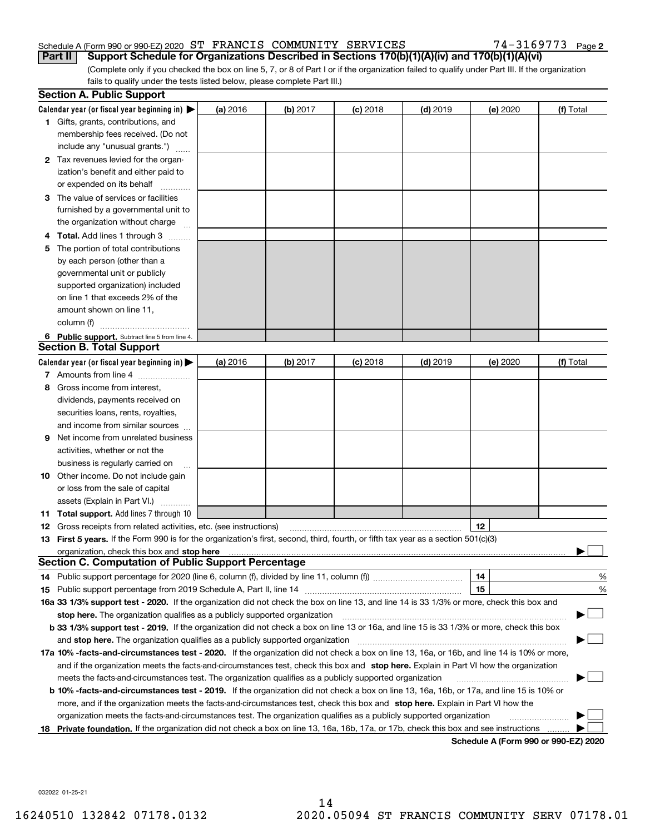#### Schedule A (Form 990 or 990-EZ) 2020 Page ST FRANCIS COMMUNITY SERVICES 74-3169773 **Part II** Support Schedule for Organizations Described in Sections 170(b)(1)(A)(iv) and 170(b)(1)(A)(vi)

74-3169773 Page 2

(Complete only if you checked the box on line 5, 7, or 8 of Part I or if the organization failed to qualify under Part III. If the organization fails to qualify under the tests listed below, please complete Part III.)

|    | <b>Section A. Public Support</b>                                                                                                                                                                                              |          |          |            |            |          |                                      |
|----|-------------------------------------------------------------------------------------------------------------------------------------------------------------------------------------------------------------------------------|----------|----------|------------|------------|----------|--------------------------------------|
|    | Calendar year (or fiscal year beginning in) $\blacktriangleright$                                                                                                                                                             | (a) 2016 | (b) 2017 | $(c)$ 2018 | $(d)$ 2019 | (e) 2020 | (f) Total                            |
|    | <b>1</b> Gifts, grants, contributions, and                                                                                                                                                                                    |          |          |            |            |          |                                      |
|    | membership fees received. (Do not                                                                                                                                                                                             |          |          |            |            |          |                                      |
|    | include any "unusual grants.")                                                                                                                                                                                                |          |          |            |            |          |                                      |
|    | 2 Tax revenues levied for the organ-                                                                                                                                                                                          |          |          |            |            |          |                                      |
|    | ization's benefit and either paid to                                                                                                                                                                                          |          |          |            |            |          |                                      |
|    | or expended on its behalf                                                                                                                                                                                                     |          |          |            |            |          |                                      |
|    | 3 The value of services or facilities                                                                                                                                                                                         |          |          |            |            |          |                                      |
|    | furnished by a governmental unit to                                                                                                                                                                                           |          |          |            |            |          |                                      |
|    | the organization without charge                                                                                                                                                                                               |          |          |            |            |          |                                      |
|    | <b>4 Total.</b> Add lines 1 through 3                                                                                                                                                                                         |          |          |            |            |          |                                      |
| 5. | The portion of total contributions                                                                                                                                                                                            |          |          |            |            |          |                                      |
|    | by each person (other than a                                                                                                                                                                                                  |          |          |            |            |          |                                      |
|    | governmental unit or publicly                                                                                                                                                                                                 |          |          |            |            |          |                                      |
|    | supported organization) included                                                                                                                                                                                              |          |          |            |            |          |                                      |
|    | on line 1 that exceeds 2% of the                                                                                                                                                                                              |          |          |            |            |          |                                      |
|    | amount shown on line 11,                                                                                                                                                                                                      |          |          |            |            |          |                                      |
|    | column (f)                                                                                                                                                                                                                    |          |          |            |            |          |                                      |
|    | 6 Public support. Subtract line 5 from line 4.                                                                                                                                                                                |          |          |            |            |          |                                      |
|    | <b>Section B. Total Support</b>                                                                                                                                                                                               |          |          |            |            |          |                                      |
|    | Calendar year (or fiscal year beginning in) $\blacktriangleright$                                                                                                                                                             | (a) 2016 | (b) 2017 | $(c)$ 2018 | $(d)$ 2019 | (e) 2020 | (f) Total                            |
|    | 7 Amounts from line 4                                                                                                                                                                                                         |          |          |            |            |          |                                      |
| 8  | Gross income from interest,                                                                                                                                                                                                   |          |          |            |            |          |                                      |
|    | dividends, payments received on                                                                                                                                                                                               |          |          |            |            |          |                                      |
|    | securities loans, rents, royalties,                                                                                                                                                                                           |          |          |            |            |          |                                      |
|    | and income from similar sources                                                                                                                                                                                               |          |          |            |            |          |                                      |
| 9  | Net income from unrelated business                                                                                                                                                                                            |          |          |            |            |          |                                      |
|    | activities, whether or not the                                                                                                                                                                                                |          |          |            |            |          |                                      |
|    | business is regularly carried on                                                                                                                                                                                              |          |          |            |            |          |                                      |
|    | <b>10</b> Other income. Do not include gain                                                                                                                                                                                   |          |          |            |            |          |                                      |
|    | or loss from the sale of capital                                                                                                                                                                                              |          |          |            |            |          |                                      |
|    | assets (Explain in Part VI.)                                                                                                                                                                                                  |          |          |            |            |          |                                      |
|    | 11 Total support. Add lines 7 through 10                                                                                                                                                                                      |          |          |            |            |          |                                      |
|    | <b>12</b> Gross receipts from related activities, etc. (see instructions)                                                                                                                                                     |          |          |            |            | 12       |                                      |
|    | 13 First 5 years. If the Form 990 is for the organization's first, second, third, fourth, or fifth tax year as a section 501(c)(3)                                                                                            |          |          |            |            |          |                                      |
|    | organization, check this box and stop here manufactured and state and state and state and state and state and stop here and stop here are all and state and state and state and state and state and state and state and state |          |          |            |            |          |                                      |
|    | <b>Section C. Computation of Public Support Percentage</b>                                                                                                                                                                    |          |          |            |            |          |                                      |
|    | 14 Public support percentage for 2020 (line 6, column (f), divided by line 11, column (f) <i>mummumumum</i>                                                                                                                   |          |          |            |            | 14       | %                                    |
|    |                                                                                                                                                                                                                               |          |          |            |            | 15       | %                                    |
|    | 16a 33 1/3% support test - 2020. If the organization did not check the box on line 13, and line 14 is 33 1/3% or more, check this box and                                                                                     |          |          |            |            |          |                                      |
|    | stop here. The organization qualifies as a publicly supported organization                                                                                                                                                    |          |          |            |            |          |                                      |
|    | b 33 1/3% support test - 2019. If the organization did not check a box on line 13 or 16a, and line 15 is 33 1/3% or more, check this box                                                                                      |          |          |            |            |          |                                      |
|    | and stop here. The organization qualifies as a publicly supported organization                                                                                                                                                |          |          |            |            |          |                                      |
|    | 17a 10% -facts-and-circumstances test - 2020. If the organization did not check a box on line 13, 16a, or 16b, and line 14 is 10% or more,                                                                                    |          |          |            |            |          |                                      |
|    | and if the organization meets the facts-and-circumstances test, check this box and stop here. Explain in Part VI how the organization                                                                                         |          |          |            |            |          |                                      |
|    | meets the facts-and-circumstances test. The organization qualifies as a publicly supported organization                                                                                                                       |          |          |            |            |          |                                      |
|    | <b>b 10% -facts-and-circumstances test - 2019.</b> If the organization did not check a box on line 13, 16a, 16b, or 17a, and line 15 is 10% or                                                                                |          |          |            |            |          |                                      |
|    | more, and if the organization meets the facts-and-circumstances test, check this box and stop here. Explain in Part VI how the                                                                                                |          |          |            |            |          |                                      |
|    | organization meets the facts-and-circumstances test. The organization qualifies as a publicly supported organization                                                                                                          |          |          |            |            |          |                                      |
|    | 18 Private foundation. If the organization did not check a box on line 13, 16a, 16b, 17a, or 17b, check this box and see instructions                                                                                         |          |          |            |            |          |                                      |
|    |                                                                                                                                                                                                                               |          |          |            |            |          | Schedule A (Form 990 or 990-F7) 2020 |

**Schedule A (Form 990 or 990-EZ) 2020**

032022 01-25-21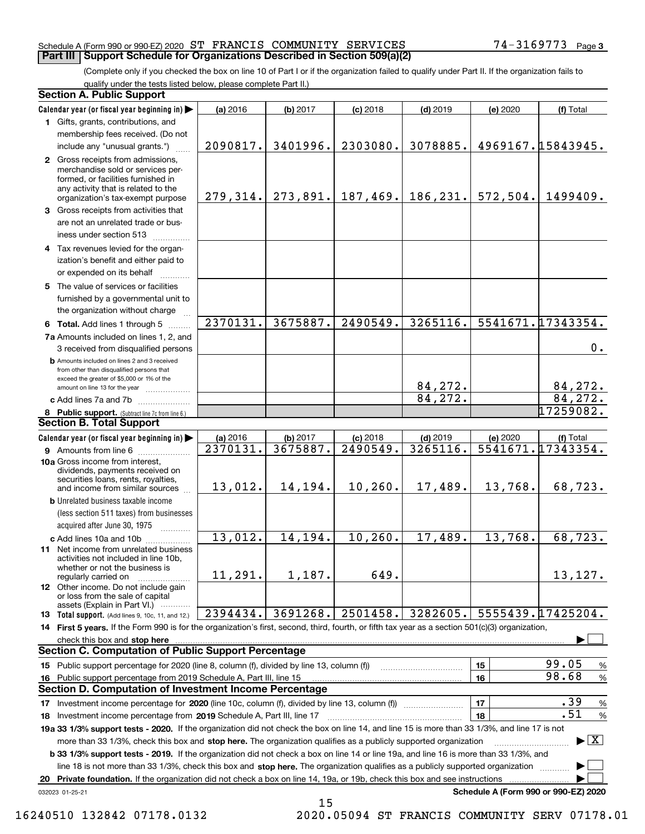#### Schedule A (Form 990 or 990-EZ) 2020 Page ST FRANCIS COMMUNITY SERVICES 74-3169773 **Part III Support Schedule for Organizations Described in Section 509(a)(2)**

(Complete only if you checked the box on line 10 of Part I or if the organization failed to qualify under Part II. If the organization fails to qualify under the tests listed below, please complete Part II.)

| <b>Section A. Public Support</b>                                                                                                                                                                                                                                                                                                                                                                                 |                      |                      |                        |                        |          |                                          |
|------------------------------------------------------------------------------------------------------------------------------------------------------------------------------------------------------------------------------------------------------------------------------------------------------------------------------------------------------------------------------------------------------------------|----------------------|----------------------|------------------------|------------------------|----------|------------------------------------------|
| Calendar year (or fiscal year beginning in)                                                                                                                                                                                                                                                                                                                                                                      | (a) 2016             | (b) 2017             | $(c)$ 2018             | $(d)$ 2019             | (e) 2020 | (f) Total                                |
| 1 Gifts, grants, contributions, and                                                                                                                                                                                                                                                                                                                                                                              |                      |                      |                        |                        |          |                                          |
| membership fees received. (Do not                                                                                                                                                                                                                                                                                                                                                                                |                      |                      |                        |                        |          |                                          |
| include any "unusual grants.")                                                                                                                                                                                                                                                                                                                                                                                   | 2090817.             | 3401996.             | 2303080.               | 3078885.               |          | 4969167.15843945.                        |
| 2 Gross receipts from admissions,<br>merchandise sold or services per-<br>formed, or facilities furnished in<br>any activity that is related to the<br>organization's tax-exempt purpose                                                                                                                                                                                                                         | 279, 314.            |                      | $273,891.$ 187,469.    | 186,231.               | 572,504. | 1499409.                                 |
| 3 Gross receipts from activities that<br>are not an unrelated trade or bus-<br>iness under section 513                                                                                                                                                                                                                                                                                                           |                      |                      |                        |                        |          |                                          |
| 4 Tax revenues levied for the organ-<br>ization's benefit and either paid to<br>or expended on its behalf                                                                                                                                                                                                                                                                                                        |                      |                      |                        |                        |          |                                          |
| 5 The value of services or facilities<br>furnished by a governmental unit to<br>the organization without charge                                                                                                                                                                                                                                                                                                  |                      |                      |                        |                        |          |                                          |
| 6 Total. Add lines 1 through 5                                                                                                                                                                                                                                                                                                                                                                                   | 2370131.             | 3675887.             | 2490549.               | 3265116.               |          | 5541671.17343354.                        |
| 7a Amounts included on lines 1, 2, and<br>3 received from disqualified persons                                                                                                                                                                                                                                                                                                                                   |                      |                      |                        |                        |          | 0.                                       |
| <b>b</b> Amounts included on lines 2 and 3 received<br>from other than disqualified persons that<br>exceed the greater of \$5,000 or 1% of the<br>amount on line 13 for the year                                                                                                                                                                                                                                 |                      |                      |                        | 84,272.                |          | 84,272.                                  |
| c Add lines 7a and 7b                                                                                                                                                                                                                                                                                                                                                                                            |                      |                      |                        | 84, 272.               |          | 84, 272.                                 |
| 8 Public support. (Subtract line 7c from line 6.)                                                                                                                                                                                                                                                                                                                                                                |                      |                      |                        |                        |          | 17259082.                                |
| <b>Section B. Total Support</b>                                                                                                                                                                                                                                                                                                                                                                                  |                      |                      |                        |                        |          |                                          |
| Calendar year (or fiscal year beginning in)                                                                                                                                                                                                                                                                                                                                                                      | (a) 2016<br>2370131. | (b) 2017<br>3675887. | $(c)$ 2018<br>2490549. | $(d)$ 2019<br>3265116. | (e) 2020 | (f) Total<br>5541671.17343354.           |
| <b>9</b> Amounts from line 6<br>10a Gross income from interest,<br>dividends, payments received on<br>securities loans, rents, royalties,<br>and income from similar sources                                                                                                                                                                                                                                     | 13,012.              | 14,194.              | 10, 260.               | 17,489.                | 13,768.  | 68,723.                                  |
| <b>b</b> Unrelated business taxable income<br>(less section 511 taxes) from businesses<br>acquired after June 30, 1975                                                                                                                                                                                                                                                                                           |                      |                      |                        |                        |          |                                          |
| c Add lines 10a and 10b                                                                                                                                                                                                                                                                                                                                                                                          | 13,012.              | 14, 194.             | 10, 260.               | 17,489.                | 13,768.  | 68,723.                                  |
| 11 Net income from unrelated business<br>activities not included in line 10b,<br>whether or not the business is<br>regularly carried on                                                                                                                                                                                                                                                                          | 11,291.              | 1,187.               | 649.                   |                        |          | 13,127.                                  |
| <b>12</b> Other income. Do not include gain<br>or loss from the sale of capital<br>assets (Explain in Part VI.)                                                                                                                                                                                                                                                                                                  |                      |                      |                        |                        |          |                                          |
| 13 Total support. (Add lines 9, 10c, 11, and 12.)                                                                                                                                                                                                                                                                                                                                                                | 2394434.             | 3691268.             | 2501458.               | 3282605.               |          | 5555439.17425204.                        |
| 14 First 5 years. If the Form 990 is for the organization's first, second, third, fourth, or fifth tax year as a section 501(c)(3) organization,                                                                                                                                                                                                                                                                 |                      |                      |                        |                        |          |                                          |
|                                                                                                                                                                                                                                                                                                                                                                                                                  |                      |                      |                        |                        |          |                                          |
| <b>Section C. Computation of Public Support Percentage</b>                                                                                                                                                                                                                                                                                                                                                       |                      |                      |                        |                        |          |                                          |
| 15 Public support percentage for 2020 (line 8, column (f), divided by line 13, column (f))                                                                                                                                                                                                                                                                                                                       |                      |                      |                        |                        | 15       | 99.05<br>$\%$                            |
| 16 Public support percentage from 2019 Schedule A, Part III, line 15                                                                                                                                                                                                                                                                                                                                             |                      |                      |                        |                        | 16       | 98.68<br>$\%$                            |
| <b>Section D. Computation of Investment Income Percentage</b>                                                                                                                                                                                                                                                                                                                                                    |                      |                      |                        |                        |          |                                          |
| 17 Investment income percentage for 2020 (line 10c, column (f), divided by line 13, column (f))                                                                                                                                                                                                                                                                                                                  |                      |                      |                        |                        | 17       | .39<br>%                                 |
| 18 Investment income percentage from 2019 Schedule A, Part III, line 17                                                                                                                                                                                                                                                                                                                                          |                      |                      |                        |                        | 18       | .51<br>$\%$                              |
| 19a 33 1/3% support tests - 2020. If the organization did not check the box on line 14, and line 15 is more than 33 1/3%, and line 17 is not<br>more than 33 1/3%, check this box and stop here. The organization qualifies as a publicly supported organization<br><b>b 33 1/3% support tests - 2019.</b> If the organization did not check a box on line 14 or line 19a, and line 16 is more than 33 1/3%, and |                      |                      |                        |                        |          | $\blacktriangleright$ $\boxed{\text{X}}$ |
| line 18 is not more than 33 1/3%, check this box and stop here. The organization qualifies as a publicly supported organization                                                                                                                                                                                                                                                                                  |                      |                      |                        |                        |          |                                          |
| 20 Private foundation. If the organization did not check a box on line 14, 19a, or 19b, check this box and see instructions                                                                                                                                                                                                                                                                                      |                      |                      |                        |                        |          |                                          |
| 032023 01-25-21                                                                                                                                                                                                                                                                                                                                                                                                  |                      |                      |                        |                        |          | Schedule A (Form 990 or 990-EZ) 2020     |

15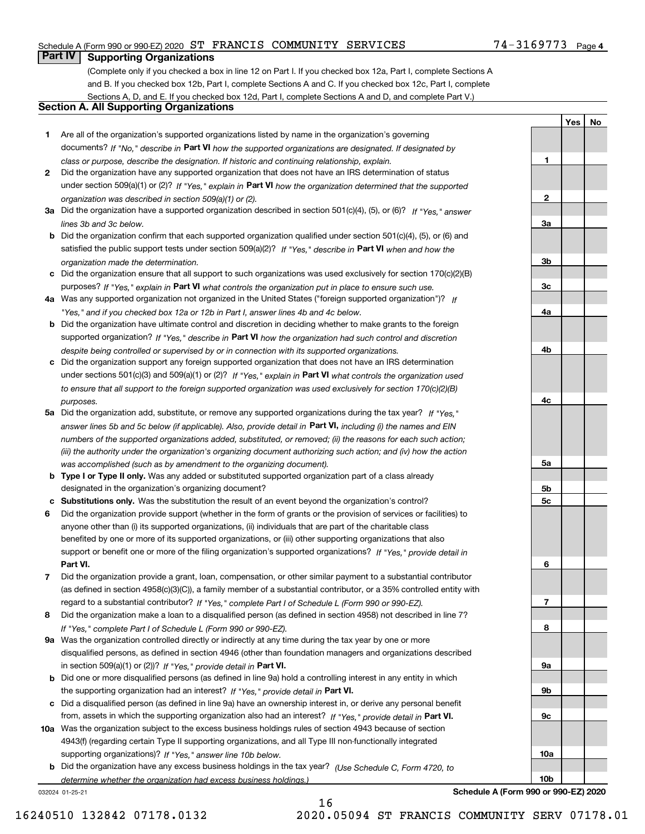### Schedule A (Form 990 or 990-EZ) 2020 Page ST FRANCIS COMMUNITY SERVICES 74-3169773

## **Part IV Supporting Organizations**

(Complete only if you checked a box in line 12 on Part I. If you checked box 12a, Part I, complete Sections A and B. If you checked box 12b, Part I, complete Sections A and C. If you checked box 12c, Part I, complete Sections A, D, and E. If you checked box 12d, Part I, complete Sections A and D, and complete Part V.)

#### **Section A. All Supporting Organizations**

- **1** Are all of the organization's supported organizations listed by name in the organization's governing documents? If "No," describe in **Part VI** how the supported organizations are designated. If designated by *class or purpose, describe the designation. If historic and continuing relationship, explain.*
- **2** Did the organization have any supported organization that does not have an IRS determination of status under section 509(a)(1) or (2)? If "Yes," explain in Part VI how the organization determined that the supported *organization was described in section 509(a)(1) or (2).*
- **3a** Did the organization have a supported organization described in section 501(c)(4), (5), or (6)? If "Yes," answer *lines 3b and 3c below.*
- **b** Did the organization confirm that each supported organization qualified under section 501(c)(4), (5), or (6) and satisfied the public support tests under section 509(a)(2)? If "Yes," describe in **Part VI** when and how the *organization made the determination.*
- **c**Did the organization ensure that all support to such organizations was used exclusively for section 170(c)(2)(B) purposes? If "Yes," explain in **Part VI** what controls the organization put in place to ensure such use.
- **4a***If* Was any supported organization not organized in the United States ("foreign supported organization")? *"Yes," and if you checked box 12a or 12b in Part I, answer lines 4b and 4c below.*
- **b** Did the organization have ultimate control and discretion in deciding whether to make grants to the foreign supported organization? If "Yes," describe in **Part VI** how the organization had such control and discretion *despite being controlled or supervised by or in connection with its supported organizations.*
- **c** Did the organization support any foreign supported organization that does not have an IRS determination under sections 501(c)(3) and 509(a)(1) or (2)? If "Yes," explain in **Part VI** what controls the organization used *to ensure that all support to the foreign supported organization was used exclusively for section 170(c)(2)(B) purposes.*
- **5a** Did the organization add, substitute, or remove any supported organizations during the tax year? If "Yes," answer lines 5b and 5c below (if applicable). Also, provide detail in **Part VI,** including (i) the names and EIN *numbers of the supported organizations added, substituted, or removed; (ii) the reasons for each such action; (iii) the authority under the organization's organizing document authorizing such action; and (iv) how the action was accomplished (such as by amendment to the organizing document).*
- **b** Type I or Type II only. Was any added or substituted supported organization part of a class already designated in the organization's organizing document?
- **cSubstitutions only.**  Was the substitution the result of an event beyond the organization's control?
- **6** Did the organization provide support (whether in the form of grants or the provision of services or facilities) to **Part VI.** *If "Yes," provide detail in* support or benefit one or more of the filing organization's supported organizations? anyone other than (i) its supported organizations, (ii) individuals that are part of the charitable class benefited by one or more of its supported organizations, or (iii) other supporting organizations that also
- **7**Did the organization provide a grant, loan, compensation, or other similar payment to a substantial contributor *If "Yes," complete Part I of Schedule L (Form 990 or 990-EZ).* regard to a substantial contributor? (as defined in section 4958(c)(3)(C)), a family member of a substantial contributor, or a 35% controlled entity with
- **8** Did the organization make a loan to a disqualified person (as defined in section 4958) not described in line 7? *If "Yes," complete Part I of Schedule L (Form 990 or 990-EZ).*
- **9a** Was the organization controlled directly or indirectly at any time during the tax year by one or more in section 509(a)(1) or (2))? If "Yes," *provide detail in* <code>Part VI.</code> disqualified persons, as defined in section 4946 (other than foundation managers and organizations described
- **b** Did one or more disqualified persons (as defined in line 9a) hold a controlling interest in any entity in which the supporting organization had an interest? If "Yes," provide detail in P**art VI**.
- **c**Did a disqualified person (as defined in line 9a) have an ownership interest in, or derive any personal benefit from, assets in which the supporting organization also had an interest? If "Yes," provide detail in P**art VI.**
- **10a** Was the organization subject to the excess business holdings rules of section 4943 because of section supporting organizations)? If "Yes," answer line 10b below. 4943(f) (regarding certain Type II supporting organizations, and all Type III non-functionally integrated
- **b** Did the organization have any excess business holdings in the tax year? (Use Schedule C, Form 4720, to *determine whether the organization had excess business holdings.)*

032024 01-25-21

**Schedule A (Form 990 or 990-EZ) 2020**

**1**

**2**

**3a**

**3b**

**3c**

**4a**

**4b**

**4c**

**5a**

**5b5c**

**6**

**7**

**8**

**9a**

**9b**

**9c**

**10a**

**10b**

**YesNo**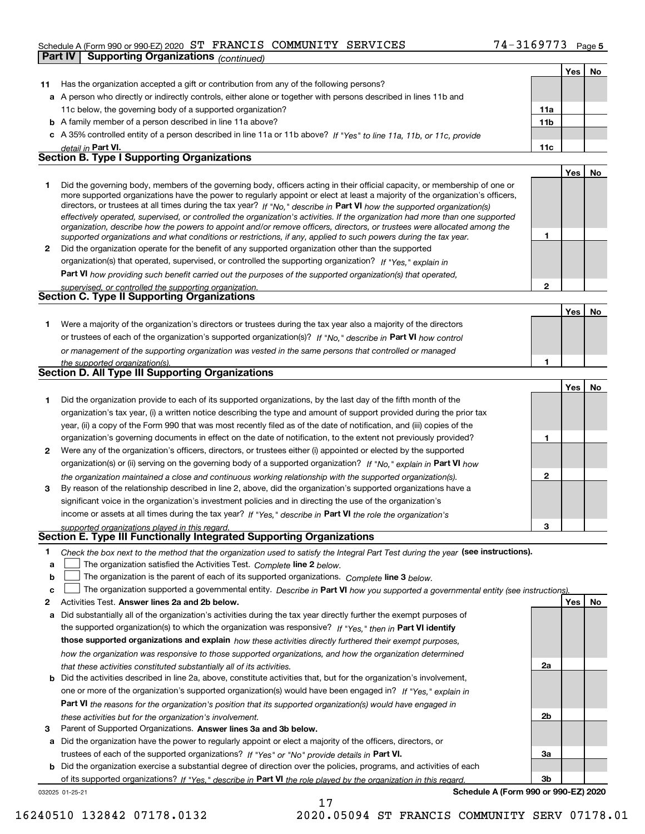#### Schedule A (Form 990 or 990-EZ) 2020 Page ST FRANCIS COMMUNITY SERVICES 74-3169773 **Part IV Supporting Organizations** *(continued)*

|              |                                                                                                                                   |                 | Yes | No  |
|--------------|-----------------------------------------------------------------------------------------------------------------------------------|-----------------|-----|-----|
| 11           | Has the organization accepted a gift or contribution from any of the following persons?                                           |                 |     |     |
|              | a A person who directly or indirectly controls, either alone or together with persons described in lines 11b and                  |                 |     |     |
|              | 11c below, the governing body of a supported organization?                                                                        | 11a             |     |     |
|              | <b>b</b> A family member of a person described in line 11a above?                                                                 | 11 <sub>b</sub> |     |     |
|              | c A 35% controlled entity of a person described in line 11a or 11b above? If "Yes" to line 11a, 11b, or 11c, provide              |                 |     |     |
|              | detail in Part VI.                                                                                                                | 11c             |     |     |
|              | <b>Section B. Type I Supporting Organizations</b>                                                                                 |                 |     |     |
|              |                                                                                                                                   |                 | Yes | No  |
| 1            | Did the governing body, members of the governing body, officers acting in their official capacity, or membership of one or        |                 |     |     |
|              | more supported organizations have the power to regularly appoint or elect at least a majority of the organization's officers,     |                 |     |     |
|              | directors, or trustees at all times during the tax year? If "No," describe in Part VI how the supported organization(s)           |                 |     |     |
|              | effectively operated, supervised, or controlled the organization's activities. If the organization had more than one supported    |                 |     |     |
|              | organization, describe how the powers to appoint and/or remove officers, directors, or trustees were allocated among the          | 1               |     |     |
|              | supported organizations and what conditions or restrictions, if any, applied to such powers during the tax year.                  |                 |     |     |
| $\mathbf{2}$ | Did the organization operate for the benefit of any supported organization other than the supported                               |                 |     |     |
|              | organization(s) that operated, supervised, or controlled the supporting organization? If "Yes," explain in                        |                 |     |     |
|              | <b>Part VI</b> how providing such benefit carried out the purposes of the supported organization(s) that operated,                |                 |     |     |
|              | supervised, or controlled the supporting organization.<br><b>Section C. Type II Supporting Organizations</b>                      | $\overline{2}$  |     |     |
|              |                                                                                                                                   |                 |     |     |
|              |                                                                                                                                   |                 | Yes | No  |
| 1            | Were a majority of the organization's directors or trustees during the tax year also a majority of the directors                  |                 |     |     |
|              | or trustees of each of the organization's supported organization(s)? If "No," describe in Part VI how control                     |                 |     |     |
|              | or management of the supporting organization was vested in the same persons that controlled or managed                            |                 |     |     |
|              | the supported organization(s).<br><b>Section D. All Type III Supporting Organizations</b>                                         | 1               |     |     |
|              |                                                                                                                                   |                 |     |     |
|              |                                                                                                                                   |                 | Yes | No  |
| 1            | Did the organization provide to each of its supported organizations, by the last day of the fifth month of the                    |                 |     |     |
|              | organization's tax year, (i) a written notice describing the type and amount of support provided during the prior tax             |                 |     |     |
|              | year, (ii) a copy of the Form 990 that was most recently filed as of the date of notification, and (iii) copies of the            |                 |     |     |
|              | organization's governing documents in effect on the date of notification, to the extent not previously provided?                  | 1               |     |     |
| 2            | Were any of the organization's officers, directors, or trustees either (i) appointed or elected by the supported                  |                 |     |     |
|              | organization(s) or (ii) serving on the governing body of a supported organization? If "No," explain in Part VI how                |                 |     |     |
|              | the organization maintained a close and continuous working relationship with the supported organization(s).                       | $\mathbf{2}$    |     |     |
| 3            | By reason of the relationship described in line 2, above, did the organization's supported organizations have a                   |                 |     |     |
|              | significant voice in the organization's investment policies and in directing the use of the organization's                        |                 |     |     |
|              | income or assets at all times during the tax year? If "Yes," describe in Part VI the role the organization's                      |                 |     |     |
|              | supported organizations played in this regard.                                                                                    | з               |     |     |
|              | Section E. Type III Functionally Integrated Supporting Organizations                                                              |                 |     |     |
| 1            | Check the box next to the method that the organization used to satisfy the Integral Part Test during the year (see instructions). |                 |     |     |
| a            | The organization satisfied the Activities Test. Complete line 2 below.                                                            |                 |     |     |
| b            | The organization is the parent of each of its supported organizations. Complete line 3 below.                                     |                 |     |     |
| c            | The organization supported a governmental entity. Describe in Part VI how you supported a governmental entity (see instructions)  |                 |     |     |
| 2            | Activities Test. Answer lines 2a and 2b below.                                                                                    |                 | Yes | No. |
| a            | Did substantially all of the organization's activities during the tax year directly further the exempt purposes of                |                 |     |     |
|              | the supported organization(s) to which the organization was responsive? If "Yes," then in Part VI identify                        |                 |     |     |
|              | those supported organizations and explain how these activities directly furthered their exempt purposes,                          |                 |     |     |
|              | how the organization was responsive to those supported organizations, and how the organization determined                         |                 |     |     |
|              | that these activities constituted substantially all of its activities.                                                            | 2a              |     |     |
| b            | Did the activities described in line 2a, above, constitute activities that, but for the organization's involvement,               |                 |     |     |
|              | one or more of the organization's supported organization(s) would have been engaged in? If "Yes," explain in                      |                 |     |     |
|              | Part VI the reasons for the organization's position that its supported organization(s) would have engaged in                      |                 |     |     |
|              | these activities but for the organization's involvement.                                                                          | 2b              |     |     |
| З            | Parent of Supported Organizations. Answer lines 3a and 3b below.                                                                  |                 |     |     |
|              | Did the organization have the nower to requisity appoint or elect a majority of the officers, directors, or                       |                 |     |     |

**a**trustees of each of the supported organizations? If "Yes" or "No" provide details in **Part VI.** Did the organization have the power to regularly appoint or elect a majority of the officers, directors, or

**b** Did the organization exercise a substantial degree of direction over the policies, programs, and activities of each of its supported organizations? If "Yes," describe in Part VI the role played by the organization in this regard.

17

032025 01-25-21

**Schedule A (Form 990 or 990-EZ) 2020**

**3a**

**3b**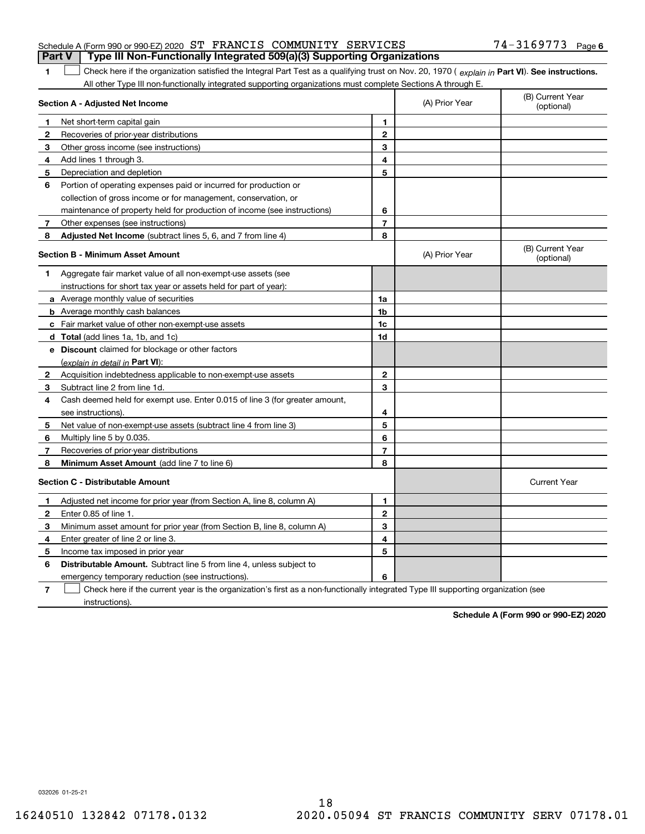|  | Schedule A (Form 990 or 990-EZ) 2020 ST FRANCIS COMMUNITY SERVICES                    |  |  | $74 - 3169773$ Page 6 |  |
|--|---------------------------------------------------------------------------------------|--|--|-----------------------|--|
|  | <b>Part V</b> Type III Non-Functionally Integrated 509(a)(3) Supporting Organizations |  |  |                       |  |

**1**1 Check here if the organization satisfied the Integral Part Test as a qualifying trust on Nov. 20, 1970 (explain in Part VI). See instructions. All other Type III non-functionally integrated supporting organizations must complete Sections A through E.

|              | Section A - Adjusted Net Income                                                                                                   |                         | (A) Prior Year | (B) Current Year<br>(optional) |
|--------------|-----------------------------------------------------------------------------------------------------------------------------------|-------------------------|----------------|--------------------------------|
| 1            | Net short-term capital gain                                                                                                       | 1                       |                |                                |
| 2            | Recoveries of prior-year distributions                                                                                            | $\mathbf{2}$            |                |                                |
| 3            | Other gross income (see instructions)                                                                                             | 3                       |                |                                |
| 4            | Add lines 1 through 3.                                                                                                            | 4                       |                |                                |
| 5            | Depreciation and depletion                                                                                                        | 5                       |                |                                |
| 6            | Portion of operating expenses paid or incurred for production or                                                                  |                         |                |                                |
|              | collection of gross income or for management, conservation, or                                                                    |                         |                |                                |
|              | maintenance of property held for production of income (see instructions)                                                          | 6                       |                |                                |
| 7            | Other expenses (see instructions)                                                                                                 | $\overline{\mathbf{r}}$ |                |                                |
| 8            | Adjusted Net Income (subtract lines 5, 6, and 7 from line 4)                                                                      | 8                       |                |                                |
|              | <b>Section B - Minimum Asset Amount</b>                                                                                           |                         | (A) Prior Year | (B) Current Year<br>(optional) |
| 1.           | Aggregate fair market value of all non-exempt-use assets (see                                                                     |                         |                |                                |
|              | instructions for short tax year or assets held for part of year):                                                                 |                         |                |                                |
|              | a Average monthly value of securities                                                                                             | 1a                      |                |                                |
|              | <b>b</b> Average monthly cash balances                                                                                            | 1 <sub>b</sub>          |                |                                |
|              | c Fair market value of other non-exempt-use assets                                                                                | 1c                      |                |                                |
|              | d Total (add lines 1a, 1b, and 1c)                                                                                                | 1d                      |                |                                |
|              | e Discount claimed for blockage or other factors                                                                                  |                         |                |                                |
|              | (explain in detail in Part VI):                                                                                                   |                         |                |                                |
| $\mathbf{2}$ | Acquisition indebtedness applicable to non-exempt-use assets                                                                      | $\mathbf{2}$            |                |                                |
| 3            | Subtract line 2 from line 1d.                                                                                                     | 3                       |                |                                |
| 4            | Cash deemed held for exempt use. Enter 0.015 of line 3 (for greater amount,                                                       |                         |                |                                |
|              | see instructions).                                                                                                                | 4                       |                |                                |
| 5            | Net value of non-exempt-use assets (subtract line 4 from line 3)                                                                  | 5                       |                |                                |
| 6            | Multiply line 5 by 0.035.                                                                                                         | 6                       |                |                                |
| 7            | Recoveries of prior-year distributions                                                                                            | $\overline{7}$          |                |                                |
| 8            | Minimum Asset Amount (add line 7 to line 6)                                                                                       | 8                       |                |                                |
|              | <b>Section C - Distributable Amount</b>                                                                                           |                         |                | <b>Current Year</b>            |
| 1            | Adjusted net income for prior year (from Section A, line 8, column A)                                                             | 1                       |                |                                |
| 2            | Enter 0.85 of line 1.                                                                                                             | $\overline{2}$          |                |                                |
| 3            | Minimum asset amount for prior year (from Section B, line 8, column A)                                                            | 3                       |                |                                |
| 4            | Enter greater of line 2 or line 3.                                                                                                | 4                       |                |                                |
| 5            | Income tax imposed in prior year                                                                                                  | 5                       |                |                                |
| 6            | <b>Distributable Amount.</b> Subtract line 5 from line 4, unless subject to                                                       |                         |                |                                |
|              | emergency temporary reduction (see instructions).                                                                                 | 6                       |                |                                |
| 7            | Check here if the current year is the organization's first as a non-functionally integrated Type III supporting organization (see |                         |                |                                |

instructions).

**Schedule A (Form 990 or 990-EZ) 2020**

032026 01-25-21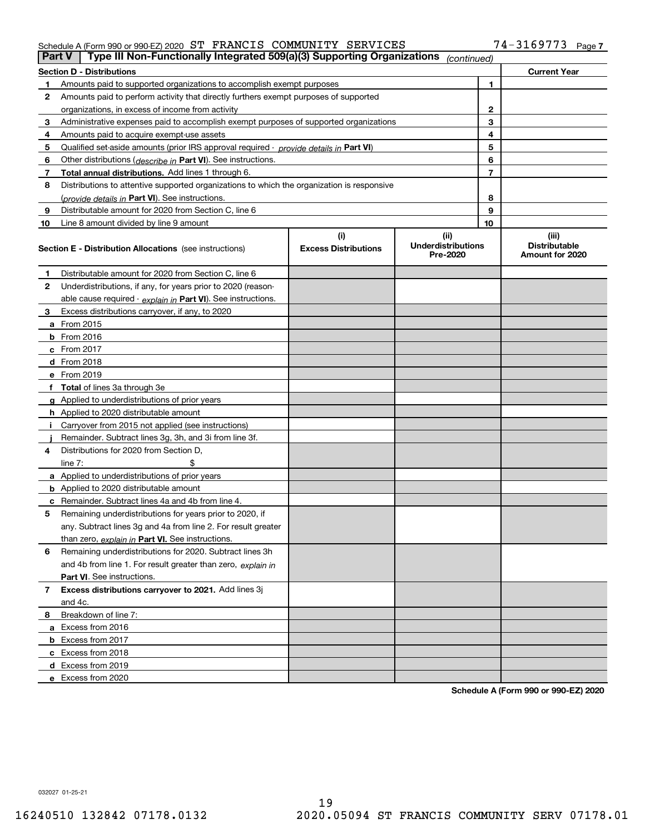#### Schedule A (Form 990 or 990-EZ) 2020 S'I' F'RANCIS COMMUNITY SERVICES 74-3I69773 Page ST FRANCIS COMMUNITY SERVICES 74-3169773

| Part V         | Type III Non-Functionally Integrated 509(a)(3) Supporting Organizations                    |                                    | (continued)                                   |    |                                                  |
|----------------|--------------------------------------------------------------------------------------------|------------------------------------|-----------------------------------------------|----|--------------------------------------------------|
|                | <b>Section D - Distributions</b>                                                           |                                    |                                               |    | <b>Current Year</b>                              |
| 1.             | Amounts paid to supported organizations to accomplish exempt purposes                      |                                    |                                               | 1  |                                                  |
| 2              | Amounts paid to perform activity that directly furthers exempt purposes of supported       |                                    |                                               |    |                                                  |
|                | organizations, in excess of income from activity                                           |                                    |                                               | 2  |                                                  |
| 3              | Administrative expenses paid to accomplish exempt purposes of supported organizations      |                                    |                                               | 3  |                                                  |
| 4              | Amounts paid to acquire exempt-use assets                                                  |                                    |                                               | 4  |                                                  |
| 5              | Qualified set-aside amounts (prior IRS approval required - provide details in Part VI)     |                                    |                                               | 5  |                                                  |
| 6              | Other distributions ( <i>describe in</i> Part VI). See instructions.                       |                                    |                                               | 6  |                                                  |
| 7              | Total annual distributions. Add lines 1 through 6.                                         |                                    |                                               | 7  |                                                  |
| 8              | Distributions to attentive supported organizations to which the organization is responsive |                                    |                                               |    |                                                  |
|                | (provide details in Part VI). See instructions.                                            | 8                                  |                                               |    |                                                  |
| 9              | Distributable amount for 2020 from Section C, line 6                                       | 9                                  |                                               |    |                                                  |
| 10             | Line 8 amount divided by line 9 amount                                                     |                                    |                                               | 10 |                                                  |
|                | <b>Section E - Distribution Allocations</b> (see instructions)                             | (i)<br><b>Excess Distributions</b> | (ii)<br><b>Underdistributions</b><br>Pre-2020 |    | (iii)<br><b>Distributable</b><br>Amount for 2020 |
| 1              | Distributable amount for 2020 from Section C, line 6                                       |                                    |                                               |    |                                                  |
| 2              | Underdistributions, if any, for years prior to 2020 (reason-                               |                                    |                                               |    |                                                  |
|                | able cause required - explain in Part VI). See instructions.                               |                                    |                                               |    |                                                  |
| 3              | Excess distributions carryover, if any, to 2020                                            |                                    |                                               |    |                                                  |
|                | a From 2015                                                                                |                                    |                                               |    |                                                  |
|                | <b>b</b> From 2016                                                                         |                                    |                                               |    |                                                  |
|                | $c$ From 2017                                                                              |                                    |                                               |    |                                                  |
|                | <b>d</b> From 2018                                                                         |                                    |                                               |    |                                                  |
|                | e From 2019                                                                                |                                    |                                               |    |                                                  |
|                | f Total of lines 3a through 3e                                                             |                                    |                                               |    |                                                  |
|                | g Applied to underdistributions of prior years                                             |                                    |                                               |    |                                                  |
|                | <b>h</b> Applied to 2020 distributable amount                                              |                                    |                                               |    |                                                  |
|                | Carryover from 2015 not applied (see instructions)                                         |                                    |                                               |    |                                                  |
|                | Remainder. Subtract lines 3g, 3h, and 3i from line 3f.                                     |                                    |                                               |    |                                                  |
| 4              | Distributions for 2020 from Section D,                                                     |                                    |                                               |    |                                                  |
|                | line $7:$                                                                                  |                                    |                                               |    |                                                  |
|                | a Applied to underdistributions of prior years                                             |                                    |                                               |    |                                                  |
|                | <b>b</b> Applied to 2020 distributable amount                                              |                                    |                                               |    |                                                  |
|                | c Remainder. Subtract lines 4a and 4b from line 4.                                         |                                    |                                               |    |                                                  |
| 5              | Remaining underdistributions for years prior to 2020, if                                   |                                    |                                               |    |                                                  |
|                | any. Subtract lines 3g and 4a from line 2. For result greater                              |                                    |                                               |    |                                                  |
|                | than zero, explain in Part VI. See instructions.                                           |                                    |                                               |    |                                                  |
| 6              | Remaining underdistributions for 2020. Subtract lines 3h                                   |                                    |                                               |    |                                                  |
|                | and 4b from line 1. For result greater than zero, explain in                               |                                    |                                               |    |                                                  |
|                | Part VI. See instructions.                                                                 |                                    |                                               |    |                                                  |
| $\overline{7}$ | Excess distributions carryover to 2021. Add lines 3j                                       |                                    |                                               |    |                                                  |
|                | and 4c.                                                                                    |                                    |                                               |    |                                                  |
| 8              | Breakdown of line 7:                                                                       |                                    |                                               |    |                                                  |
|                | a Excess from 2016                                                                         |                                    |                                               |    |                                                  |
|                | <b>b</b> Excess from 2017                                                                  |                                    |                                               |    |                                                  |
|                | c Excess from 2018                                                                         |                                    |                                               |    |                                                  |
|                | d Excess from 2019                                                                         |                                    |                                               |    |                                                  |
|                | e Excess from 2020                                                                         |                                    |                                               |    |                                                  |

**Schedule A (Form 990 or 990-EZ) 2020**

032027 01-25-21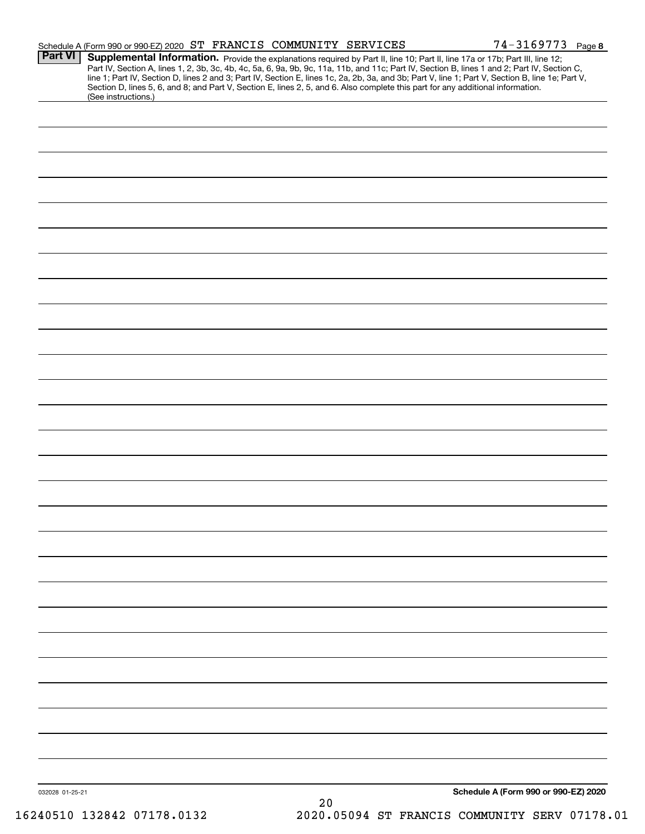|                 | Schedule A (Form 990 or 990-EZ) 2020 ST FRANCIS COMMUNITY SERVICES                                                                                                                                                                                                                      |  | $74 - 3169773$ Page 8                                                                                                                                                                                                         |
|-----------------|-----------------------------------------------------------------------------------------------------------------------------------------------------------------------------------------------------------------------------------------------------------------------------------------|--|-------------------------------------------------------------------------------------------------------------------------------------------------------------------------------------------------------------------------------|
| <b>Part VI</b>  | Supplemental Information. Provide the explanations required by Part II, line 10; Part II, line 17a or 17b; Part III, line 12;<br>Section D, lines 5, 6, and 8; and Part V, Section E, lines 2, 5, and 6. Also complete this part for any additional information.<br>(See instructions.) |  | Part IV, Section A, lines 1, 2, 3b, 3c, 4b, 4c, 5a, 6, 9a, 9b, 9c, 11a, 11b, and 11c; Part IV, Section B, lines 1 and 2; Part IV, Section C, line 1; Part IV, Section D, lines 2 and 3; Part IV, Section E, lines 1c, 2a, 2b, |
|                 |                                                                                                                                                                                                                                                                                         |  |                                                                                                                                                                                                                               |
|                 |                                                                                                                                                                                                                                                                                         |  |                                                                                                                                                                                                                               |
|                 |                                                                                                                                                                                                                                                                                         |  |                                                                                                                                                                                                                               |
|                 |                                                                                                                                                                                                                                                                                         |  |                                                                                                                                                                                                                               |
|                 |                                                                                                                                                                                                                                                                                         |  |                                                                                                                                                                                                                               |
|                 |                                                                                                                                                                                                                                                                                         |  |                                                                                                                                                                                                                               |
|                 |                                                                                                                                                                                                                                                                                         |  |                                                                                                                                                                                                                               |
|                 |                                                                                                                                                                                                                                                                                         |  |                                                                                                                                                                                                                               |
|                 |                                                                                                                                                                                                                                                                                         |  |                                                                                                                                                                                                                               |
|                 |                                                                                                                                                                                                                                                                                         |  |                                                                                                                                                                                                                               |
|                 |                                                                                                                                                                                                                                                                                         |  |                                                                                                                                                                                                                               |
|                 |                                                                                                                                                                                                                                                                                         |  |                                                                                                                                                                                                                               |
|                 |                                                                                                                                                                                                                                                                                         |  |                                                                                                                                                                                                                               |
|                 |                                                                                                                                                                                                                                                                                         |  |                                                                                                                                                                                                                               |
|                 |                                                                                                                                                                                                                                                                                         |  |                                                                                                                                                                                                                               |
|                 |                                                                                                                                                                                                                                                                                         |  |                                                                                                                                                                                                                               |
|                 |                                                                                                                                                                                                                                                                                         |  |                                                                                                                                                                                                                               |
|                 |                                                                                                                                                                                                                                                                                         |  |                                                                                                                                                                                                                               |
|                 |                                                                                                                                                                                                                                                                                         |  |                                                                                                                                                                                                                               |
|                 |                                                                                                                                                                                                                                                                                         |  |                                                                                                                                                                                                                               |
|                 |                                                                                                                                                                                                                                                                                         |  |                                                                                                                                                                                                                               |
|                 |                                                                                                                                                                                                                                                                                         |  |                                                                                                                                                                                                                               |
|                 |                                                                                                                                                                                                                                                                                         |  |                                                                                                                                                                                                                               |
|                 |                                                                                                                                                                                                                                                                                         |  |                                                                                                                                                                                                                               |
|                 |                                                                                                                                                                                                                                                                                         |  |                                                                                                                                                                                                                               |
|                 |                                                                                                                                                                                                                                                                                         |  |                                                                                                                                                                                                                               |
|                 |                                                                                                                                                                                                                                                                                         |  |                                                                                                                                                                                                                               |
|                 |                                                                                                                                                                                                                                                                                         |  |                                                                                                                                                                                                                               |
|                 |                                                                                                                                                                                                                                                                                         |  |                                                                                                                                                                                                                               |
|                 |                                                                                                                                                                                                                                                                                         |  |                                                                                                                                                                                                                               |
| 032028 01-25-21 |                                                                                                                                                                                                                                                                                         |  | Schedule A (Form 990 or 990-EZ) 2020                                                                                                                                                                                          |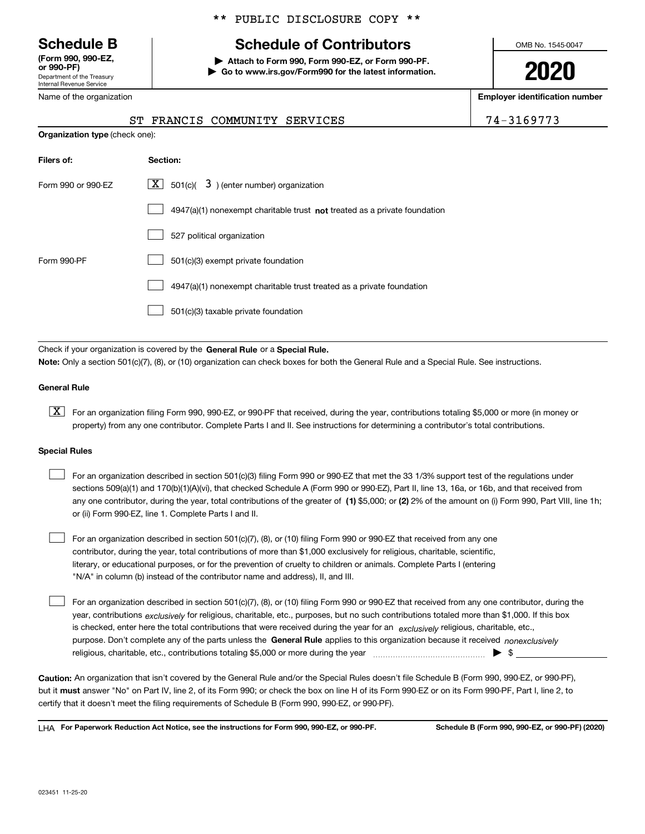Department of the Treasury Internal Revenue Service **(Form 990, 990-EZ, or 990-PF)**

Name of the organization

**Organization type** (check one):

### \*\* PUBLIC DISCLOSURE COPY \*\*

## **Schedule B Schedule of Contributors**

**| Attach to Form 990, Form 990-EZ, or Form 990-PF. | Go to www.irs.gov/Form990 for the latest information.** OMB No. 1545-0047

**2020**

**Employer identification number**

|  |  | <sup>-</sup> | O |  |  |
|--|--|--------------|---|--|--|
|  |  |              |   |  |  |

| . |    |                            | ------------------------- |
|---|----|----------------------------|---------------------------|
|   | SТ | FRANCIS COMMUNITY SERVICES | 74-3169773                |
|   |    |                            |                           |

| Filers of:         | Section:                                                                  |
|--------------------|---------------------------------------------------------------------------|
| Form 990 or 990-EZ | $\lfloor X \rfloor$ 501(c)( 3) (enter number) organization                |
|                    | 4947(a)(1) nonexempt charitable trust not treated as a private foundation |
|                    | 527 political organization                                                |
| Form 990-PF        | 501(c)(3) exempt private foundation                                       |
|                    | 4947(a)(1) nonexempt charitable trust treated as a private foundation     |
|                    | 501(c)(3) taxable private foundation                                      |

Check if your organization is covered by the **General Rule** or a **Special Rule. Note:**  Only a section 501(c)(7), (8), or (10) organization can check boxes for both the General Rule and a Special Rule. See instructions.

#### **General Rule**

 $\boxed{\textbf{X}}$  For an organization filing Form 990, 990-EZ, or 990-PF that received, during the year, contributions totaling \$5,000 or more (in money or property) from any one contributor. Complete Parts I and II. See instructions for determining a contributor's total contributions.

#### **Special Rules**

| For an organization described in section 501(c)(3) filing Form 990 or 990-EZ that met the 33 1/3% support test of the regulations under               |
|-------------------------------------------------------------------------------------------------------------------------------------------------------|
| sections 509(a)(1) and 170(b)(1)(A)(vi), that checked Schedule A (Form 990 or 990-EZ), Part II, line 13, 16a, or 16b, and that received from          |
| any one contributor, during the year, total contributions of the greater of (1) \$5,000; or (2) 2% of the amount on (i) Form 990, Part VIII, line 1h; |
| or (ii) Form 990-EZ, line 1. Complete Parts I and II.                                                                                                 |

For an organization described in section 501(c)(7), (8), or (10) filing Form 990 or 990-EZ that received from any one contributor, during the year, total contributions of more than \$1,000 exclusively for religious, charitable, scientific, literary, or educational purposes, or for the prevention of cruelty to children or animals. Complete Parts I (entering "N/A" in column (b) instead of the contributor name and address), II, and III.  $\mathcal{L}^{\text{max}}$ 

purpose. Don't complete any of the parts unless the **General Rule** applies to this organization because it received *nonexclusively* year, contributions <sub>exclusively</sub> for religious, charitable, etc., purposes, but no such contributions totaled more than \$1,000. If this box is checked, enter here the total contributions that were received during the year for an  $\;$ exclusively religious, charitable, etc., For an organization described in section 501(c)(7), (8), or (10) filing Form 990 or 990-EZ that received from any one contributor, during the religious, charitable, etc., contributions totaling \$5,000 or more during the year  $\Box$ — $\Box$   $\Box$  $\mathcal{L}^{\text{max}}$ 

**Caution:**  An organization that isn't covered by the General Rule and/or the Special Rules doesn't file Schedule B (Form 990, 990-EZ, or 990-PF),  **must** but it answer "No" on Part IV, line 2, of its Form 990; or check the box on line H of its Form 990-EZ or on its Form 990-PF, Part I, line 2, to certify that it doesn't meet the filing requirements of Schedule B (Form 990, 990-EZ, or 990-PF).

**For Paperwork Reduction Act Notice, see the instructions for Form 990, 990-EZ, or 990-PF. Schedule B (Form 990, 990-EZ, or 990-PF) (2020)** LHA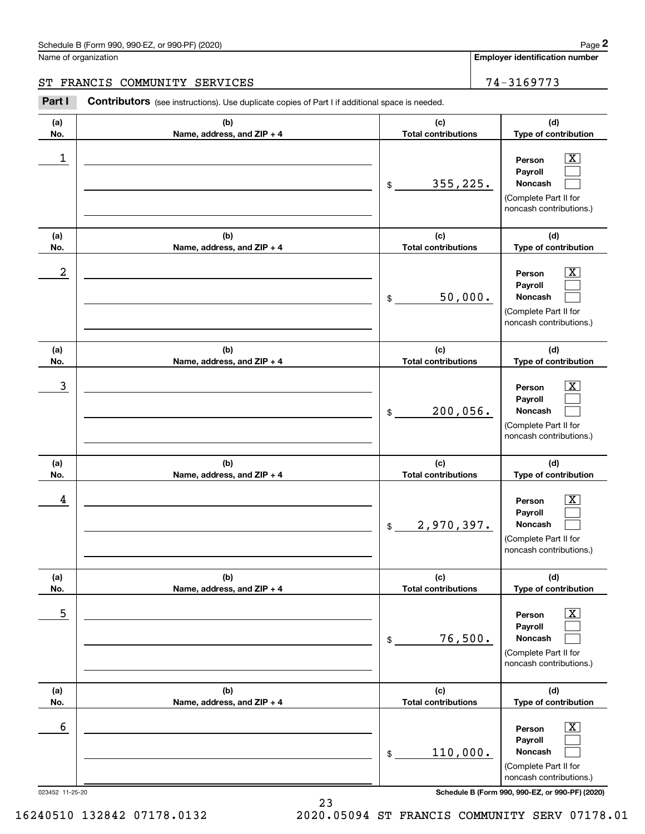**Employer identification number**

**(d) Type of contribution**

 $\boxed{\text{X}}$ 

**Person**

### ST FRANCIS COMMUNITY SERVICES | 74-3169773

**(a) No.(b) Name, address, and ZIP + 4 (c) Total contributions** Chedule B (Form 990, 990-EZ, or 990-PF) (2020)<br>
lame of organization<br> **2Part I COMMUNITY SERVICES**<br> **2Part I Contributors** (see instructions). Use duplicate copies of Part I if additional space is needed.  $\begin{array}{c|c|c|c|c|c} 1 & \hspace{1.5cm} & \hspace{1.5cm} & \hspace{1.5cm} & \hspace{1.5cm} & \hspace{1.5cm} & \hspace{1.5cm} & \hspace{1.5cm} & \hspace{1.5cm} & \hspace{1.5cm} & \hspace{1.5cm} & \hspace{1.5cm} & \hspace{1.5cm} & \hspace{1.5cm} & \hspace{1.5cm} & \hspace{1.5cm} & \hspace{1.5cm} & \hspace{1.5cm} & \hspace{1.5cm} & \hspace{1.5cm} & \hspace{1.5cm} &$ 

|                 |                                   | 355,225.<br>\$                    | Payroll<br><b>Noncash</b><br>(Complete Part II for<br>noncash contributions.)                          |
|-----------------|-----------------------------------|-----------------------------------|--------------------------------------------------------------------------------------------------------|
| (a)<br>No.      | (b)<br>Name, address, and ZIP + 4 | (c)<br><b>Total contributions</b> | (d)<br>Type of contribution                                                                            |
| 2               |                                   | 50,000.<br>\$                     | $\mathbf{X}$<br>Person<br>Payroll<br>Noncash<br>(Complete Part II for<br>noncash contributions.)       |
| (a)<br>No.      | (b)<br>Name, address, and ZIP + 4 | (c)<br><b>Total contributions</b> | (d)<br>Type of contribution                                                                            |
| 3               |                                   | 200,056.<br>\$                    | $\mathbf{X}$<br>Person<br>Payroll<br>Noncash<br>(Complete Part II for<br>noncash contributions.)       |
| (a)<br>No.      | (b)<br>Name, address, and ZIP + 4 | (c)<br><b>Total contributions</b> | (d)<br>Type of contribution                                                                            |
| 4               |                                   | 2,970,397.<br>$$\mathbb{S}$$      | $\mathbf{X}$<br>Person<br>Payroll<br>Noncash<br>(Complete Part II for<br>noncash contributions.)       |
| (a)<br>No.      | (b)<br>Name, address, and ZIP + 4 | (c)<br><b>Total contributions</b> | (d)<br>Type of contribution                                                                            |
| 5               |                                   | 76,500.<br>\$                     | $\mathbf{X}$<br>Person<br>Payroll<br>Noncash<br>(Complete Part II for<br>noncash contributions.)       |
| (a)<br>No.      | (b)<br>Name, address, and ZIP + 4 | (c)<br><b>Total contributions</b> | (d)<br>Type of contribution                                                                            |
| 6               |                                   | 110,000.<br>\$                    | $\boxed{\text{X}}$<br>Person<br>Payroll<br>Noncash<br>(Complete Part II for<br>noncash contributions.) |
| 023452 11-25-20 |                                   |                                   | Schedule B (Form 990, 990-EZ, or 990-PF) (2020)                                                        |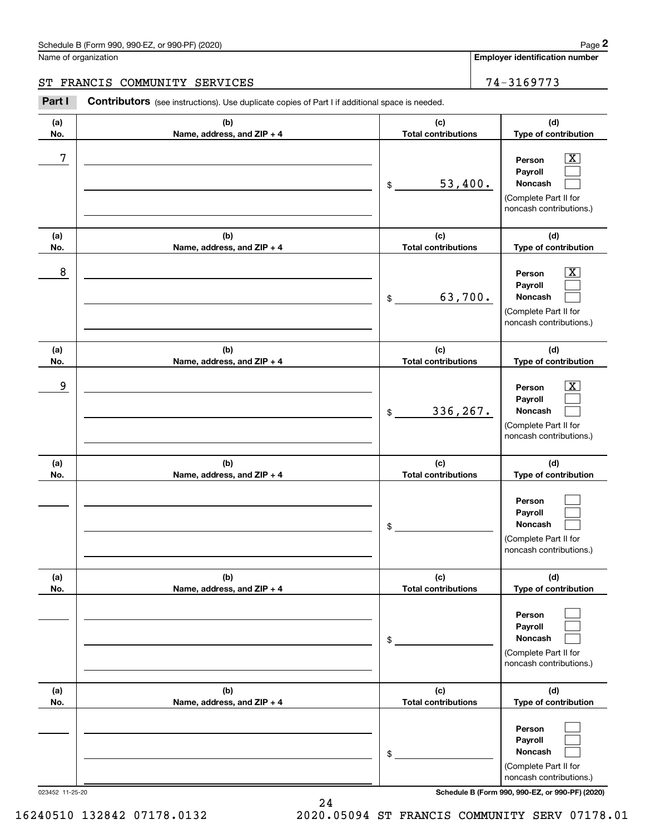**Employer identification number**

**(a)No.(b)Name, address, and ZIP + 4 (c)Total contributions (d)Type of contribution PersonPayrollNoncash (a)No.(b)Name, address, and ZIP + 4 (c)Total contributions (d)Type of contribution PersonPayrollNoncash (a)No.(b)Name, address, and ZIP + 4 (c)Total contributions (d)Type of contribution PersonPayrollNoncash (a) No.(b) Name, address, and ZIP + 4 (c) Total contributions (d) Type of contribution PersonPayrollNoncash (a) No.(b) Name, address, and ZIP + 4 (c) Total contributions (d) Type of contribution PersonPayrollNoncash(a) No.(b)Name, address, and ZIP + 4 (c) Total contributions (d)Type of contribution PersonPayrollNoncash** Contributors (see instructions). Use duplicate copies of Part I if additional space is needed. \$(Complete Part II for noncash contributions.) \$(Complete Part II for noncash contributions.) \$(Complete Part II for noncash contributions.) \$(Complete Part II for noncash contributions.) \$(Complete Part II for noncash contributions.) \$Chedule B (Form 990, 990-EZ, or 990-PF) (2020)<br> **2Part I 2P ARANCIS COMMUNITY SERVICES**<br> **2Part I 2001 CONTIBUTOR** (see instructions). Use duplicate copies of Part I if additional space is needed.  $|X|$  $\mathcal{L}^{\text{max}}$  $\mathcal{L}^{\text{max}}$  $\boxed{\text{X}}$  $\mathcal{L}^{\text{max}}$  $\mathcal{L}^{\text{max}}$  $|X|$  $\mathcal{L}^{\text{max}}$  $\mathcal{L}^{\text{max}}$  $\mathcal{L}^{\text{max}}$  $\mathcal{L}^{\text{max}}$  $\mathcal{L}^{\text{max}}$  $\mathcal{L}^{\text{max}}$  $\mathcal{L}^{\text{max}}$  $\mathcal{L}^{\text{max}}$  $\mathcal{L}^{\text{max}}$  $\mathcal{L}^{\text{max}}$  $\mathcal{L}^{\text{max}}$ 7 X 53,400. 8 X 63,700. example and the set of the set of the set of the set of the set of the set of the set of the set of the set of 336,267. ST FRANCIS COMMUNITY SERVICES 74-3169773

023452 11-25-20 **Schedule B (Form 990, 990-EZ, or 990-PF) (2020)**

(Complete Part II for noncash contributions.)

16240510 132842 07178.0132 2020.05094 ST FRANCIS COMMUNITY SERV 07178.01

24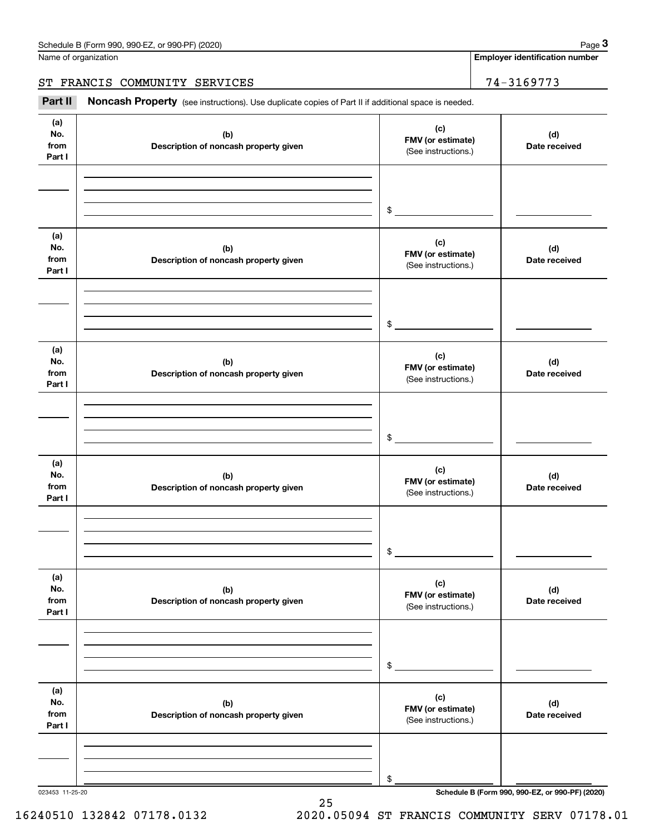Name of organization

### ST FRANCIS COMMUNITY SERVICES | 74-3169773

Chedule B (Form 990, 990-EZ, or 990-PF) (2020)<br>
lame of organization<br> **3Part II if additional space is needed.**<br> **Part II if additional space is needed.**<br> **3Part II if additional space is needed.** 

| (a)<br>(c)<br>No.<br>(d)<br>(b)<br>FMV (or estimate)<br>from<br>Description of noncash property given<br>Date received<br>(See instructions.)<br>Part I<br>$\frac{1}{2}$<br>(a)<br>(c)<br>No.<br>(d)<br>(b)<br>FMV (or estimate)<br>from<br>Description of noncash property given<br>Date received<br>(See instructions.)<br>Part I |  |
|-------------------------------------------------------------------------------------------------------------------------------------------------------------------------------------------------------------------------------------------------------------------------------------------------------------------------------------|--|
|                                                                                                                                                                                                                                                                                                                                     |  |
|                                                                                                                                                                                                                                                                                                                                     |  |
|                                                                                                                                                                                                                                                                                                                                     |  |
|                                                                                                                                                                                                                                                                                                                                     |  |
|                                                                                                                                                                                                                                                                                                                                     |  |
| $\frac{1}{2}$                                                                                                                                                                                                                                                                                                                       |  |
| (a)<br>(c)<br>No.<br>(b)<br>(d)<br>FMV (or estimate)<br>from<br>Description of noncash property given<br>Date received<br>(See instructions.)<br>Part I                                                                                                                                                                             |  |
|                                                                                                                                                                                                                                                                                                                                     |  |
| $\mathfrak s$                                                                                                                                                                                                                                                                                                                       |  |
|                                                                                                                                                                                                                                                                                                                                     |  |
| (a)<br>(c)<br>No.<br>(d)<br>(b)<br>FMV (or estimate)<br>from<br>Description of noncash property given<br>Date received<br>(See instructions.)<br>Part I                                                                                                                                                                             |  |
|                                                                                                                                                                                                                                                                                                                                     |  |
|                                                                                                                                                                                                                                                                                                                                     |  |
| $\frac{1}{2}$                                                                                                                                                                                                                                                                                                                       |  |
|                                                                                                                                                                                                                                                                                                                                     |  |
| (a)<br>(c)<br>No.<br>(d)<br>(b)<br>FMV (or estimate)<br>from<br>Description of noncash property given<br>Date received<br>(See instructions.)<br>Part I                                                                                                                                                                             |  |
|                                                                                                                                                                                                                                                                                                                                     |  |
|                                                                                                                                                                                                                                                                                                                                     |  |
|                                                                                                                                                                                                                                                                                                                                     |  |
| \$                                                                                                                                                                                                                                                                                                                                  |  |
| (a)                                                                                                                                                                                                                                                                                                                                 |  |
| (c)<br>No.<br>(b)<br>(d)                                                                                                                                                                                                                                                                                                            |  |
| FMV (or estimate)<br>from<br>Description of noncash property given<br>Date received<br>(See instructions.)                                                                                                                                                                                                                          |  |
| Part I                                                                                                                                                                                                                                                                                                                              |  |
|                                                                                                                                                                                                                                                                                                                                     |  |
|                                                                                                                                                                                                                                                                                                                                     |  |
| \$                                                                                                                                                                                                                                                                                                                                  |  |
| Schedule B (Form 990, 990-EZ, or 990-PF) (2020)<br>023453 11-25-20                                                                                                                                                                                                                                                                  |  |

25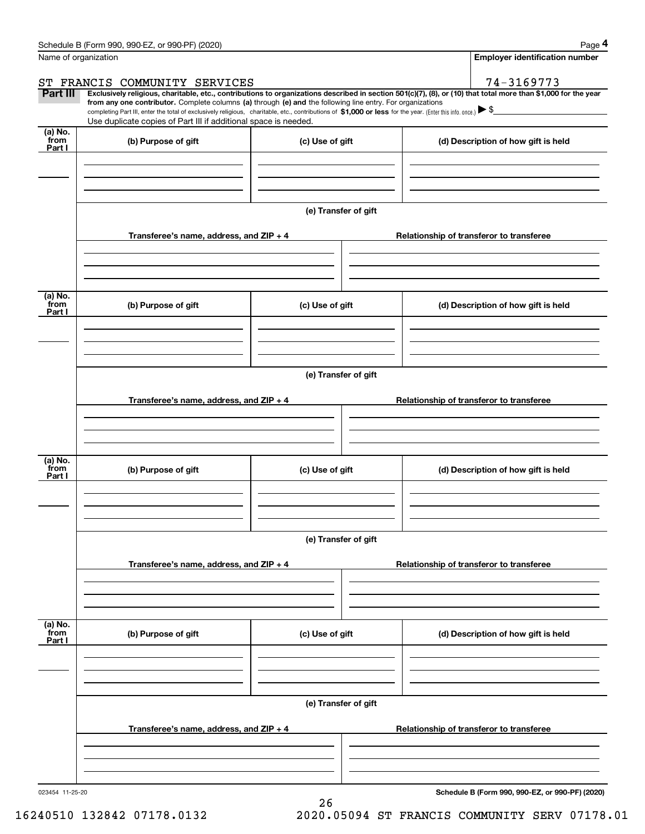|                           | Schedule B (Form 990, 990-EZ, or 990-PF) (2020)                                                                                                                               |                      | Page 4                                                                                                                                                                                                                                                                                                                                              |
|---------------------------|-------------------------------------------------------------------------------------------------------------------------------------------------------------------------------|----------------------|-----------------------------------------------------------------------------------------------------------------------------------------------------------------------------------------------------------------------------------------------------------------------------------------------------------------------------------------------------|
| Name of organization      |                                                                                                                                                                               |                      | <b>Employer identification number</b>                                                                                                                                                                                                                                                                                                               |
|                           | ST FRANCIS COMMUNITY SERVICES                                                                                                                                                 |                      | 74-3169773                                                                                                                                                                                                                                                                                                                                          |
| Part III                  | from any one contributor. Complete columns (a) through (e) and the following line entry. For organizations<br>Use duplicate copies of Part III if additional space is needed. |                      | Exclusively religious, charitable, etc., contributions to organizations described in section 501(c)(7), (8), or (10) that total more than \$1,000 for the year<br>completing Part III, enter the total of exclusively religious, charitable, etc., contributions of \$1,000 or less for the year. (Enter this info. once.) $\blacktriangleright$ \$ |
| (a) No.<br>from<br>Part I | (b) Purpose of gift                                                                                                                                                           | (c) Use of gift      | (d) Description of how gift is held                                                                                                                                                                                                                                                                                                                 |
|                           |                                                                                                                                                                               |                      |                                                                                                                                                                                                                                                                                                                                                     |
|                           |                                                                                                                                                                               | (e) Transfer of gift |                                                                                                                                                                                                                                                                                                                                                     |
|                           | Transferee's name, address, and $ZIP + 4$                                                                                                                                     |                      | Relationship of transferor to transferee                                                                                                                                                                                                                                                                                                            |
| (a) No.<br>from<br>Part I | (b) Purpose of gift                                                                                                                                                           | (c) Use of gift      | (d) Description of how gift is held                                                                                                                                                                                                                                                                                                                 |
|                           |                                                                                                                                                                               |                      |                                                                                                                                                                                                                                                                                                                                                     |
|                           |                                                                                                                                                                               |                      |                                                                                                                                                                                                                                                                                                                                                     |
|                           | Transferee's name, address, and ZIP + 4                                                                                                                                       |                      | Relationship of transferor to transferee                                                                                                                                                                                                                                                                                                            |
| (a) No.<br>from<br>Part I | (b) Purpose of gift                                                                                                                                                           | (c) Use of gift      | (d) Description of how gift is held                                                                                                                                                                                                                                                                                                                 |
|                           |                                                                                                                                                                               | (e) Transfer of gift |                                                                                                                                                                                                                                                                                                                                                     |
|                           | Transferee's name, address, and ZIP + 4                                                                                                                                       |                      | Relationship of transferor to transferee                                                                                                                                                                                                                                                                                                            |
| (a) No.<br>from           |                                                                                                                                                                               |                      |                                                                                                                                                                                                                                                                                                                                                     |
| Part I                    | (b) Purpose of gift                                                                                                                                                           | (c) Use of gift      | (d) Description of how gift is held                                                                                                                                                                                                                                                                                                                 |
|                           |                                                                                                                                                                               | (e) Transfer of gift |                                                                                                                                                                                                                                                                                                                                                     |
|                           | Transferee's name, address, and ZIP + 4                                                                                                                                       |                      | Relationship of transferor to transferee                                                                                                                                                                                                                                                                                                            |
|                           |                                                                                                                                                                               |                      |                                                                                                                                                                                                                                                                                                                                                     |

26

023454 11-25-20

**Schedule B (Form 990, 990-EZ, or 990-PF) (2020)**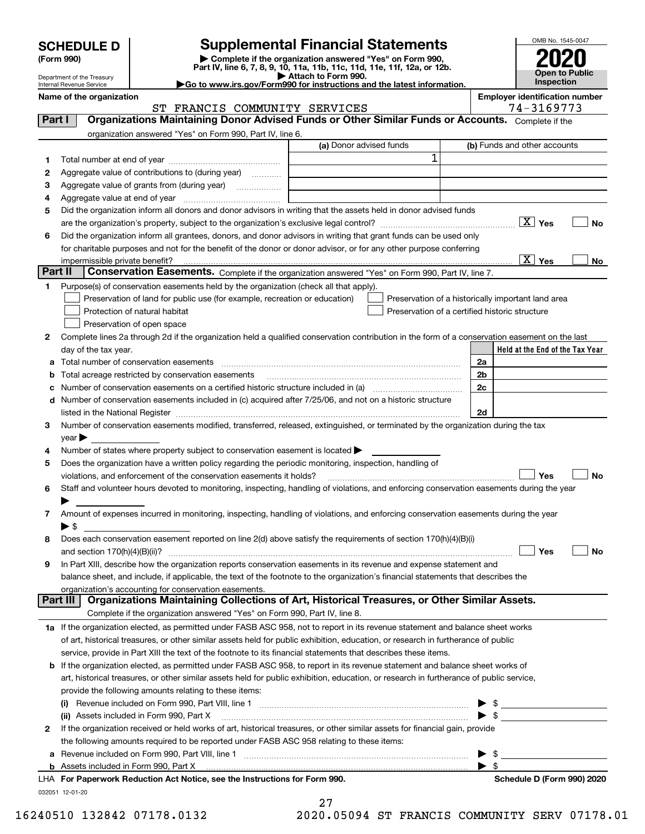| <b>SCHEDULE D</b> |  |
|-------------------|--|
|-------------------|--|

## **Supplemental Financial Statements**

(Form 990)<br>
Pepartment of the Treasury<br>
Department of the Treasury<br>
Department of the Treasury<br>
Department of the Treasury<br> **Co to www.irs.gov/Form990 for instructions and the latest information.**<br> **Co to www.irs.gov/Form9** 



Department of the Treasury Internal Revenue Service

**Name of the organization Employer identification number**

|         | ST FRANCIS COMMUNITY SERVICES                                                                                                                  |                         | 74-3169773                                         |
|---------|------------------------------------------------------------------------------------------------------------------------------------------------|-------------------------|----------------------------------------------------|
| Part I  | Organizations Maintaining Donor Advised Funds or Other Similar Funds or Accounts. Complete if the                                              |                         |                                                    |
|         | organization answered "Yes" on Form 990, Part IV, line 6.                                                                                      |                         |                                                    |
|         |                                                                                                                                                | (a) Donor advised funds | (b) Funds and other accounts                       |
| 1       |                                                                                                                                                | 1                       |                                                    |
|         | Aggregate value of contributions to (during year)                                                                                              |                         |                                                    |
| 2       |                                                                                                                                                |                         |                                                    |
| з       |                                                                                                                                                |                         |                                                    |
| 4       |                                                                                                                                                |                         |                                                    |
| 5       | Did the organization inform all donors and donor advisors in writing that the assets held in donor advised funds                               |                         |                                                    |
|         |                                                                                                                                                |                         | $\boxed{\text{X}}$ Yes<br>No                       |
| 6       | Did the organization inform all grantees, donors, and donor advisors in writing that grant funds can be used only                              |                         |                                                    |
|         | for charitable purposes and not for the benefit of the donor or donor advisor, or for any other purpose conferring                             |                         |                                                    |
|         |                                                                                                                                                |                         | $\overline{X}$ Yes<br>No                           |
| Part II | Conservation Easements. Complete if the organization answered "Yes" on Form 990, Part IV, line 7.                                              |                         |                                                    |
| 1       | Purpose(s) of conservation easements held by the organization (check all that apply).                                                          |                         |                                                    |
|         | Preservation of land for public use (for example, recreation or education)                                                                     |                         | Preservation of a historically important land area |
|         | Protection of natural habitat                                                                                                                  |                         | Preservation of a certified historic structure     |
|         | Preservation of open space                                                                                                                     |                         |                                                    |
| 2       | Complete lines 2a through 2d if the organization held a qualified conservation contribution in the form of a conservation easement on the last |                         |                                                    |
|         | day of the tax year.                                                                                                                           |                         | Held at the End of the Tax Year                    |
|         |                                                                                                                                                |                         | 2a                                                 |
| b       | Total acreage restricted by conservation easements                                                                                             |                         | 2b                                                 |
|         |                                                                                                                                                |                         | 2c                                                 |
| с       | d Number of conservation easements included in (c) acquired after 7/25/06, and not on a historic structure                                     |                         |                                                    |
|         |                                                                                                                                                |                         | 2d                                                 |
|         |                                                                                                                                                |                         |                                                    |
| 3       | Number of conservation easements modified, transferred, released, extinguished, or terminated by the organization during the tax               |                         |                                                    |
|         | $year \blacktriangleright$                                                                                                                     |                         |                                                    |
| 4       | Number of states where property subject to conservation easement is located $\blacktriangleright$                                              |                         |                                                    |
| 5       | Does the organization have a written policy regarding the periodic monitoring, inspection, handling of                                         |                         |                                                    |
|         | violations, and enforcement of the conservation easements it holds?                                                                            |                         | Yes<br><b>No</b>                                   |
| 6       | Staff and volunteer hours devoted to monitoring, inspecting, handling of violations, and enforcing conservation easements during the year      |                         |                                                    |
|         |                                                                                                                                                |                         |                                                    |
| 7       | Amount of expenses incurred in monitoring, inspecting, handling of violations, and enforcing conservation easements during the year            |                         |                                                    |
|         | $\blacktriangleright$ \$                                                                                                                       |                         |                                                    |
| 8       | Does each conservation easement reported on line 2(d) above satisfy the requirements of section 170(h)(4)(B)(i)                                |                         |                                                    |
|         |                                                                                                                                                |                         | Yes<br>No                                          |
| 9       | In Part XIII, describe how the organization reports conservation easements in its revenue and expense statement and                            |                         |                                                    |
|         | balance sheet, and include, if applicable, the text of the footnote to the organization's financial statements that describes the              |                         |                                                    |
|         | organization's accounting for conservation easements.                                                                                          |                         |                                                    |
|         | Organizations Maintaining Collections of Art, Historical Treasures, or Other Similar Assets.<br>Part III                                       |                         |                                                    |
|         | Complete if the organization answered "Yes" on Form 990, Part IV, line 8.                                                                      |                         |                                                    |
|         | 1a If the organization elected, as permitted under FASB ASC 958, not to report in its revenue statement and balance sheet works                |                         |                                                    |
|         | of art, historical treasures, or other similar assets held for public exhibition, education, or research in furtherance of public              |                         |                                                    |
|         | service, provide in Part XIII the text of the footnote to its financial statements that describes these items.                                 |                         |                                                    |
| b       | If the organization elected, as permitted under FASB ASC 958, to report in its revenue statement and balance sheet works of                    |                         |                                                    |
|         | art, historical treasures, or other similar assets held for public exhibition, education, or research in furtherance of public service,        |                         |                                                    |
|         | provide the following amounts relating to these items:                                                                                         |                         |                                                    |
|         |                                                                                                                                                |                         |                                                    |
|         | (ii) Assets included in Form 990, Part X                                                                                                       |                         | $\triangleright$ \$                                |
| 2       | If the organization received or held works of art, historical treasures, or other similar assets for financial gain, provide                   |                         |                                                    |
|         | the following amounts required to be reported under FASB ASC 958 relating to these items:                                                      |                         |                                                    |
| а       |                                                                                                                                                |                         | \$<br>▶                                            |
|         |                                                                                                                                                |                         | $\blacktriangleright$ \$                           |
|         | LHA For Paperwork Reduction Act Notice, see the Instructions for Form 990.                                                                     |                         | Schedule D (Form 990) 2020                         |

032051 12-01-20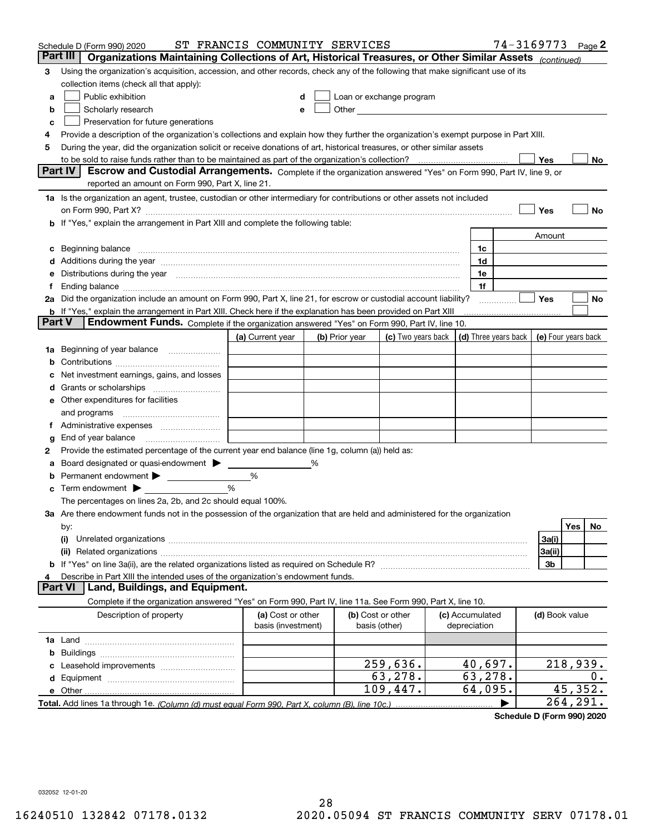|          | Schedule D (Form 990) 2020                                                                                                                                                                                                     | ST FRANCIS COMMUNITY SERVICES |   |                |                                                                                                                                                                                                                               |                 | 74-3169773           |                | Page $2$            |
|----------|--------------------------------------------------------------------------------------------------------------------------------------------------------------------------------------------------------------------------------|-------------------------------|---|----------------|-------------------------------------------------------------------------------------------------------------------------------------------------------------------------------------------------------------------------------|-----------------|----------------------|----------------|---------------------|
| Part III | Organizations Maintaining Collections of Art, Historical Treasures, or Other Similar Assets (continued)                                                                                                                        |                               |   |                |                                                                                                                                                                                                                               |                 |                      |                |                     |
| 3        | Using the organization's acquisition, accession, and other records, check any of the following that make significant use of its                                                                                                |                               |   |                |                                                                                                                                                                                                                               |                 |                      |                |                     |
|          | collection items (check all that apply):                                                                                                                                                                                       |                               |   |                |                                                                                                                                                                                                                               |                 |                      |                |                     |
| a        | Public exhibition                                                                                                                                                                                                              |                               | d |                | Loan or exchange program                                                                                                                                                                                                      |                 |                      |                |                     |
| b        | Scholarly research                                                                                                                                                                                                             |                               | е |                | Other and the contract of the contract of the contract of the contract of the contract of the contract of the contract of the contract of the contract of the contract of the contract of the contract of the contract of the |                 |                      |                |                     |
| c        | Preservation for future generations                                                                                                                                                                                            |                               |   |                |                                                                                                                                                                                                                               |                 |                      |                |                     |
| 4        | Provide a description of the organization's collections and explain how they further the organization's exempt purpose in Part XIII.                                                                                           |                               |   |                |                                                                                                                                                                                                                               |                 |                      |                |                     |
| 5        | During the year, did the organization solicit or receive donations of art, historical treasures, or other similar assets                                                                                                       |                               |   |                |                                                                                                                                                                                                                               |                 |                      |                |                     |
|          | to be sold to raise funds rather than to be maintained as part of the organization's collection?                                                                                                                               |                               |   |                |                                                                                                                                                                                                                               |                 |                      | Yes            | No                  |
|          | <b>Part IV</b><br>Escrow and Custodial Arrangements. Complete if the organization answered "Yes" on Form 990, Part IV, line 9, or                                                                                              |                               |   |                |                                                                                                                                                                                                                               |                 |                      |                |                     |
|          | reported an amount on Form 990, Part X, line 21.                                                                                                                                                                               |                               |   |                |                                                                                                                                                                                                                               |                 |                      |                |                     |
|          | 1a Is the organization an agent, trustee, custodian or other intermediary for contributions or other assets not included                                                                                                       |                               |   |                |                                                                                                                                                                                                                               |                 |                      |                |                     |
|          | on Form 990, Part X? [11] matter and the contract of the contract of the contract of the contract of the contract of the contract of the contract of the contract of the contract of the contract of the contract of the contr |                               |   |                |                                                                                                                                                                                                                               |                 |                      | Yes            | No                  |
|          | If "Yes," explain the arrangement in Part XIII and complete the following table:                                                                                                                                               |                               |   |                |                                                                                                                                                                                                                               |                 |                      |                |                     |
|          |                                                                                                                                                                                                                                |                               |   |                |                                                                                                                                                                                                                               |                 |                      | Amount         |                     |
| c        | Beginning balance                                                                                                                                                                                                              |                               |   |                |                                                                                                                                                                                                                               | 1c              |                      |                |                     |
|          | Additions during the year manufactured and an annual contract of the year manufactured and all the year manufactured and all the year manufactured and all the year manufactured and all the year manufactured and all the yea |                               |   |                |                                                                                                                                                                                                                               | 1d              |                      |                |                     |
| е        | Distributions during the year measurement contains and all the state of the state of the state of the state of                                                                                                                 |                               |   |                |                                                                                                                                                                                                                               | 1e              |                      |                |                     |
|          | Ending balance manufactured and contact the contract of the contract of the contract of the contract of the contract of the contract of the contract of the contract of the contract of the contract of the contract of the co |                               |   |                |                                                                                                                                                                                                                               | 1f              |                      |                |                     |
|          | 2a Did the organization include an amount on Form 990, Part X, line 21, for escrow or custodial account liability?                                                                                                             |                               |   |                |                                                                                                                                                                                                                               |                 |                      | Yes            | No                  |
| Part V   | <b>b</b> If "Yes," explain the arrangement in Part XIII. Check here if the explanation has been provided on Part XIII<br>Endowment Funds. Complete if the organization answered "Yes" on Form 990, Part IV, line 10.           |                               |   |                |                                                                                                                                                                                                                               |                 |                      |                |                     |
|          |                                                                                                                                                                                                                                |                               |   |                | (c) Two years back                                                                                                                                                                                                            |                 |                      |                |                     |
|          |                                                                                                                                                                                                                                | (a) Current year              |   | (b) Prior year |                                                                                                                                                                                                                               |                 | (d) Three years back |                | (e) Four years back |
| 1a       | Beginning of year balance                                                                                                                                                                                                      |                               |   |                |                                                                                                                                                                                                                               |                 |                      |                |                     |
| b        | Net investment earnings, gains, and losses                                                                                                                                                                                     |                               |   |                |                                                                                                                                                                                                                               |                 |                      |                |                     |
|          |                                                                                                                                                                                                                                |                               |   |                |                                                                                                                                                                                                                               |                 |                      |                |                     |
| a        | Other expenditures for facilities                                                                                                                                                                                              |                               |   |                |                                                                                                                                                                                                                               |                 |                      |                |                     |
| е        | and programs                                                                                                                                                                                                                   |                               |   |                |                                                                                                                                                                                                                               |                 |                      |                |                     |
| Ť.       | Administrative expenses                                                                                                                                                                                                        |                               |   |                |                                                                                                                                                                                                                               |                 |                      |                |                     |
| g        | End of year balance                                                                                                                                                                                                            |                               |   |                |                                                                                                                                                                                                                               |                 |                      |                |                     |
| 2        | Provide the estimated percentage of the current year end balance (line 1g, column (a)) held as:                                                                                                                                |                               |   |                |                                                                                                                                                                                                                               |                 |                      |                |                     |
|          | Board designated or quasi-endowment > ____                                                                                                                                                                                     |                               | % |                |                                                                                                                                                                                                                               |                 |                      |                |                     |
| b        |                                                                                                                                                                                                                                | %                             |   |                |                                                                                                                                                                                                                               |                 |                      |                |                     |
| c        | Term endowment $\blacktriangleright$                                                                                                                                                                                           | %                             |   |                |                                                                                                                                                                                                                               |                 |                      |                |                     |
|          | The percentages on lines 2a, 2b, and 2c should equal 100%.                                                                                                                                                                     |                               |   |                |                                                                                                                                                                                                                               |                 |                      |                |                     |
|          | 3a Are there endowment funds not in the possession of the organization that are held and administered for the organization                                                                                                     |                               |   |                |                                                                                                                                                                                                                               |                 |                      |                |                     |
|          | by:                                                                                                                                                                                                                            |                               |   |                |                                                                                                                                                                                                                               |                 |                      |                | Yes<br>No           |
|          | (i)                                                                                                                                                                                                                            |                               |   |                |                                                                                                                                                                                                                               |                 |                      | 3a(i)          |                     |
|          |                                                                                                                                                                                                                                |                               |   |                |                                                                                                                                                                                                                               |                 |                      | 3a(ii)         |                     |
|          |                                                                                                                                                                                                                                |                               |   |                |                                                                                                                                                                                                                               |                 |                      | 3b             |                     |
|          | Describe in Part XIII the intended uses of the organization's endowment funds.                                                                                                                                                 |                               |   |                |                                                                                                                                                                                                                               |                 |                      |                |                     |
|          | Land, Buildings, and Equipment.<br>Part VI                                                                                                                                                                                     |                               |   |                |                                                                                                                                                                                                                               |                 |                      |                |                     |
|          | Complete if the organization answered "Yes" on Form 990, Part IV, line 11a. See Form 990, Part X, line 10.                                                                                                                     |                               |   |                |                                                                                                                                                                                                                               |                 |                      |                |                     |
|          | Description of property                                                                                                                                                                                                        | (a) Cost or other             |   |                | (b) Cost or other                                                                                                                                                                                                             | (c) Accumulated |                      | (d) Book value |                     |
|          |                                                                                                                                                                                                                                | basis (investment)            |   |                | basis (other)                                                                                                                                                                                                                 | depreciation    |                      |                |                     |
|          |                                                                                                                                                                                                                                |                               |   |                |                                                                                                                                                                                                                               |                 |                      |                |                     |
| b        |                                                                                                                                                                                                                                |                               |   |                |                                                                                                                                                                                                                               |                 |                      |                |                     |
|          |                                                                                                                                                                                                                                |                               |   |                | 259,636.                                                                                                                                                                                                                      | 40,697.         |                      |                | 218,939.            |
|          |                                                                                                                                                                                                                                |                               |   |                | 63,278.                                                                                                                                                                                                                       | 63, 278.        |                      |                | 0.                  |
|          | e Other                                                                                                                                                                                                                        |                               |   |                | 109,447.                                                                                                                                                                                                                      | 64,095.         |                      |                | 45,352.             |
|          | Total. Add lines 1a through 1e. (Column (d) must equal Form 990. Part X, column (B), line 10c.)                                                                                                                                |                               |   |                |                                                                                                                                                                                                                               |                 |                      |                | 264,291.            |

**Schedule D (Form 990) 2020**

032052 12-01-20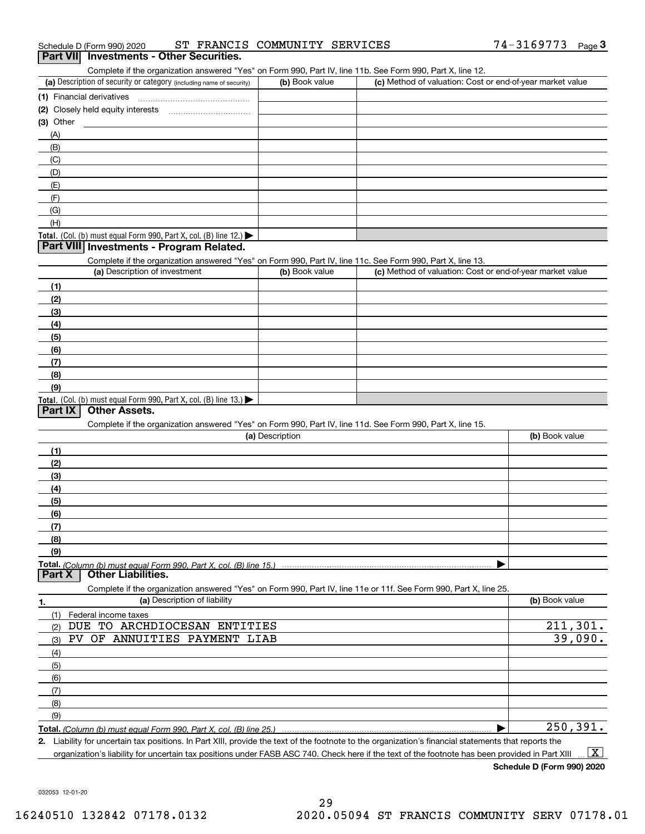| ST FRANCIS COMMUNITY SERVICES<br>Schedule D (Form 990) 2020 | $74 - 3169773$ Page |  |
|-------------------------------------------------------------|---------------------|--|
|-------------------------------------------------------------|---------------------|--|

#### **Part VII Investments - Other Securities.**

Complete if the organization answered "Yes" on Form 990, Part IV, line 11b. See Form 990, Part X, line 12.

| (a) Description of security or category (including name of security)                          | (b) Book value | (c) Method of valuation: Cost or end-of-year market value |
|-----------------------------------------------------------------------------------------------|----------------|-----------------------------------------------------------|
| (1) Financial derivatives                                                                     |                |                                                           |
| (2) Closely held equity interests                                                             |                |                                                           |
| $(3)$ Other                                                                                   |                |                                                           |
| (A)                                                                                           |                |                                                           |
| (B)                                                                                           |                |                                                           |
| (C)                                                                                           |                |                                                           |
| (D)                                                                                           |                |                                                           |
| (E)                                                                                           |                |                                                           |
| (F)                                                                                           |                |                                                           |
| (G)                                                                                           |                |                                                           |
| (H)                                                                                           |                |                                                           |
| <b>Total.</b> (Col. (b) must equal Form 990, Part X, col. (B) line 12.) $\blacktriangleright$ |                |                                                           |

#### **Part VIII Investments - Program Related.**

Complete if the organization answered "Yes" on Form 990, Part IV, line 11c. See Form 990, Part X, line 13.

| (a) Description of investment                                       | (b) Book value | (c) Method of valuation: Cost or end-of-year market value |
|---------------------------------------------------------------------|----------------|-----------------------------------------------------------|
| (1)                                                                 |                |                                                           |
| (2)                                                                 |                |                                                           |
| $\frac{1}{2}$                                                       |                |                                                           |
| (4)                                                                 |                |                                                           |
| (5)                                                                 |                |                                                           |
| (6)                                                                 |                |                                                           |
| (7)                                                                 |                |                                                           |
| (8)                                                                 |                |                                                           |
| (9)                                                                 |                |                                                           |
| Total. (Col. (b) must equal Form 990, Part X, col. (B) line $13.$ ) |                |                                                           |

#### **Part IX Other Assets.**

Complete if the organization answered "Yes" on Form 990, Part IV, line 11d. See Form 990, Part X, line 15.

| (a) Description                                                                                                   | (b) Book value |
|-------------------------------------------------------------------------------------------------------------------|----------------|
| (1)                                                                                                               |                |
| (2)                                                                                                               |                |
| (3)                                                                                                               |                |
| (4)                                                                                                               |                |
| $\frac{1}{2}$ (5)                                                                                                 |                |
| (6)                                                                                                               |                |
| (7)                                                                                                               |                |
| (8)                                                                                                               |                |
| (9)                                                                                                               |                |
|                                                                                                                   |                |
| <b>Part X</b> Other Liabilities.                                                                                  |                |
| Complete if the organization answered "Yes" on Form 990, Part IV, line 11e or 11f. See Form 990, Part X, line 25. |                |

| 1.  | (a) Description of liability | (b) Book value |
|-----|------------------------------|----------------|
| (1) | Federal income taxes         |                |
| (2) | DUE TO ARCHDIOCESAN ENTITIES | 211,301.       |
| (3) | PV OF ANNUITIES PAYMENT LIAB | 39,090.        |
| (4) |                              |                |
| (5) |                              |                |
| (6) |                              |                |
|     |                              |                |
| (8) |                              |                |
| (9) |                              |                |
|     |                              | 250, 391.      |

**2.** Liability for uncertain tax positions. In Part XIII, provide the text of the footnote to the organization's financial statements that reports the organization's liability for uncertain tax positions under FASB ASC 740. Check here if the text of the footnote has been provided in Part XIII  $\boxed{\text{X}}$ 

**Schedule D (Form 990) 2020**

032053 12-01-20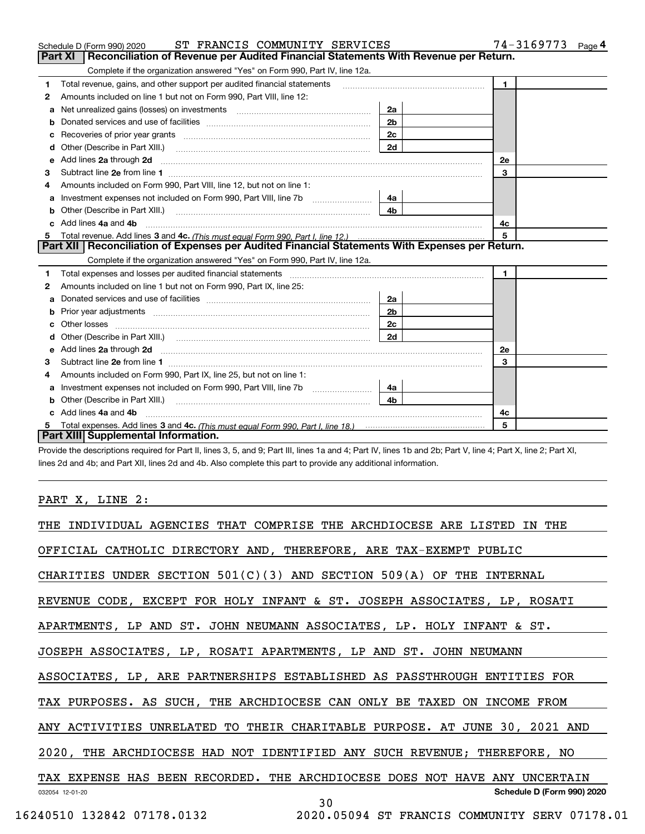|    | ST FRANCIS COMMUNITY SERVICES<br>Schedule D (Form 990) 2020                                                                                                                                                                         |                | 74-3169773<br>Page 4 |
|----|-------------------------------------------------------------------------------------------------------------------------------------------------------------------------------------------------------------------------------------|----------------|----------------------|
|    | Reconciliation of Revenue per Audited Financial Statements With Revenue per Return.<br>Part XI                                                                                                                                      |                |                      |
|    | Complete if the organization answered "Yes" on Form 990, Part IV, line 12a.                                                                                                                                                         |                |                      |
| 1  | Total revenue, gains, and other support per audited financial statements                                                                                                                                                            |                | $\blacksquare$       |
| 2  | Amounts included on line 1 but not on Form 990, Part VIII, line 12:                                                                                                                                                                 |                |                      |
| a  |                                                                                                                                                                                                                                     | 2a             |                      |
|    |                                                                                                                                                                                                                                     | 2 <sub>b</sub> |                      |
|    | Recoveries of prior year grants [11] matter contracts and prior year grants [11] matter contracts and prior year grants and all the contracts and all the contracts of prior year grants and all the contracts of the contract      | 2 <sub>c</sub> |                      |
| d  |                                                                                                                                                                                                                                     | 2d             |                      |
| е  | Add lines 2a through 2d <b>minimum contained a contract and a</b> contract a contract of the contract of the contract of the contract of the contract of the contract of the contract of the contract of the contract of the contra |                | <b>2e</b>            |
| 3  |                                                                                                                                                                                                                                     |                | 3                    |
| 4  | Amounts included on Form 990. Part VIII, line 12, but not on line 1:                                                                                                                                                                |                |                      |
|    | Investment expenses not included on Form 990, Part VIII, line 7b [111] [11] Investment expenses not included on Form 990, Part VIII, line 7b                                                                                        | 4a             |                      |
| b  |                                                                                                                                                                                                                                     | 4 <sub>b</sub> |                      |
| C. | Add lines 4a and 4b                                                                                                                                                                                                                 |                | 4c                   |
|    |                                                                                                                                                                                                                                     |                | 5                    |
|    | Part XII   Reconciliation of Expenses per Audited Financial Statements With Expenses per Return.                                                                                                                                    |                |                      |
|    | Complete if the organization answered "Yes" on Form 990, Part IV, line 12a.                                                                                                                                                         |                |                      |
| 1  | Total expenses and losses per audited financial statements [11] [12] manuscription and the statements [13] Total expenses and losses per audited financial statements [13] manuscription and the statements [13] manuscription      |                | $\blacksquare$       |
| 2  | Amounts included on line 1 but not on Form 990, Part IX, line 25:                                                                                                                                                                   |                |                      |
| a  |                                                                                                                                                                                                                                     | 2a             |                      |
|    |                                                                                                                                                                                                                                     | 2 <sub>b</sub> |                      |
| c  |                                                                                                                                                                                                                                     | 2c             |                      |
|    |                                                                                                                                                                                                                                     | 2d             |                      |
| е  | Add lines 2a through 2d <b>contained a contained a contained a contained a</b> contained a contained a contained a contained a contained a contained a contained a contained a contained a contained a contained a contained a cont |                | 2e                   |
| 3  |                                                                                                                                                                                                                                     |                | 3                    |
| 4  | Amounts included on Form 990, Part IX, line 25, but not on line 1:                                                                                                                                                                  |                |                      |
| a  |                                                                                                                                                                                                                                     | 4a             |                      |
| b  |                                                                                                                                                                                                                                     | 4b             |                      |
|    | Add lines 4a and 4b                                                                                                                                                                                                                 |                | 4с                   |
|    |                                                                                                                                                                                                                                     |                | 5                    |
|    | Part XIII Supplemental Information.                                                                                                                                                                                                 |                |                      |

Provide the descriptions required for Part II, lines 3, 5, and 9; Part III, lines 1a and 4; Part IV, lines 1b and 2b; Part V, line 4; Part X, line 2; Part XI, lines 2d and 4b; and Part XII, lines 2d and 4b. Also complete this part to provide any additional information.

## PART X, LINE 2:

| THE INDIVIDUAL AGENCIES THAT COMPRISE THE ARCHDIOCESE ARE LISTED<br>IN THE  |
|-----------------------------------------------------------------------------|
| OFFICIAL CATHOLIC DIRECTORY AND, THEREFORE, ARE TAX-EXEMPT PUBLIC           |
| CHARITIES UNDER SECTION $501(C)(3)$ AND SECTION $509(A)$ OF THE INTERNAL    |
| REVENUE CODE, EXCEPT FOR HOLY INFANT & ST. JOSEPH ASSOCIATES, LP, ROSATI    |
| APARTMENTS, LP AND ST. JOHN NEUMANN ASSOCIATES, LP. HOLY INFANT & ST.       |
| JOSEPH ASSOCIATES, LP, ROSATI APARTMENTS, LP AND ST. JOHN NEUMANN           |
| ASSOCIATES, LP, ARE PARTNERSHIPS ESTABLISHED AS PASSTHROUGH ENTITIES FOR    |
| TAX PURPOSES. AS SUCH, THE ARCHDIOCESE CAN ONLY BE TAXED ON INCOME FROM     |
| ANY ACTIVITIES UNRELATED TO THEIR CHARITABLE PURPOSE. AT JUNE 30, 2021 AND  |
| 2020, THE ARCHDIOCESE HAD NOT IDENTIFIED ANY SUCH REVENUE; THEREFORE, NO    |
| TAX EXPENSE HAS BEEN RECORDED. THE ARCHDIOCESE DOES NOT HAVE ANY UNCERTAIN  |
| Schedule D (Form 990) 2020<br>032054 12-01-20<br>30                         |
| 16240510 132842 07178.0132<br>2020.05094 ST FRANCIS COMMUNITY SERV 07178.01 |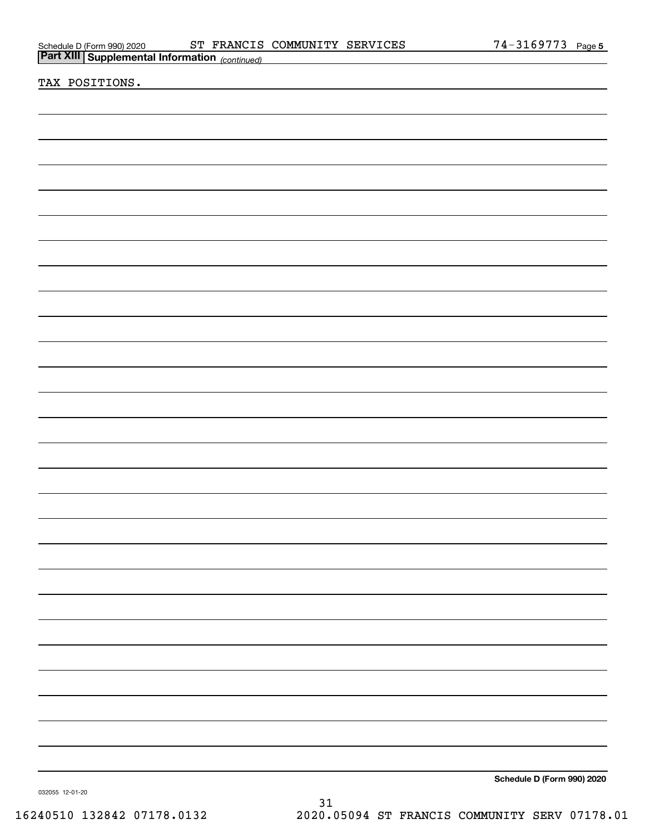|                                                                                                  | ST FRANCIS COMMUNITY SERVICES |  | <u>74-3169773 Page 5</u>   |  |
|--------------------------------------------------------------------------------------------------|-------------------------------|--|----------------------------|--|
| Schedule D (Form 990) 2020 ST FRANCIS<br><b>Part XIII   Supplemental Information</b> (continued) |                               |  |                            |  |
| TAX POSITIONS.                                                                                   |                               |  |                            |  |
|                                                                                                  |                               |  |                            |  |
|                                                                                                  |                               |  |                            |  |
|                                                                                                  |                               |  |                            |  |
|                                                                                                  |                               |  |                            |  |
|                                                                                                  |                               |  |                            |  |
|                                                                                                  |                               |  |                            |  |
|                                                                                                  |                               |  |                            |  |
|                                                                                                  |                               |  |                            |  |
|                                                                                                  |                               |  |                            |  |
|                                                                                                  |                               |  |                            |  |
|                                                                                                  |                               |  |                            |  |
|                                                                                                  |                               |  |                            |  |
|                                                                                                  |                               |  |                            |  |
|                                                                                                  |                               |  |                            |  |
|                                                                                                  |                               |  |                            |  |
|                                                                                                  |                               |  |                            |  |
|                                                                                                  |                               |  |                            |  |
|                                                                                                  |                               |  |                            |  |
|                                                                                                  |                               |  |                            |  |
|                                                                                                  |                               |  |                            |  |
|                                                                                                  |                               |  |                            |  |
|                                                                                                  |                               |  |                            |  |
|                                                                                                  |                               |  |                            |  |
|                                                                                                  |                               |  |                            |  |
|                                                                                                  |                               |  |                            |  |
|                                                                                                  |                               |  |                            |  |
|                                                                                                  |                               |  |                            |  |
|                                                                                                  |                               |  |                            |  |
|                                                                                                  |                               |  |                            |  |
|                                                                                                  |                               |  |                            |  |
|                                                                                                  |                               |  |                            |  |
|                                                                                                  |                               |  |                            |  |
|                                                                                                  |                               |  |                            |  |
|                                                                                                  |                               |  |                            |  |
|                                                                                                  |                               |  |                            |  |
|                                                                                                  |                               |  |                            |  |
|                                                                                                  |                               |  |                            |  |
|                                                                                                  |                               |  |                            |  |
|                                                                                                  |                               |  |                            |  |
|                                                                                                  |                               |  | Schedule D (Form 990) 2020 |  |
| 032055 12-01-20                                                                                  |                               |  |                            |  |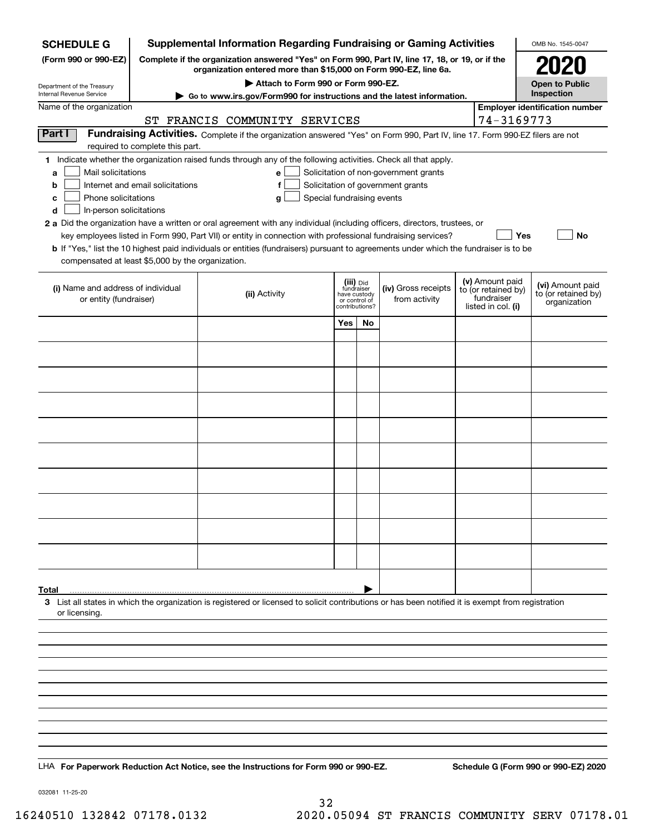| <b>SCHEDULE G</b>                                                                                                                             |                                                                                                                                                                     | <b>Supplemental Information Regarding Fundraising or Gaming Activities</b>                                                                                                                                                                                                                                                                                                                                                                                                                                                                                |                                                                            |     |                                                                            |  |                                                                            | OMB No. 1545-0047                                       |  |
|-----------------------------------------------------------------------------------------------------------------------------------------------|---------------------------------------------------------------------------------------------------------------------------------------------------------------------|-----------------------------------------------------------------------------------------------------------------------------------------------------------------------------------------------------------------------------------------------------------------------------------------------------------------------------------------------------------------------------------------------------------------------------------------------------------------------------------------------------------------------------------------------------------|----------------------------------------------------------------------------|-----|----------------------------------------------------------------------------|--|----------------------------------------------------------------------------|---------------------------------------------------------|--|
| (Form 990 or 990-EZ)                                                                                                                          | Complete if the organization answered "Yes" on Form 990, Part IV, line 17, 18, or 19, or if the<br>organization entered more than \$15,000 on Form 990-EZ, line 6a. |                                                                                                                                                                                                                                                                                                                                                                                                                                                                                                                                                           |                                                                            |     |                                                                            |  |                                                                            |                                                         |  |
| Department of the Treasury                                                                                                                    | Attach to Form 990 or Form 990-EZ.                                                                                                                                  |                                                                                                                                                                                                                                                                                                                                                                                                                                                                                                                                                           |                                                                            |     |                                                                            |  |                                                                            | <b>Open to Public</b>                                   |  |
| Internal Revenue Service                                                                                                                      | ► Go to www.irs.gov/Form990 for instructions and the latest information.                                                                                            |                                                                                                                                                                                                                                                                                                                                                                                                                                                                                                                                                           |                                                                            |     |                                                                            |  |                                                                            | Inspection                                              |  |
| Name of the organization                                                                                                                      |                                                                                                                                                                     | ST FRANCIS COMMUNITY SERVICES                                                                                                                                                                                                                                                                                                                                                                                                                                                                                                                             |                                                                            |     |                                                                            |  | 74-3169773                                                                 | <b>Employer identification number</b>                   |  |
| Part I                                                                                                                                        | required to complete this part.                                                                                                                                     | Fundraising Activities. Complete if the organization answered "Yes" on Form 990, Part IV, line 17. Form 990-EZ filers are not                                                                                                                                                                                                                                                                                                                                                                                                                             |                                                                            |     |                                                                            |  |                                                                            |                                                         |  |
| Mail solicitations<br>a<br>b<br>Phone solicitations<br>с<br>In-person solicitations<br>d<br>compensated at least \$5,000 by the organization. | Internet and email solicitations                                                                                                                                    | 1 Indicate whether the organization raised funds through any of the following activities. Check all that apply.<br>e<br>f<br>Special fundraising events<br>g<br>2 a Did the organization have a written or oral agreement with any individual (including officers, directors, trustees, or<br>key employees listed in Form 990, Part VII) or entity in connection with professional fundraising services?<br><b>b</b> If "Yes," list the 10 highest paid individuals or entities (fundraisers) pursuant to agreements under which the fundraiser is to be |                                                                            |     | Solicitation of non-government grants<br>Solicitation of government grants |  | Yes                                                                        | <b>No</b>                                               |  |
| (i) Name and address of individual<br>or entity (fundraiser)                                                                                  |                                                                                                                                                                     | (ii) Activity                                                                                                                                                                                                                                                                                                                                                                                                                                                                                                                                             | (iii) Did<br>fundraiser<br>have custody<br>or control of<br>contributions? |     | (iv) Gross receipts<br>from activity                                       |  | (v) Amount paid<br>to (or retained by)<br>fundraiser<br>listed in col. (i) | (vi) Amount paid<br>to (or retained by)<br>organization |  |
|                                                                                                                                               |                                                                                                                                                                     |                                                                                                                                                                                                                                                                                                                                                                                                                                                                                                                                                           | Yes                                                                        | No. |                                                                            |  |                                                                            |                                                         |  |
|                                                                                                                                               |                                                                                                                                                                     |                                                                                                                                                                                                                                                                                                                                                                                                                                                                                                                                                           |                                                                            |     |                                                                            |  |                                                                            |                                                         |  |
|                                                                                                                                               |                                                                                                                                                                     |                                                                                                                                                                                                                                                                                                                                                                                                                                                                                                                                                           |                                                                            |     |                                                                            |  |                                                                            |                                                         |  |
|                                                                                                                                               |                                                                                                                                                                     |                                                                                                                                                                                                                                                                                                                                                                                                                                                                                                                                                           |                                                                            |     |                                                                            |  |                                                                            |                                                         |  |
|                                                                                                                                               |                                                                                                                                                                     |                                                                                                                                                                                                                                                                                                                                                                                                                                                                                                                                                           |                                                                            |     |                                                                            |  |                                                                            |                                                         |  |
|                                                                                                                                               |                                                                                                                                                                     |                                                                                                                                                                                                                                                                                                                                                                                                                                                                                                                                                           |                                                                            |     |                                                                            |  |                                                                            |                                                         |  |
|                                                                                                                                               |                                                                                                                                                                     |                                                                                                                                                                                                                                                                                                                                                                                                                                                                                                                                                           |                                                                            |     |                                                                            |  |                                                                            |                                                         |  |
|                                                                                                                                               |                                                                                                                                                                     |                                                                                                                                                                                                                                                                                                                                                                                                                                                                                                                                                           |                                                                            |     |                                                                            |  |                                                                            |                                                         |  |
|                                                                                                                                               |                                                                                                                                                                     |                                                                                                                                                                                                                                                                                                                                                                                                                                                                                                                                                           |                                                                            |     |                                                                            |  |                                                                            |                                                         |  |
|                                                                                                                                               |                                                                                                                                                                     |                                                                                                                                                                                                                                                                                                                                                                                                                                                                                                                                                           |                                                                            |     |                                                                            |  |                                                                            |                                                         |  |
|                                                                                                                                               |                                                                                                                                                                     |                                                                                                                                                                                                                                                                                                                                                                                                                                                                                                                                                           |                                                                            |     |                                                                            |  |                                                                            |                                                         |  |
|                                                                                                                                               |                                                                                                                                                                     |                                                                                                                                                                                                                                                                                                                                                                                                                                                                                                                                                           |                                                                            |     |                                                                            |  |                                                                            |                                                         |  |
| Total<br>or licensing.                                                                                                                        |                                                                                                                                                                     | 3 List all states in which the organization is registered or licensed to solicit contributions or has been notified it is exempt from registration                                                                                                                                                                                                                                                                                                                                                                                                        |                                                                            |     |                                                                            |  |                                                                            |                                                         |  |
|                                                                                                                                               |                                                                                                                                                                     |                                                                                                                                                                                                                                                                                                                                                                                                                                                                                                                                                           |                                                                            |     |                                                                            |  |                                                                            |                                                         |  |
|                                                                                                                                               |                                                                                                                                                                     |                                                                                                                                                                                                                                                                                                                                                                                                                                                                                                                                                           |                                                                            |     |                                                                            |  |                                                                            |                                                         |  |
|                                                                                                                                               |                                                                                                                                                                     |                                                                                                                                                                                                                                                                                                                                                                                                                                                                                                                                                           |                                                                            |     |                                                                            |  |                                                                            |                                                         |  |
|                                                                                                                                               |                                                                                                                                                                     |                                                                                                                                                                                                                                                                                                                                                                                                                                                                                                                                                           |                                                                            |     |                                                                            |  |                                                                            |                                                         |  |
|                                                                                                                                               |                                                                                                                                                                     |                                                                                                                                                                                                                                                                                                                                                                                                                                                                                                                                                           |                                                                            |     |                                                                            |  |                                                                            |                                                         |  |
|                                                                                                                                               |                                                                                                                                                                     |                                                                                                                                                                                                                                                                                                                                                                                                                                                                                                                                                           |                                                                            |     |                                                                            |  |                                                                            |                                                         |  |
|                                                                                                                                               |                                                                                                                                                                     | LHA For Paperwork Reduction Act Notice, see the Instructions for Form 990 or 990-EZ.                                                                                                                                                                                                                                                                                                                                                                                                                                                                      |                                                                            |     |                                                                            |  |                                                                            | Schedule G (Form 990 or 990-EZ) 2020                    |  |

032081 11-25-20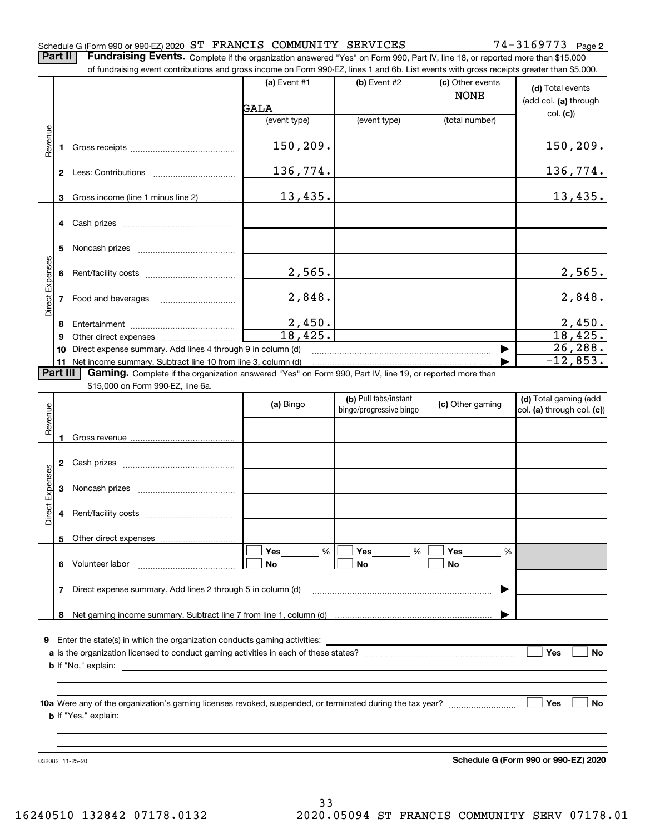#### Schedule G (Form 990 or 990-EZ) 2020 Page ST FRANCIS COMMUNITY SERVICES 74-3169773

**2**

**Part II** | Fundraising Events. Complete if the organization answered "Yes" on Form 990, Part IV, line 18, or reported more than \$15,000

|                 |           | of fundraising event contributions and gross income on Form 990-EZ, lines 1 and 6b. List events with gross receipts greater than \$5,000.          |                        |                         |                                 |                                           |  |  |  |
|-----------------|-----------|----------------------------------------------------------------------------------------------------------------------------------------------------|------------------------|-------------------------|---------------------------------|-------------------------------------------|--|--|--|
|                 |           |                                                                                                                                                    | (a) Event #1           | (b) Event #2            | (c) Other events<br><b>NONE</b> | (d) Total events<br>(add col. (a) through |  |  |  |
|                 |           |                                                                                                                                                    | GALA                   |                         |                                 | col. (c)                                  |  |  |  |
|                 |           |                                                                                                                                                    | (event type)           | (event type)            | (total number)                  |                                           |  |  |  |
| Revenue         |           |                                                                                                                                                    | 150, 209.              |                         |                                 | 150, 209.                                 |  |  |  |
|                 |           |                                                                                                                                                    | 136, 774.              |                         |                                 | 136,774.                                  |  |  |  |
|                 | 3         | Gross income (line 1 minus line 2)                                                                                                                 | 13,435.                |                         |                                 | 13,435.                                   |  |  |  |
|                 |           |                                                                                                                                                    |                        |                         |                                 |                                           |  |  |  |
|                 | 5         |                                                                                                                                                    |                        |                         |                                 |                                           |  |  |  |
|                 |           |                                                                                                                                                    | 2,565.                 |                         |                                 | 2,565.                                    |  |  |  |
| Direct Expenses |           |                                                                                                                                                    | 2,848.                 |                         |                                 | 2,848.                                    |  |  |  |
|                 | 8         |                                                                                                                                                    | $\frac{2,450}{18,425}$ |                         |                                 | 2,450.                                    |  |  |  |
|                 | 9         |                                                                                                                                                    |                        |                         |                                 | 18,425.                                   |  |  |  |
|                 | 10        | Direct expense summary. Add lines 4 through 9 in column (d)                                                                                        |                        |                         | ▶                               | 26, 288.                                  |  |  |  |
|                 |           | 11 Net income summary. Subtract line 10 from line 3, column (d)                                                                                    |                        |                         |                                 | $-12,853.$                                |  |  |  |
|                 | Part III  | Gaming. Complete if the organization answered "Yes" on Form 990, Part IV, line 19, or reported more than                                           |                        |                         |                                 |                                           |  |  |  |
|                 |           | \$15,000 on Form 990-EZ, line 6a.                                                                                                                  |                        | (b) Pull tabs/instant   |                                 | (d) Total gaming (add                     |  |  |  |
| Revenue         |           |                                                                                                                                                    | (a) Bingo              | bingo/progressive bingo | (c) Other gaming                | col. (a) through col. (c))                |  |  |  |
|                 |           |                                                                                                                                                    |                        |                         |                                 |                                           |  |  |  |
|                 |           |                                                                                                                                                    |                        |                         |                                 |                                           |  |  |  |
|                 |           |                                                                                                                                                    |                        |                         |                                 |                                           |  |  |  |
| Direct Expenses |           |                                                                                                                                                    |                        |                         |                                 |                                           |  |  |  |
|                 |           |                                                                                                                                                    |                        |                         |                                 |                                           |  |  |  |
|                 |           | 5 Other direct expenses                                                                                                                            |                        |                         |                                 |                                           |  |  |  |
|                 |           |                                                                                                                                                    | <b>Yes</b><br>%        | Yes<br>%                | <b>Yes</b><br>%                 |                                           |  |  |  |
|                 |           | 6 Volunteer labor                                                                                                                                  | No                     | No                      | No                              |                                           |  |  |  |
|                 | 7         | Direct expense summary. Add lines 2 through 5 in column (d)                                                                                        |                        |                         |                                 |                                           |  |  |  |
|                 |           |                                                                                                                                                    |                        |                         |                                 |                                           |  |  |  |
|                 |           |                                                                                                                                                    |                        |                         |                                 |                                           |  |  |  |
|                 |           |                                                                                                                                                    |                        |                         |                                 |                                           |  |  |  |
|                 | Yes<br>No |                                                                                                                                                    |                        |                         |                                 |                                           |  |  |  |
|                 |           | <b>b</b> If "No," explain:<br><u> 1989 - Johann Harry Barn, mars ar brenin beskriuwer yn de ferfinning yn de ferfinning yn de ferfinning yn de</u> |                        |                         |                                 |                                           |  |  |  |
|                 |           |                                                                                                                                                    |                        |                         |                                 |                                           |  |  |  |
|                 |           |                                                                                                                                                    |                        |                         |                                 |                                           |  |  |  |
|                 |           |                                                                                                                                                    |                        |                         |                                 | Yes<br>No                                 |  |  |  |
|                 |           |                                                                                                                                                    |                        |                         |                                 |                                           |  |  |  |

032082 11-25-20

**Schedule G (Form 990 or 990-EZ) 2020**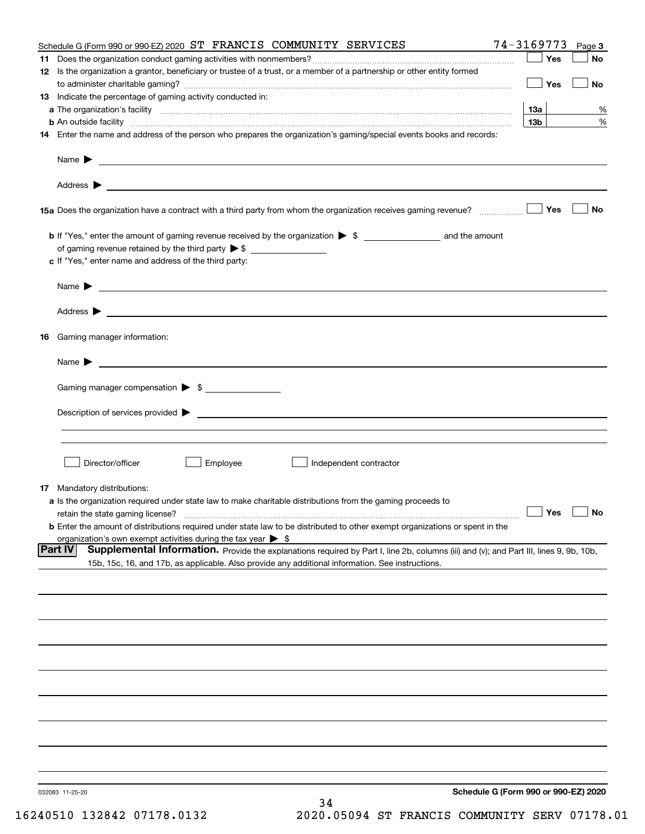|    | Schedule G (Form 990 or 990-EZ) 2020 ST FRANCIS COMMUNITY SERVICES                                                                                                                                                                                           | 74-3169773                           | Page 3    |
|----|--------------------------------------------------------------------------------------------------------------------------------------------------------------------------------------------------------------------------------------------------------------|--------------------------------------|-----------|
|    |                                                                                                                                                                                                                                                              | Yes                                  | No        |
|    | 12 Is the organization a grantor, beneficiary or trustee of a trust, or a member of a partnership or other entity formed                                                                                                                                     | Yes                                  | No        |
|    | 13 Indicate the percentage of gaming activity conducted in:                                                                                                                                                                                                  |                                      |           |
|    |                                                                                                                                                                                                                                                              | 13а                                  | %         |
|    |                                                                                                                                                                                                                                                              | 13 <sub>b</sub>                      | %         |
|    | 14 Enter the name and address of the person who prepares the organization's gaming/special events books and records:                                                                                                                                         |                                      |           |
|    |                                                                                                                                                                                                                                                              |                                      |           |
|    |                                                                                                                                                                                                                                                              |                                      |           |
|    |                                                                                                                                                                                                                                                              | Yes                                  | No        |
|    |                                                                                                                                                                                                                                                              |                                      |           |
|    | of gaming revenue retained by the third party $\triangleright$ \$                                                                                                                                                                                            |                                      |           |
|    | c If "Yes," enter name and address of the third party:                                                                                                                                                                                                       |                                      |           |
|    | Name $\blacktriangleright$<br><u> 1989 - Johann Barbara, martin amerikan basal dan berasal dan berasal dalam basal dan berasal dan berasal dan</u>                                                                                                           |                                      |           |
|    |                                                                                                                                                                                                                                                              |                                      |           |
| 16 | Gaming manager information:                                                                                                                                                                                                                                  |                                      |           |
|    |                                                                                                                                                                                                                                                              |                                      |           |
|    | $Name \rightarrow$                                                                                                                                                                                                                                           |                                      |           |
|    | Gaming manager compensation > \$                                                                                                                                                                                                                             |                                      |           |
|    |                                                                                                                                                                                                                                                              |                                      |           |
|    |                                                                                                                                                                                                                                                              |                                      |           |
|    |                                                                                                                                                                                                                                                              |                                      |           |
|    | Director/officer<br>Employee<br>Independent contractor                                                                                                                                                                                                       |                                      |           |
|    | <b>17</b> Mandatory distributions:                                                                                                                                                                                                                           |                                      |           |
|    | a Is the organization required under state law to make charitable distributions from the gaming proceeds to                                                                                                                                                  |                                      |           |
|    | retain the state gaming license?                                                                                                                                                                                                                             | $\Box$ Yes                           | $\Box$ No |
|    | <b>b</b> Enter the amount of distributions required under state law to be distributed to other exempt organizations or spent in the                                                                                                                          |                                      |           |
|    | organization's own exempt activities during the tax year $\triangleright$ \$                                                                                                                                                                                 |                                      |           |
|    | <b>Part IV</b><br>Supplemental Information. Provide the explanations required by Part I, line 2b, columns (iii) and (v); and Part III, lines 9, 9b, 10b,<br>15b, 15c, 16, and 17b, as applicable. Also provide any additional information. See instructions. |                                      |           |
|    |                                                                                                                                                                                                                                                              |                                      |           |
|    |                                                                                                                                                                                                                                                              |                                      |           |
|    |                                                                                                                                                                                                                                                              |                                      |           |
|    |                                                                                                                                                                                                                                                              |                                      |           |
|    |                                                                                                                                                                                                                                                              |                                      |           |
|    |                                                                                                                                                                                                                                                              |                                      |           |
|    |                                                                                                                                                                                                                                                              |                                      |           |
|    |                                                                                                                                                                                                                                                              |                                      |           |
|    |                                                                                                                                                                                                                                                              |                                      |           |
|    |                                                                                                                                                                                                                                                              |                                      |           |
|    | 032083 11-25-20<br>34                                                                                                                                                                                                                                        | Schedule G (Form 990 or 990-EZ) 2020 |           |
|    |                                                                                                                                                                                                                                                              |                                      |           |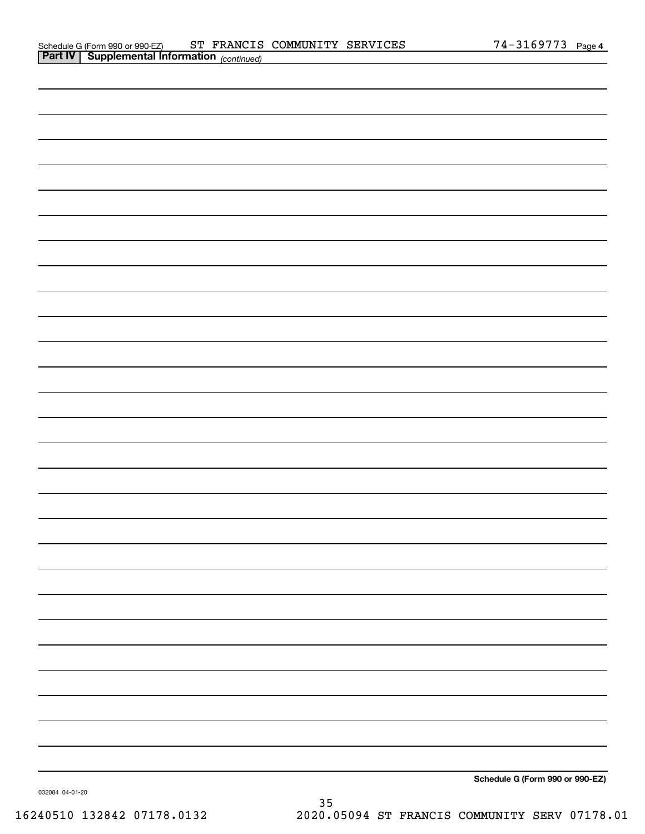|         | Schedule G (Form 990 or 990-EZ)      | ST | FRANCIS COMMUNITY SERVICES | 3169773 | Page 4 |
|---------|--------------------------------------|----|----------------------------|---------|--------|
| Part IV | Supplemental Information (continued) |    |                            |         |        |

**Schedule G (Form 990 or 990-EZ)**

032084 04-01-20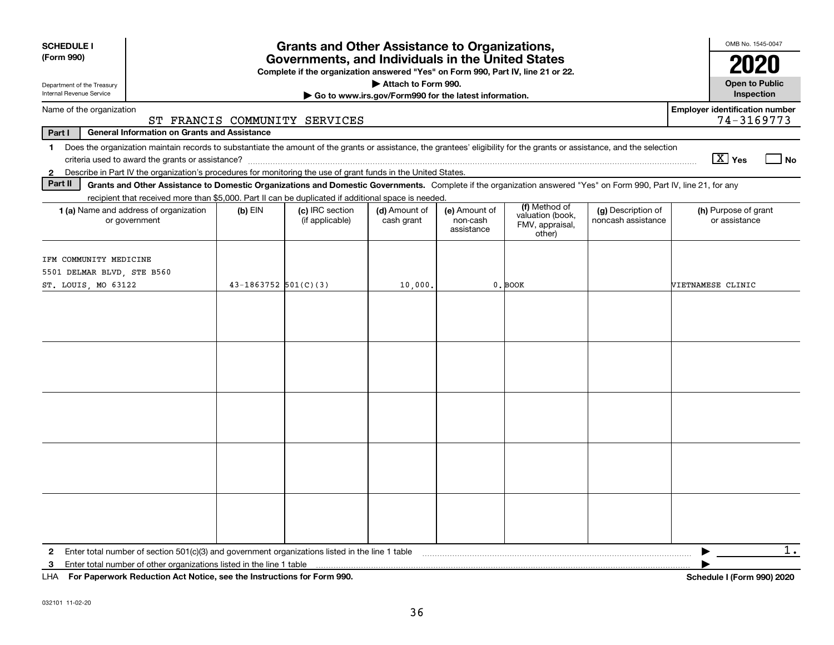| <b>SCHEDULE I</b><br><b>Grants and Other Assistance to Organizations,</b><br>(Form 990)<br>Governments, and Individuals in the United States<br>Complete if the organization answered "Yes" on Form 990, Part IV, line 21 or 22.<br>Attach to Form 990.<br>Department of the Treasury                                    |                        |                               |                                                       |                        |                                               |                    |                                                     |  |
|--------------------------------------------------------------------------------------------------------------------------------------------------------------------------------------------------------------------------------------------------------------------------------------------------------------------------|------------------------|-------------------------------|-------------------------------------------------------|------------------------|-----------------------------------------------|--------------------|-----------------------------------------------------|--|
| Internal Revenue Service                                                                                                                                                                                                                                                                                                 |                        |                               | Go to www.irs.gov/Form990 for the latest information. |                        |                                               |                    | Inspection                                          |  |
| Name of the organization                                                                                                                                                                                                                                                                                                 |                        | ST FRANCIS COMMUNITY SERVICES |                                                       |                        |                                               |                    | <b>Employer identification number</b><br>74-3169773 |  |
| Part I<br><b>General Information on Grants and Assistance</b>                                                                                                                                                                                                                                                            |                        |                               |                                                       |                        |                                               |                    |                                                     |  |
| Does the organization maintain records to substantiate the amount of the grants or assistance, the grantees' eligibility for the grants or assistance, and the selection<br>$\mathbf 1$<br>Describe in Part IV the organization's procedures for monitoring the use of grant funds in the United States.<br>$\mathbf{2}$ |                        |                               |                                                       |                        |                                               |                    | $\boxed{\text{X}}$ Yes<br>l No                      |  |
| Part II<br>Grants and Other Assistance to Domestic Organizations and Domestic Governments. Complete if the organization answered "Yes" on Form 990, Part IV, line 21, for any                                                                                                                                            |                        |                               |                                                       |                        |                                               |                    |                                                     |  |
| recipient that received more than \$5,000. Part II can be duplicated if additional space is needed.<br>1 (a) Name and address of organization                                                                                                                                                                            | $(b)$ EIN              | (c) IRC section               | (d) Amount of                                         | (e) Amount of          | (f) Method of                                 | (g) Description of | (h) Purpose of grant                                |  |
| or government                                                                                                                                                                                                                                                                                                            |                        | (if applicable)               | cash grant                                            | non-cash<br>assistance | valuation (book,<br>FMV, appraisal,<br>other) | noncash assistance | or assistance                                       |  |
| IFM COMMUNITY MEDICINE<br>5501 DELMAR BLVD, STE B560<br>ST. LOUIS, MO 63122                                                                                                                                                                                                                                              | $43-1863752$ 501(C)(3) |                               | 10,000.                                               |                        | $0$ . BOOK                                    |                    | VIETNAMESE CLINIC                                   |  |
|                                                                                                                                                                                                                                                                                                                          |                        |                               |                                                       |                        |                                               |                    |                                                     |  |
|                                                                                                                                                                                                                                                                                                                          |                        |                               |                                                       |                        |                                               |                    |                                                     |  |
|                                                                                                                                                                                                                                                                                                                          |                        |                               |                                                       |                        |                                               |                    |                                                     |  |
| 3<br>$111A$ $E \cup D \cup \ldots \cup L$ $D \cup L \cup L$ $\ldots$ $A \cup B \cup L$ $\ldots$ $\ldots$ $B \cup L \cup L \cup L \cup L$ $\ldots$ $A \cup E \cup \ldots$ 000                                                                                                                                             |                        |                               |                                                       |                        |                                               |                    | $1$ .<br>0.0010000                                  |  |

**For Paperwork Reduction Act Notice, see the Instructions for Form 990. Schedule I (Form 990) 2020** LHA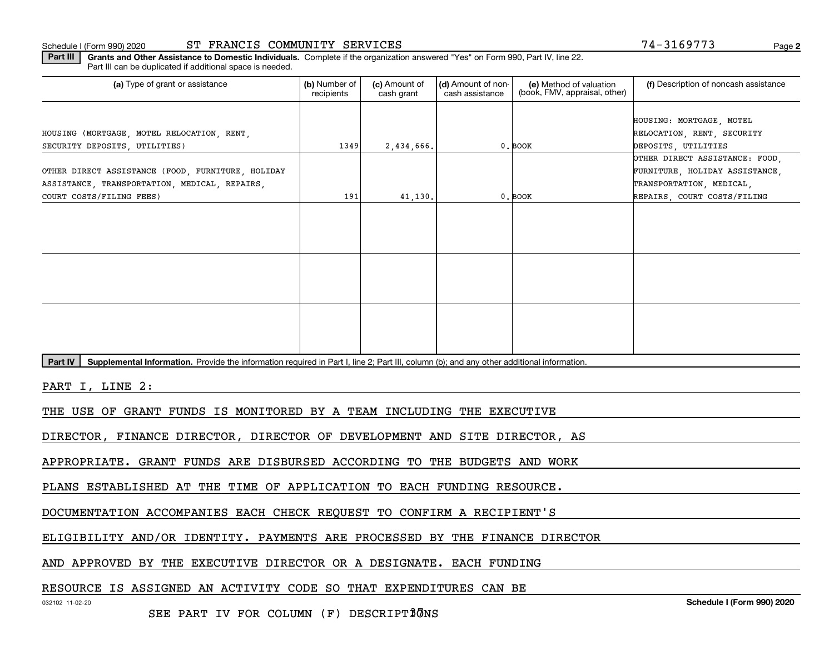Schedule I (Form 990) 2020 ST FRANCIS COMMUNITY SERVICES Page

**2**

**Part III | Grants and Other Assistance to Domestic Individuals. Complete if the organization answered "Yes" on Form 990, Part IV, line 22.** Part III can be duplicated if additional space is needed.

| (a) Type of grant or assistance                                                                                                                      | (b) Number of<br>recipients | (c) Amount of<br>cash grant | (d) Amount of non-<br>cash assistance | (e) Method of valuation<br>(book, FMV, appraisal, other) | (f) Description of noncash assistance                                                                                       |  |  |  |
|------------------------------------------------------------------------------------------------------------------------------------------------------|-----------------------------|-----------------------------|---------------------------------------|----------------------------------------------------------|-----------------------------------------------------------------------------------------------------------------------------|--|--|--|
| HOUSING (MORTGAGE, MOTEL RELOCATION, RENT,<br>SECURITY DEPOSITS UTILITIES)                                                                           | 1349                        | 2,434,666.                  |                                       | $0.$ BOOK                                                | HOUSING: MORTGAGE, MOTEL<br>RELOCATION, RENT, SECURITY<br>DEPOSITS, UTILITIES                                               |  |  |  |
| OTHER DIRECT ASSISTANCE (FOOD, FURNITURE, HOLIDAY<br>ASSISTANCE, TRANSPORTATION, MEDICAL, REPAIRS,<br>COURT COSTS/FILING FEES)                       | 191                         | 41,130.                     |                                       | $0.$ BOOK                                                | OTHER DIRECT ASSISTANCE: FOOD,<br>FURNITURE, HOLIDAY ASSISTANCE,<br>TRANSPORTATION, MEDICAL,<br>REPAIRS, COURT COSTS/FILING |  |  |  |
|                                                                                                                                                      |                             |                             |                                       |                                                          |                                                                                                                             |  |  |  |
|                                                                                                                                                      |                             |                             |                                       |                                                          |                                                                                                                             |  |  |  |
|                                                                                                                                                      |                             |                             |                                       |                                                          |                                                                                                                             |  |  |  |
| Supplemental Information. Provide the information required in Part I, line 2; Part III, column (b); and any other additional information.<br>Part IV |                             |                             |                                       |                                                          |                                                                                                                             |  |  |  |
| PART I, LINE 2:                                                                                                                                      |                             |                             |                                       |                                                          |                                                                                                                             |  |  |  |
| THE USE OF GRANT FUNDS IS MONITORED BY A TEAM INCLUDING THE EXECUTIVE                                                                                |                             |                             |                                       |                                                          |                                                                                                                             |  |  |  |
| DIRECTOR, FINANCE DIRECTOR, DIRECTOR OF DEVELOPMENT AND SITE DIRECTOR, AS                                                                            |                             |                             |                                       |                                                          |                                                                                                                             |  |  |  |
| APPROPRIATE. GRANT FUNDS ARE DISBURSED ACCORDING TO THE BUDGETS AND WORK                                                                             |                             |                             |                                       |                                                          |                                                                                                                             |  |  |  |
| PLANS ESTABLISHED AT THE TIME OF APPLICATION TO EACH FUNDING RESOURCE.                                                                               |                             |                             |                                       |                                                          |                                                                                                                             |  |  |  |

DOCUMENTATION ACCOMPANIES EACH CHECK REQUEST TO CONFIRM A RECIPIENT'S

ELIGIBILITY AND/OR IDENTITY. PAYMENTS ARE PROCESSED BY THE FINANCE DIRECTOR

AND APPROVED BY THE EXECUTIVE DIRECTOR OR A DESIGNATE. EACH FUNDING

RESOURCE IS ASSIGNED AN ACTIVITY CODE SO THAT EXPENDITURES CAN BE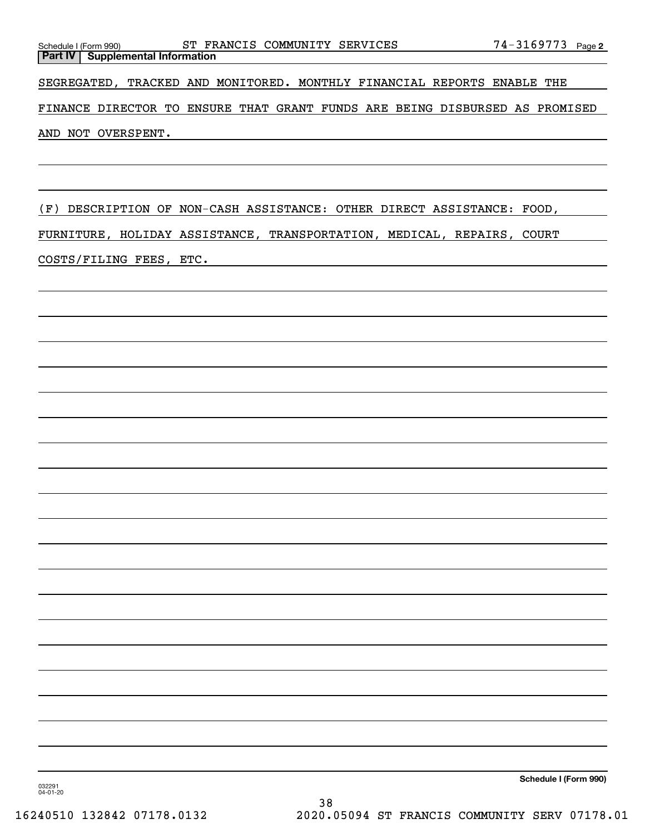SEGREGATED, TRACKED AND MONITORED. MONTHLY FINANCIAL REPORTS ENABLE THE

FINANCE DIRECTOR TO ENSURE THAT GRANT FUNDS ARE BEING DISBURSED AS PROMISED AND NOT OVERSPENT.

(F) DESCRIPTION OF NON-CASH ASSISTANCE: OTHER DIRECT ASSISTANCE: FOOD,

FURNITURE, HOLIDAY ASSISTANCE, TRANSPORTATION, MEDICAL, REPAIRS, COURT COSTS/FILING FEES, ETC.

**Schedule I (Form 990)**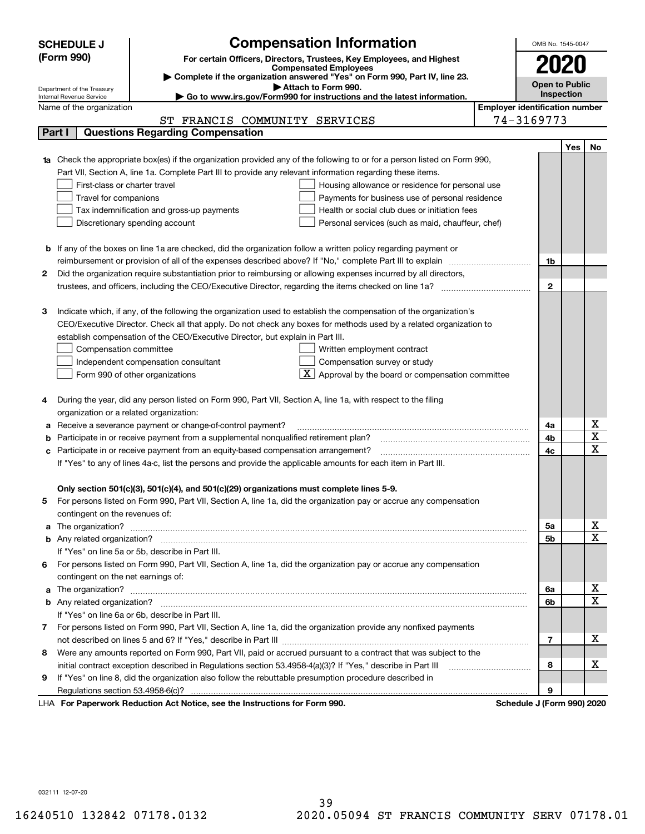|   | <b>SCHEDULE J</b>                                                                                             | <b>Compensation Information</b>                                                                                                                                                                                                     |                                       | OMB No. 1545-0047          |     |                              |
|---|---------------------------------------------------------------------------------------------------------------|-------------------------------------------------------------------------------------------------------------------------------------------------------------------------------------------------------------------------------------|---------------------------------------|----------------------------|-----|------------------------------|
|   | (Form 990)                                                                                                    | For certain Officers, Directors, Trustees, Key Employees, and Highest                                                                                                                                                               |                                       |                            |     |                              |
|   |                                                                                                               | <b>Compensated Employees</b>                                                                                                                                                                                                        |                                       |                            |     |                              |
|   |                                                                                                               | Complete if the organization answered "Yes" on Form 990, Part IV, line 23.                                                                                                                                                          |                                       | <b>Open to Public</b>      |     |                              |
|   | Department of the Treasury<br>Internal Revenue Service                                                        | Attach to Form 990.<br>Go to www.irs.gov/Form990 for instructions and the latest information.                                                                                                                                       |                                       | Inspection                 |     |                              |
|   | Name of the organization                                                                                      |                                                                                                                                                                                                                                     | <b>Employer identification number</b> |                            |     |                              |
|   |                                                                                                               | ST FRANCIS COMMUNITY SERVICES                                                                                                                                                                                                       |                                       | 74-3169773                 |     |                              |
|   | Part I                                                                                                        | <b>Questions Regarding Compensation</b>                                                                                                                                                                                             |                                       |                            |     |                              |
|   |                                                                                                               |                                                                                                                                                                                                                                     |                                       |                            | Yes | No.                          |
|   |                                                                                                               | 1a Check the appropriate box(es) if the organization provided any of the following to or for a person listed on Form 990,                                                                                                           |                                       |                            |     |                              |
|   |                                                                                                               | Part VII, Section A, line 1a. Complete Part III to provide any relevant information regarding these items.                                                                                                                          |                                       |                            |     |                              |
|   | First-class or charter travel                                                                                 | Housing allowance or residence for personal use                                                                                                                                                                                     |                                       |                            |     |                              |
|   | Travel for companions                                                                                         | Payments for business use of personal residence                                                                                                                                                                                     |                                       |                            |     |                              |
|   |                                                                                                               | Health or social club dues or initiation fees<br>Tax indemnification and gross-up payments                                                                                                                                          |                                       |                            |     |                              |
|   |                                                                                                               | Discretionary spending account<br>Personal services (such as maid, chauffeur, chef)                                                                                                                                                 |                                       |                            |     |                              |
|   |                                                                                                               |                                                                                                                                                                                                                                     |                                       |                            |     |                              |
|   |                                                                                                               | <b>b</b> If any of the boxes on line 1a are checked, did the organization follow a written policy regarding payment or                                                                                                              |                                       |                            |     |                              |
|   |                                                                                                               | reimbursement or provision of all of the expenses described above? If "No," complete Part III to explain                                                                                                                            |                                       | 1b                         |     |                              |
| 2 |                                                                                                               | Did the organization require substantiation prior to reimbursing or allowing expenses incurred by all directors,                                                                                                                    |                                       |                            |     |                              |
|   |                                                                                                               |                                                                                                                                                                                                                                     |                                       | $\mathbf{2}$               |     |                              |
|   |                                                                                                               |                                                                                                                                                                                                                                     |                                       |                            |     |                              |
| з |                                                                                                               | Indicate which, if any, of the following the organization used to establish the compensation of the organization's                                                                                                                  |                                       |                            |     |                              |
|   |                                                                                                               | CEO/Executive Director. Check all that apply. Do not check any boxes for methods used by a related organization to                                                                                                                  |                                       |                            |     |                              |
|   |                                                                                                               | establish compensation of the CEO/Executive Director, but explain in Part III.                                                                                                                                                      |                                       |                            |     |                              |
|   | Compensation committee                                                                                        | Written employment contract                                                                                                                                                                                                         |                                       |                            |     |                              |
|   |                                                                                                               | Compensation survey or study<br>Independent compensation consultant                                                                                                                                                                 |                                       |                            |     |                              |
|   |                                                                                                               | Approval by the board or compensation committee<br>Form 990 of other organizations                                                                                                                                                  |                                       |                            |     |                              |
|   |                                                                                                               |                                                                                                                                                                                                                                     |                                       |                            |     |                              |
|   |                                                                                                               | During the year, did any person listed on Form 990, Part VII, Section A, line 1a, with respect to the filing                                                                                                                        |                                       |                            |     |                              |
|   | organization or a related organization:                                                                       |                                                                                                                                                                                                                                     |                                       |                            |     |                              |
| а |                                                                                                               | Receive a severance payment or change-of-control payment?                                                                                                                                                                           |                                       | 4a                         |     | х<br>$\overline{\textbf{x}}$ |
|   |                                                                                                               | Participate in or receive payment from a supplemental nonqualified retirement plan?                                                                                                                                                 |                                       | 4b                         |     | $\overline{\mathbf{x}}$      |
|   |                                                                                                               | c Participate in or receive payment from an equity-based compensation arrangement?                                                                                                                                                  |                                       | 4c                         |     |                              |
|   | If "Yes" to any of lines 4a-c, list the persons and provide the applicable amounts for each item in Part III. |                                                                                                                                                                                                                                     |                                       |                            |     |                              |
|   |                                                                                                               |                                                                                                                                                                                                                                     |                                       |                            |     |                              |
|   |                                                                                                               | Only section 501(c)(3), 501(c)(4), and 501(c)(29) organizations must complete lines 5-9.                                                                                                                                            |                                       |                            |     |                              |
| 5 | contingent on the revenues of:                                                                                | For persons listed on Form 990, Part VII, Section A, line 1a, did the organization pay or accrue any compensation                                                                                                                   |                                       |                            |     |                              |
|   |                                                                                                               |                                                                                                                                                                                                                                     |                                       | 5a                         |     | x                            |
|   |                                                                                                               | a The organization? <b>Entitation</b> 2008 Communication of the contract of the contract of the contract of the contract of the contract of the contract of the contract of the contract of the contract of the contract of the con |                                       | 5b                         |     | $\overline{\mathbf{x}}$      |
|   |                                                                                                               | If "Yes" on line 5a or 5b, describe in Part III.                                                                                                                                                                                    |                                       |                            |     |                              |
|   |                                                                                                               | 6 For persons listed on Form 990, Part VII, Section A, line 1a, did the organization pay or accrue any compensation                                                                                                                 |                                       |                            |     |                              |
|   | contingent on the net earnings of:                                                                            |                                                                                                                                                                                                                                     |                                       |                            |     |                              |
|   |                                                                                                               |                                                                                                                                                                                                                                     |                                       | 6a                         |     | х                            |
|   |                                                                                                               |                                                                                                                                                                                                                                     |                                       |                            |     |                              |
|   |                                                                                                               | If "Yes" on line 6a or 6b, describe in Part III.                                                                                                                                                                                    |                                       | 6b                         |     | $\mathbf X$                  |
|   |                                                                                                               | 7 For persons listed on Form 990, Part VII, Section A, line 1a, did the organization provide any nonfixed payments                                                                                                                  |                                       |                            |     |                              |
|   |                                                                                                               |                                                                                                                                                                                                                                     |                                       | 7                          |     | х                            |
| 8 |                                                                                                               | Were any amounts reported on Form 990, Part VII, paid or accrued pursuant to a contract that was subject to the                                                                                                                     |                                       |                            |     |                              |
|   |                                                                                                               |                                                                                                                                                                                                                                     |                                       | 8                          |     | х                            |
| 9 |                                                                                                               | If "Yes" on line 8, did the organization also follow the rebuttable presumption procedure described in                                                                                                                              |                                       |                            |     |                              |
|   |                                                                                                               |                                                                                                                                                                                                                                     |                                       | 9                          |     |                              |
|   |                                                                                                               | LHA For Paperwork Reduction Act Notice, see the Instructions for Form 990.                                                                                                                                                          |                                       | Schedule J (Form 990) 2020 |     |                              |

032111 12-07-20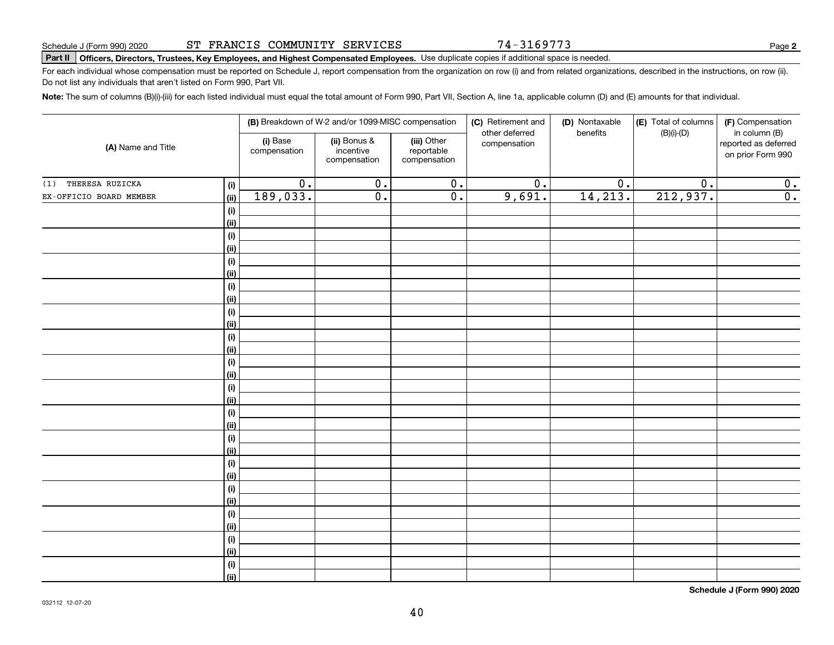74-3169773

**2**

# **Part II Officers, Directors, Trustees, Key Employees, and Highest Compensated Employees.**  Schedule J (Form 990) 2020 Page Use duplicate copies if additional space is needed.

For each individual whose compensation must be reported on Schedule J, report compensation from the organization on row (i) and from related organizations, described in the instructions, on row (ii). Do not list any individuals that aren't listed on Form 990, Part VII.

**Note:**  The sum of columns (B)(i)-(iii) for each listed individual must equal the total amount of Form 990, Part VII, Section A, line 1a, applicable column (D) and (E) amounts for that individual.

| (A) Name and Title      |             |                          | (B) Breakdown of W-2 and/or 1099-MISC compensation |                                           | (C) Retirement and             | (D) Nontaxable   | (E) Total of columns | (F) Compensation                                           |
|-------------------------|-------------|--------------------------|----------------------------------------------------|-------------------------------------------|--------------------------------|------------------|----------------------|------------------------------------------------------------|
|                         |             | (i) Base<br>compensation | (ii) Bonus &<br>incentive<br>compensation          | (iii) Other<br>reportable<br>compensation | other deferred<br>compensation | benefits         | $(B)(i)$ - $(D)$     | in column (B)<br>reported as deferred<br>on prior Form 990 |
| THERESA RUZICKA<br>(1)  | $(\sf{i})$  | $\overline{0}$ .         | $\overline{0}$ .                                   | $\overline{\mathbf{0}}$ .                 | $\overline{0}$ .               | $\overline{0}$ . | $\overline{0}$ .     | 0.                                                         |
| EX-OFFICIO BOARD MEMBER | (ii)        | 189,033.                 | $\overline{0}$ .                                   | $\overline{0}$ .                          | 9,691.                         | 14, 213.         | 212,937.             | $\overline{0}$ .                                           |
|                         | $(\sf{i})$  |                          |                                                    |                                           |                                |                  |                      |                                                            |
|                         | (ii)        |                          |                                                    |                                           |                                |                  |                      |                                                            |
|                         | (i)         |                          |                                                    |                                           |                                |                  |                      |                                                            |
|                         | (ii)        |                          |                                                    |                                           |                                |                  |                      |                                                            |
|                         | (i)         |                          |                                                    |                                           |                                |                  |                      |                                                            |
|                         | (ii)        |                          |                                                    |                                           |                                |                  |                      |                                                            |
|                         | (i)         |                          |                                                    |                                           |                                |                  |                      |                                                            |
|                         | (ii)        |                          |                                                    |                                           |                                |                  |                      |                                                            |
|                         | (i)         |                          |                                                    |                                           |                                |                  |                      |                                                            |
|                         | (ii)        |                          |                                                    |                                           |                                |                  |                      |                                                            |
|                         | (i)         |                          |                                                    |                                           |                                |                  |                      |                                                            |
|                         | (ii)        |                          |                                                    |                                           |                                |                  |                      |                                                            |
|                         | (i)         |                          |                                                    |                                           |                                |                  |                      |                                                            |
|                         | (ii)        |                          |                                                    |                                           |                                |                  |                      |                                                            |
|                         | (i)<br>(ii) |                          |                                                    |                                           |                                |                  |                      |                                                            |
|                         | (i)         |                          |                                                    |                                           |                                |                  |                      |                                                            |
|                         | (ii)        |                          |                                                    |                                           |                                |                  |                      |                                                            |
|                         | (i)         |                          |                                                    |                                           |                                |                  |                      |                                                            |
|                         | (ii)        |                          |                                                    |                                           |                                |                  |                      |                                                            |
|                         | (i)         |                          |                                                    |                                           |                                |                  |                      |                                                            |
|                         | (ii)        |                          |                                                    |                                           |                                |                  |                      |                                                            |
|                         | (i)         |                          |                                                    |                                           |                                |                  |                      |                                                            |
|                         | (ii)        |                          |                                                    |                                           |                                |                  |                      |                                                            |
|                         | (i)         |                          |                                                    |                                           |                                |                  |                      |                                                            |
|                         | (ii)        |                          |                                                    |                                           |                                |                  |                      |                                                            |
|                         | (i)         |                          |                                                    |                                           |                                |                  |                      |                                                            |
|                         | (ii)        |                          |                                                    |                                           |                                |                  |                      |                                                            |
|                         | (i)         |                          |                                                    |                                           |                                |                  |                      |                                                            |
|                         | (ii)        |                          |                                                    |                                           |                                |                  |                      |                                                            |

**Schedule J (Form 990) 2020**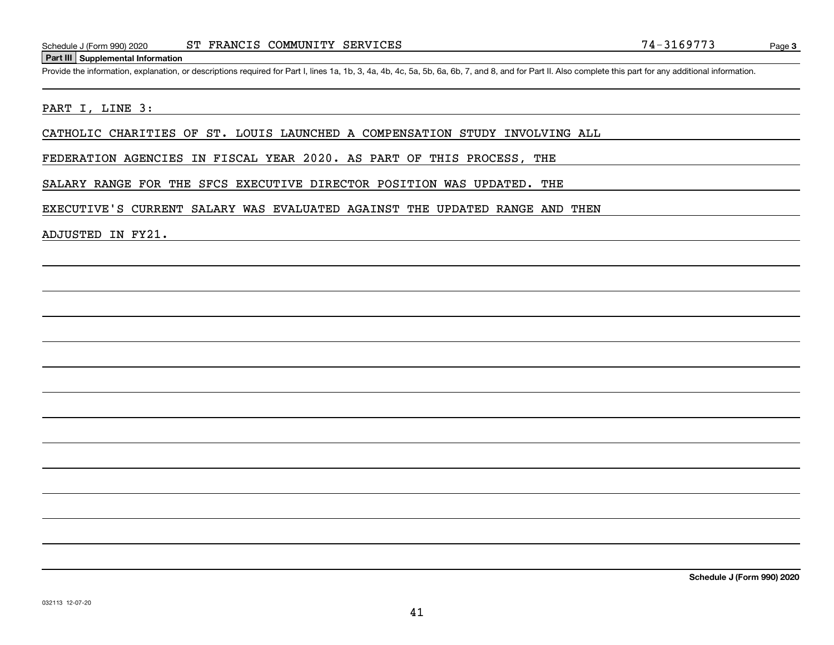#### **Part III Supplemental Information**

Schedule J (Form 990) 2020 ST FRANCIS COMMUNITY SERVICES 74 - 3169773<br>
Part III Supplemental Information<br>
Provide the information, explanation, or descriptions required for Part I, lines 1a, 1b, 3, 4a, 4b, 4c, 5a, 5b, 6a,

#### PART I, LINE 3:

CATHOLIC CHARITIES OF ST. LOUIS LAUNCHED A COMPENSATION STUDY INVOLVING ALL

FEDERATION AGENCIES IN FISCAL YEAR 2020. AS PART OF THIS PROCESS, THE

SALARY RANGE FOR THE SFCS EXECUTIVE DIRECTOR POSITION WAS UPDATED. THE

EXECUTIVE'S CURRENT SALARY WAS EVALUATED AGAINST THE UPDATED RANGE AND THEN

ADJUSTED IN FY21.

**Schedule J (Form 990) 2020**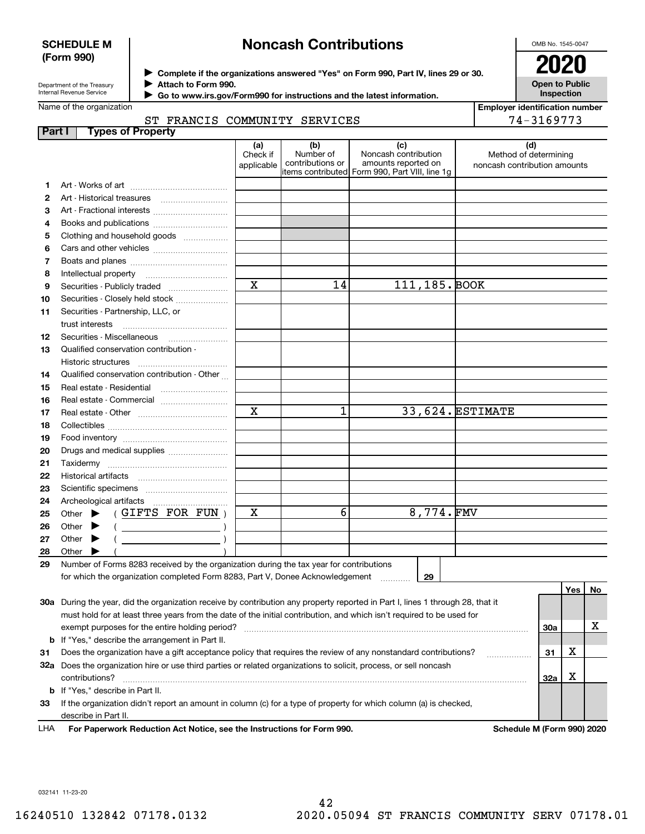#### **SCHEDULE M (Form 990)**

## **Noncash Contributions**

OMB No. 1545-0047

**Open to Public Inspection**

| Department of the Treasury |
|----------------------------|
| Internal Revenue Service   |

**Complete if the organizations answered "Yes" on Form 990, Part IV, lines 29 or 30.** <sup>J</sup>**2020 Attach to Form 990.** J

 **Go to www.irs.gov/Form990 for instructions and the latest information.** J

Name of the organization

| <b>Employer identification number</b> |  |
|---------------------------------------|--|

|        | ST FRANCIS COMMUNITY SERVICES                                                                                                                                                                                                                                                                                                                                                      |                               | 74-3169773                           |                                                                                                       |                                                       |     |     |    |
|--------|------------------------------------------------------------------------------------------------------------------------------------------------------------------------------------------------------------------------------------------------------------------------------------------------------------------------------------------------------------------------------------|-------------------------------|--------------------------------------|-------------------------------------------------------------------------------------------------------|-------------------------------------------------------|-----|-----|----|
| Part I | <b>Types of Property</b>                                                                                                                                                                                                                                                                                                                                                           |                               |                                      |                                                                                                       |                                                       |     |     |    |
|        |                                                                                                                                                                                                                                                                                                                                                                                    | (a)<br>Check if<br>applicable | (b)<br>Number of<br>contributions or | (c)<br>Noncash contribution<br>amounts reported on<br>items contributed  Form 990, Part VIII, line 1g | Method of determining<br>noncash contribution amounts | (d) |     |    |
| 1      |                                                                                                                                                                                                                                                                                                                                                                                    |                               |                                      |                                                                                                       |                                                       |     |     |    |
| 2      |                                                                                                                                                                                                                                                                                                                                                                                    |                               |                                      |                                                                                                       |                                                       |     |     |    |
| 3      | Art - Fractional interests                                                                                                                                                                                                                                                                                                                                                         |                               |                                      |                                                                                                       |                                                       |     |     |    |
| 4      | Books and publications                                                                                                                                                                                                                                                                                                                                                             |                               |                                      |                                                                                                       |                                                       |     |     |    |
| 5      | Clothing and household goods                                                                                                                                                                                                                                                                                                                                                       |                               |                                      |                                                                                                       |                                                       |     |     |    |
| 6      |                                                                                                                                                                                                                                                                                                                                                                                    |                               |                                      |                                                                                                       |                                                       |     |     |    |
| 7      |                                                                                                                                                                                                                                                                                                                                                                                    |                               |                                      |                                                                                                       |                                                       |     |     |    |
| 8      | Intellectual property                                                                                                                                                                                                                                                                                                                                                              |                               |                                      |                                                                                                       |                                                       |     |     |    |
| 9      | Securities - Publicly traded                                                                                                                                                                                                                                                                                                                                                       | $\overline{\mathbf{x}}$       | 14                                   | 111, 185. BOOK                                                                                        |                                                       |     |     |    |
| 10     | Securities - Closely held stock                                                                                                                                                                                                                                                                                                                                                    |                               |                                      |                                                                                                       |                                                       |     |     |    |
| 11     | Securities - Partnership, LLC, or                                                                                                                                                                                                                                                                                                                                                  |                               |                                      |                                                                                                       |                                                       |     |     |    |
| 12     |                                                                                                                                                                                                                                                                                                                                                                                    |                               |                                      |                                                                                                       |                                                       |     |     |    |
| 13     | Qualified conservation contribution -                                                                                                                                                                                                                                                                                                                                              |                               |                                      |                                                                                                       |                                                       |     |     |    |
|        |                                                                                                                                                                                                                                                                                                                                                                                    |                               |                                      |                                                                                                       |                                                       |     |     |    |
| 14     | Qualified conservation contribution - Other                                                                                                                                                                                                                                                                                                                                        |                               |                                      |                                                                                                       |                                                       |     |     |    |
| 15     | Real estate - Residential                                                                                                                                                                                                                                                                                                                                                          |                               |                                      |                                                                                                       |                                                       |     |     |    |
| 16     | Real estate - Commercial                                                                                                                                                                                                                                                                                                                                                           |                               |                                      |                                                                                                       |                                                       |     |     |    |
| 17     |                                                                                                                                                                                                                                                                                                                                                                                    | $\mathbf X$                   | 1                                    |                                                                                                       | 33,624. ESTIMATE                                      |     |     |    |
| 18     |                                                                                                                                                                                                                                                                                                                                                                                    |                               |                                      |                                                                                                       |                                                       |     |     |    |
| 19     |                                                                                                                                                                                                                                                                                                                                                                                    |                               |                                      |                                                                                                       |                                                       |     |     |    |
| 20     | Drugs and medical supplies                                                                                                                                                                                                                                                                                                                                                         |                               |                                      |                                                                                                       |                                                       |     |     |    |
| 21     |                                                                                                                                                                                                                                                                                                                                                                                    |                               |                                      |                                                                                                       |                                                       |     |     |    |
| 22     |                                                                                                                                                                                                                                                                                                                                                                                    |                               |                                      |                                                                                                       |                                                       |     |     |    |
| 23     |                                                                                                                                                                                                                                                                                                                                                                                    |                               |                                      |                                                                                                       |                                                       |     |     |    |
| 24     |                                                                                                                                                                                                                                                                                                                                                                                    |                               |                                      |                                                                                                       |                                                       |     |     |    |
| 25     | (GIFTS FOR FUN)<br>Other $\blacktriangleright$                                                                                                                                                                                                                                                                                                                                     | х                             | 6                                    | $8,774.$ FMV                                                                                          |                                                       |     |     |    |
| 26     | Other $\blacktriangleright$<br>$\begin{picture}(20,10) \put(0,0){\line(1,0){10}} \put(15,0){\line(1,0){10}} \put(15,0){\line(1,0){10}} \put(15,0){\line(1,0){10}} \put(15,0){\line(1,0){10}} \put(15,0){\line(1,0){10}} \put(15,0){\line(1,0){10}} \put(15,0){\line(1,0){10}} \put(15,0){\line(1,0){10}} \put(15,0){\line(1,0){10}} \put(15,0){\line(1,0){10}} \put(15,0){\line(1$ |                               |                                      |                                                                                                       |                                                       |     |     |    |
| 27     | $\left(\begin{array}{ccc}\n\end{array}\right)$<br>Other $\blacktriangleright$                                                                                                                                                                                                                                                                                                      |                               |                                      |                                                                                                       |                                                       |     |     |    |
| 28     | Other $\blacktriangleright$                                                                                                                                                                                                                                                                                                                                                        |                               |                                      |                                                                                                       |                                                       |     |     |    |
| 29     | Number of Forms 8283 received by the organization during the tax year for contributions                                                                                                                                                                                                                                                                                            |                               |                                      |                                                                                                       |                                                       |     |     |    |
|        | for which the organization completed Form 8283, Part V, Donee Acknowledgement [111111111111111111111111111111                                                                                                                                                                                                                                                                      |                               |                                      | 29                                                                                                    |                                                       |     | Yes | No |
|        | 30a During the year, did the organization receive by contribution any property reported in Part I, lines 1 through 28, that it                                                                                                                                                                                                                                                     |                               |                                      |                                                                                                       |                                                       |     |     |    |
|        | must hold for at least three years from the date of the initial contribution, and which isn't required to be used for                                                                                                                                                                                                                                                              |                               |                                      |                                                                                                       |                                                       |     |     |    |
|        | exempt purposes for the entire holding period?                                                                                                                                                                                                                                                                                                                                     |                               |                                      |                                                                                                       |                                                       | 30a |     | X  |
|        | <b>b</b> If "Yes," describe the arrangement in Part II.                                                                                                                                                                                                                                                                                                                            |                               |                                      |                                                                                                       |                                                       |     |     |    |
| 31     | Does the organization have a gift acceptance policy that requires the review of any nonstandard contributions?                                                                                                                                                                                                                                                                     |                               |                                      |                                                                                                       |                                                       | 31  | х   |    |
|        |                                                                                                                                                                                                                                                                                                                                                                                    |                               |                                      |                                                                                                       |                                                       |     |     |    |

**32a** Does the organization hire or use third parties or related organizations to solicit, process, or sell noncash **33**If the organization didn't report an amount in column (c) for a type of property for which column (a) is checked, **32a b** If "Yes," describe in Part II. contributions? ~~~~~~~~~~~~~~~~~~~~~~~~~~~~~~~~~~~~~~~~~~~~~~~~~~~~~~ describe in Part II.

**For Paperwork Reduction Act Notice, see the Instructions for Form 990. Schedule M (Form 990) 2020** LHA

X

032141 11-23-20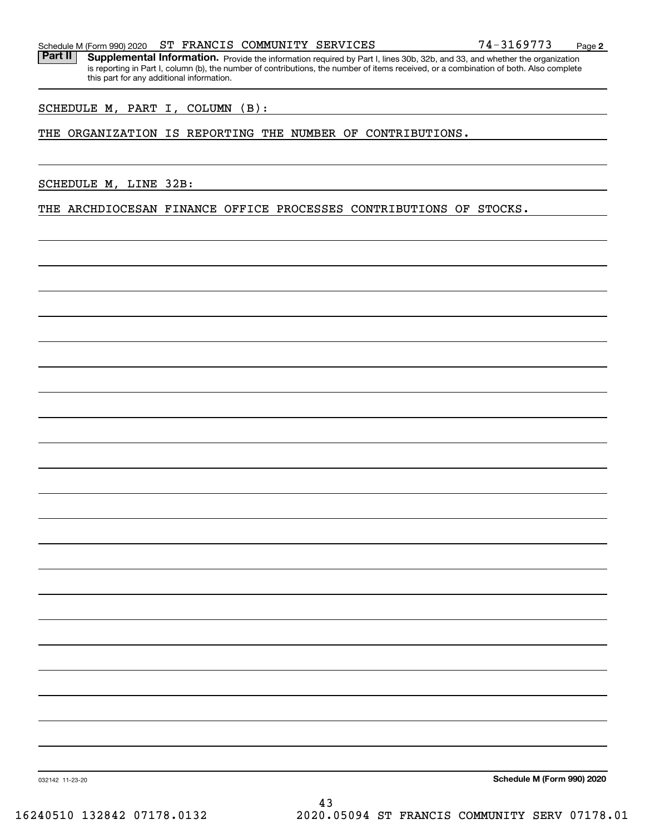Part II | Supplemental Information. Provide the information required by Part I, lines 30b, 32b, and 33, and whether the organization is reporting in Part I, column (b), the number of contributions, the number of items received, or a combination of both. Also complete this part for any additional information.

SCHEDULE M, PART I, COLUMN (B):

#### THE ORGANIZATION IS REPORTING THE NUMBER OF CONTRIBUTIONS.

SCHEDULE M, LINE 32B:

THE ARCHDIOCESAN FINANCE OFFICE PROCESSES CONTRIBUTIONS OF STOCKS.

**Schedule M (Form 990) 2020**

032142 11-23-20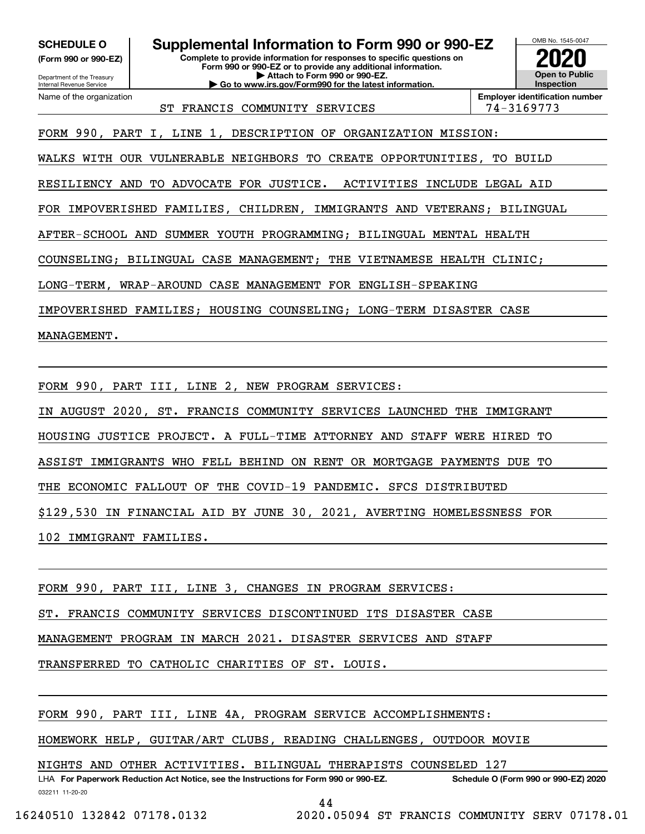**(Form 990 or 990-EZ)**

Department of the Treasury Internal Revenue Service Name of the organization

**SCHEDULE O Supplemental Information to Form 990 or 990-EZ**

**Complete to provide information for responses to specific questions on Form 990 or 990-EZ or to provide any additional information. | Attach to Form 990 or 990-EZ. | Go to www.irs.gov/Form990 for the latest information.**



ST FRANCIS COMMUNITY SERVICES  $|74-3169773$ 

**Employer identification number**

FORM 990, PART I, LINE 1, DESCRIPTION OF ORGANIZATION MISSION:

WALKS WITH OUR VULNERABLE NEIGHBORS TO CREATE OPPORTUNITIES, TO BUILD

RESILIENCY AND TO ADVOCATE FOR JUSTICE. ACTIVITIES INCLUDE LEGAL AID

FOR IMPOVERISHED FAMILIES, CHILDREN, IMMIGRANTS AND VETERANS; BILINGUAL

AFTER-SCHOOL AND SUMMER YOUTH PROGRAMMING; BILINGUAL MENTAL HEALTH

COUNSELING; BILINGUAL CASE MANAGEMENT; THE VIETNAMESE HEALTH CLINIC;

LONG-TERM, WRAP-AROUND CASE MANAGEMENT FOR ENGLISH-SPEAKING

IMPOVERISHED FAMILIES; HOUSING COUNSELING; LONG-TERM DISASTER CASE

MANAGEMENT.

FORM 990, PART III, LINE 2, NEW PROGRAM SERVICES:

IN AUGUST 2020, ST. FRANCIS COMMUNITY SERVICES LAUNCHED THE IMMIGRANT

HOUSING JUSTICE PROJECT. A FULL-TIME ATTORNEY AND STAFF WERE HIRED TO

ASSIST IMMIGRANTS WHO FELL BEHIND ON RENT OR MORTGAGE PAYMENTS DUE TO

THE ECONOMIC FALLOUT OF THE COVID-19 PANDEMIC. SFCS DISTRIBUTED

\$129,530 IN FINANCIAL AID BY JUNE 30, 2021, AVERTING HOMELESSNESS FOR

102 IMMIGRANT FAMILIES.

FORM 990, PART III, LINE 3, CHANGES IN PROGRAM SERVICES:

ST. FRANCIS COMMUNITY SERVICES DISCONTINUED ITS DISASTER CASE

MANAGEMENT PROGRAM IN MARCH 2021. DISASTER SERVICES AND STAFF

TRANSFERRED TO CATHOLIC CHARITIES OF ST. LOUIS.

FORM 990, PART III, LINE 4A, PROGRAM SERVICE ACCOMPLISHMENTS:

HOMEWORK HELP, GUITAR/ART CLUBS, READING CHALLENGES, OUTDOOR MOVIE

NIGHTS AND OTHER ACTIVITIES. BILINGUAL THERAPISTS COUNSELED 127

032211 11-20-20 LHA For Paperwork Reduction Act Notice, see the Instructions for Form 990 or 990-EZ. Schedule O (Form 990 or 990-EZ) 2020

44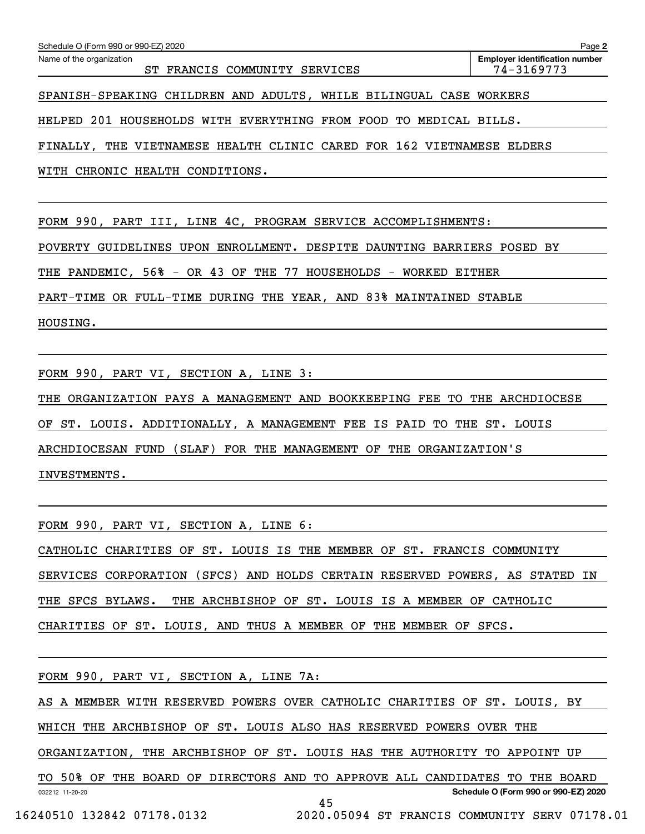| Schedule O (Form 990 or 990-EZ) 2020                                  | Page 2                                              |
|-----------------------------------------------------------------------|-----------------------------------------------------|
| Name of the organization<br>FRANCIS COMMUNITY<br>SERVICES<br>ST.      | <b>Employer identification number</b><br>74-3169773 |
| SPANISH-SPEAKING CHILDREN AND ADULTS, WHILE BILINGUAL CASE WORKERS    |                                                     |
| HELPED 201 HOUSEHOLDS WITH EVERYTHING FROM FOOD TO MEDICAL BILLS.     |                                                     |
| FINALLY, THE VIETNAMESE HEALTH CLINIC CARED FOR 162 VIETNAMESE ELDERS |                                                     |
| WITH CHRONIC HEALTH CONDITIONS.                                       |                                                     |

FORM 990, PART III, LINE 4C, PROGRAM SERVICE ACCOMPLISHMENTS:

POVERTY GUIDELINES UPON ENROLLMENT. DESPITE DAUNTING BARRIERS POSED BY

THE PANDEMIC, 56% - OR 43 OF THE 77 HOUSEHOLDS - WORKED EITHER

PART-TIME OR FULL-TIME DURING THE YEAR, AND 83% MAINTAINED STABLE

HOUSING.

FORM 990, PART VI, SECTION A, LINE 3:

THE ORGANIZATION PAYS A MANAGEMENT AND BOOKKEEPING FEE TO THE ARCHDIOCESE

OF ST. LOUIS. ADDITIONALLY, A MANAGEMENT FEE IS PAID TO THE ST. LOUIS

ARCHDIOCESAN FUND (SLAF) FOR THE MANAGEMENT OF THE ORGANIZATION'S

INVESTMENTS.

FORM 990, PART VI, SECTION A, LINE 6:

CATHOLIC CHARITIES OF ST. LOUIS IS THE MEMBER OF ST. FRANCIS COMMUNITY SERVICES CORPORATION (SFCS) AND HOLDS CERTAIN RESERVED POWERS, AS STATED IN THE SFCS BYLAWS. THE ARCHBISHOP OF ST. LOUIS IS A MEMBER OF CATHOLIC CHARITIES OF ST. LOUIS, AND THUS A MEMBER OF THE MEMBER OF SFCS.

FORM 990, PART VI, SECTION A, LINE 7A:

AS A MEMBER WITH RESERVED POWERS OVER CATHOLIC CHARITIES OF ST. LOUIS, BY

WHICH THE ARCHBISHOP OF ST. LOUIS ALSO HAS RESERVED POWERS OVER THE

ORGANIZATION, THE ARCHBISHOP OF ST. LOUIS HAS THE AUTHORITY TO APPOINT UP

032212 11-20-20 **Schedule O (Form 990 or 990-EZ) 2020** TO 50% OF THE BOARD OF DIRECTORS AND TO APPROVE ALL CANDIDATES TO THE BOARD 45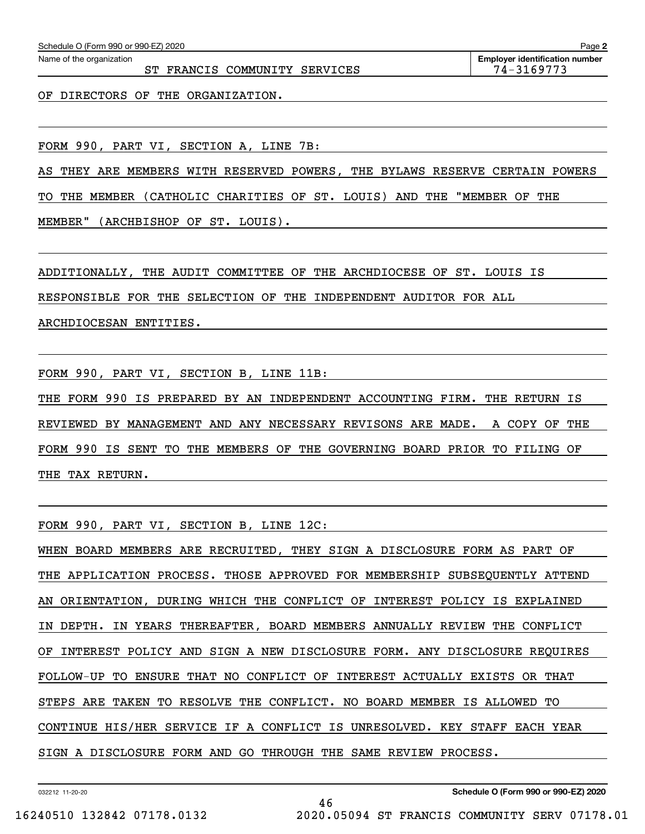ST FRANCIS COMMUNITY SERVICES 74-3169773

OF DIRECTORS OF THE ORGANIZATION.

FORM 990, PART VI, SECTION A, LINE 7B:

AS THEY ARE MEMBERS WITH RESERVED POWERS, THE BYLAWS RESERVE CERTAIN POWERS

TO THE MEMBER (CATHOLIC CHARITIES OF ST. LOUIS) AND THE "MEMBER OF THE

MEMBER" (ARCHBISHOP OF ST. LOUIS).

ADDITIONALLY, THE AUDIT COMMITTEE OF THE ARCHDIOCESE OF ST. LOUIS IS

RESPONSIBLE FOR THE SELECTION OF THE INDEPENDENT AUDITOR FOR ALL

ARCHDIOCESAN ENTITIES.

FORM 990, PART VI, SECTION B, LINE 11B:

THE FORM 990 IS PREPARED BY AN INDEPENDENT ACCOUNTING FIRM. THE RETURN IS REVIEWED BY MANAGEMENT AND ANY NECESSARY REVISONS ARE MADE. A COPY OF THE FORM 990 IS SENT TO THE MEMBERS OF THE GOVERNING BOARD PRIOR TO FILING OF THE TAX RETURN.

FORM 990, PART VI, SECTION B, LINE 12C:

WHEN BOARD MEMBERS ARE RECRUITED, THEY SIGN A DISCLOSURE FORM AS PART OF THE APPLICATION PROCESS. THOSE APPROVED FOR MEMBERSHIP SUBSEQUENTLY ATTEND AN ORIENTATION, DURING WHICH THE CONFLICT OF INTEREST POLICY IS EXPLAINED IN DEPTH. IN YEARS THEREAFTER, BOARD MEMBERS ANNUALLY REVIEW THE CONFLICT OF INTEREST POLICY AND SIGN A NEW DISCLOSURE FORM. ANY DISCLOSURE REQUIRES FOLLOW-UP TO ENSURE THAT NO CONFLICT OF INTEREST ACTUALLY EXISTS OR THAT STEPS ARE TAKEN TO RESOLVE THE CONFLICT. NO BOARD MEMBER IS ALLOWED TO CONTINUE HIS/HER SERVICE IF A CONFLICT IS UNRESOLVED. KEY STAFF EACH YEAR SIGN A DISCLOSURE FORM AND GO THROUGH THE SAME REVIEW PROCESS.

46

032212 11-20-20

**Schedule O (Form 990 or 990-EZ) 2020**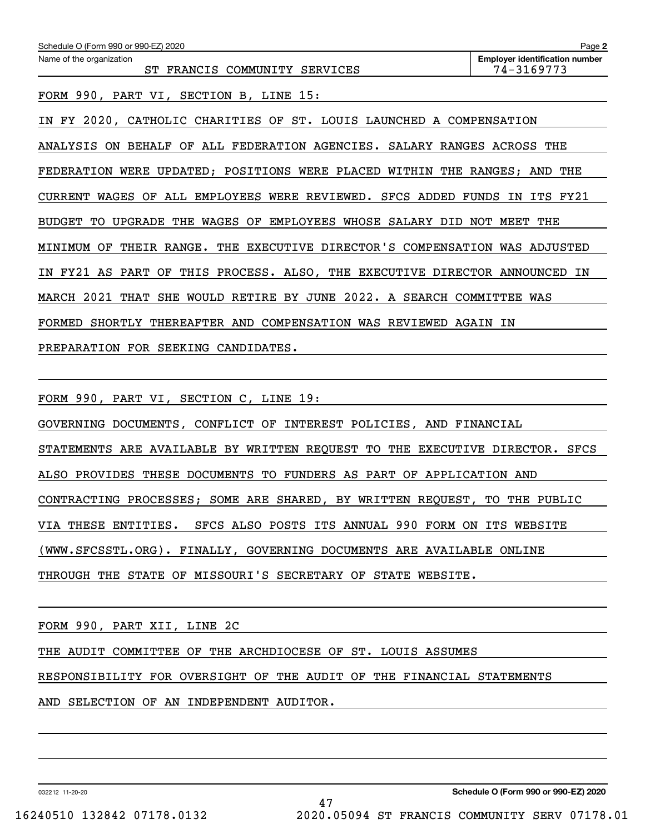| Schedule O (Form 990 or 990-EZ) 2020                                                       | Page 2                                              |
|--------------------------------------------------------------------------------------------|-----------------------------------------------------|
| Name of the organization<br>COMMUNITY<br>FRANCIS<br><b>SERVICES</b><br>ST.                 | <b>Employer identification number</b><br>74-3169773 |
| FORM 990, PART VI, SECTION B, LINE 15:                                                     |                                                     |
| 2020,<br>CHARITIES OF<br>ST. LOUIS<br>LAUNCHED<br>FY<br>CATHOLIC<br>ΙN                     | A COMPENSATION                                      |
| <b>BEHALF</b><br>OF<br>ALL FEDERATION AGENCIES. SALARY RANGES ACROSS THE<br>ANALYSIS<br>ON |                                                     |
| FEDERATION WERE<br>UPDATED; POSITIONS WERE PLACED WITHIN THE RANGES; AND THE               |                                                     |
| ALL EMPLOYEES WERE REVIEWED. SFCS ADDED<br><b>CURRENT</b><br>WAGES<br>OF                   | ITS FY21<br>FUNDS<br>IN                             |
| EMPLOYEES<br><b>BUDGET</b><br>UPGRADE<br>THE<br>WAGES<br>OF<br>WHOSE<br>SALARY DID<br>TО   | NOT MEET<br>THE                                     |
| EXECUTIVE DIRECTOR'S COMPENSATION WAS ADJUSTED<br>MINIMUM<br>ОF<br>THEIR RANGE.<br>THE     |                                                     |
| THIS PROCESS. ALSO, THE EXECUTIVE DIRECTOR ANNOUNCED<br>FY21 AS PART<br>OF<br>IN           | ΙN                                                  |
| 2022. A SEARCH COMMITTEE<br>2021<br>THAT<br>SHE<br>WOULD<br>RETIRE BY JUNE<br>MARCH        | WAS                                                 |
| FORMED<br>SHORTLY<br>THEREAFTER AND COMPENSATION WAS<br>REVIEWED                           | AGAIN<br>ΙN                                         |
| <b>FOR</b><br><b>SEEKING</b><br>CANDIDATES.<br>PREPARATION                                 |                                                     |

FORM 990, PART VI, SECTION C, LINE 19:

GOVERNING DOCUMENTS, CONFLICT OF INTEREST POLICIES, AND FINANCIAL

STATEMENTS ARE AVAILABLE BY WRITTEN REQUEST TO THE EXECUTIVE DIRECTOR. SFCS

ALSO PROVIDES THESE DOCUMENTS TO FUNDERS AS PART OF APPLICATION AND

CONTRACTING PROCESSES; SOME ARE SHARED, BY WRITTEN REQUEST, TO THE PUBLIC

VIA THESE ENTITIES. SFCS ALSO POSTS ITS ANNUAL 990 FORM ON ITS WEBSITE

(WWW.SFCSSTL.ORG). FINALLY, GOVERNING DOCUMENTS ARE AVAILABLE ONLINE

THROUGH THE STATE OF MISSOURI'S SECRETARY OF STATE WEBSITE.

FORM 990, PART XII, LINE 2C

THE AUDIT COMMITTEE OF THE ARCHDIOCESE OF ST. LOUIS ASSUMES

RESPONSIBILITY FOR OVERSIGHT OF THE AUDIT OF THE FINANCIAL STATEMENTS

AND SELECTION OF AN INDEPENDENT AUDITOR.

032212 11-20-20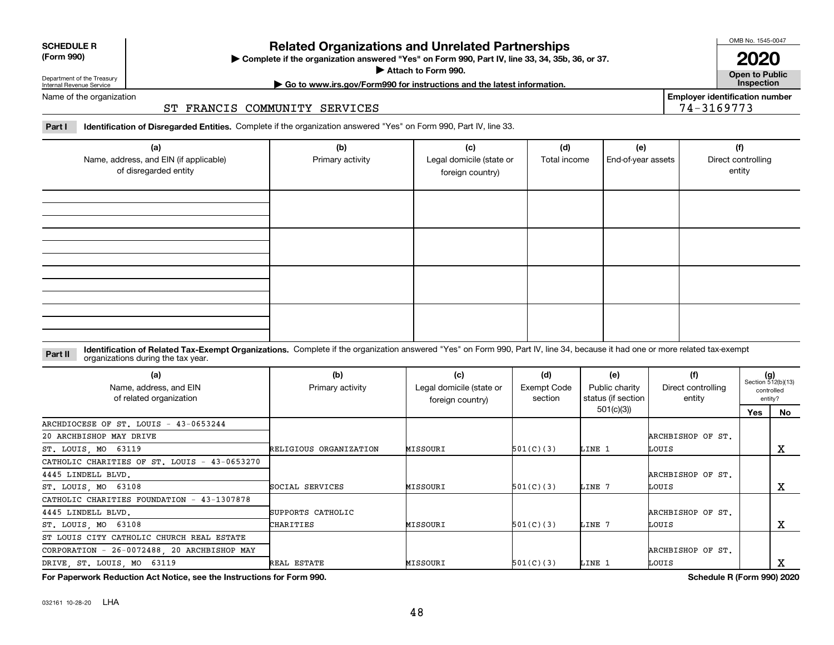| ------<br>$$<br>.<br>.<br>- - -             |                   |          |           |        |                   |  |  |
|---------------------------------------------|-------------------|----------|-----------|--------|-------------------|--|--|
| DRIVE ST. LOUIS MO 63119                    | REAL ESTATE       | MISSOURI | 501(C)(3) | LINE 3 | LOUIS             |  |  |
| CORPORATION - 26-0072488, 20 ARCHBISHOP MAY |                   |          |           |        | ARCHBISHOP OF ST. |  |  |
| ST LOUIS CITY CATHOLIC CHURCH REAL ESTATE   |                   |          |           |        |                   |  |  |
| ST. LOUIS, MO 63108                         | CHARITIES         | MISSOURI | 501(C)(3) | LINE   | LOUIS             |  |  |
| 4445 LINDELL BLVD.                          | SUPPORTS CATHOLIC |          |           |        | ARCHBISHOP OF ST. |  |  |
| CATHOLIC CHARITIES FOUNDATION - 43-1307878  |                   |          |           |        |                   |  |  |

MISSOURI

MISSOURI

**For Paperwork Reduction Act Notice, see the Instructions for Form 990. Schedule R (Form 990) 2020**

**(a)**

Name, address, and EIN of related organization

CATHOLIC CHARITIES OF ST. LOUIS - 43-0653270

ARCHDIOCESE OF ST. LOUIS - 43-0653244

032161 10-28-20 LHA

ST. LOUIS, MO 63119

20 ARCHBISHOP MAY DRIVE

ST. LOUIS, MO 63108

4445 LINDELL BLVD.

## **Related Organizations and Unrelated Partnerships**

**Complete if the organization answered "Yes" on Form 990, Part IV, line 33, 34, 35b, 36, or 37.** |

**Attach to Form 990.**  |

**2020**

**Open to Public | Go to www.irs.gov/Form990 for instructions and the latest information. Inspection**

**Employer identification number**

74-3169773

Department of the Treasury Internal Revenue Service Name of the organization

**SCHEDULE R (Form 990)**

### ST FRANCIS COMMUNITY SERVICES

**Part I Identification of Disregarded Entities.**  Complete if the organization answered "Yes" on Form 990, Part IV, line 33.

| (a)<br>Name, address, and EIN (if applicable)<br>of disregarded entity | (b)<br>Primary activity | (c)<br>Legal domicile (state or<br>foreign country) | (d)<br>Total income | (e)<br>End-of-year assets | (f)<br>Direct controlling<br>entity |
|------------------------------------------------------------------------|-------------------------|-----------------------------------------------------|---------------------|---------------------------|-------------------------------------|
|                                                                        |                         |                                                     |                     |                           |                                     |
|                                                                        |                         |                                                     |                     |                           |                                     |
|                                                                        |                         |                                                     |                     |                           |                                     |
|                                                                        |                         |                                                     |                     |                           |                                     |

#### **Identification of Related Tax-Exempt Organizations.** Complete if the organization answered "Yes" on Form 990, Part IV, line 34, because it had one or more related tax-exempt **Part II** organizations during the tax year.

RELIGIOUS ORGANIZATION

SOCIAL SERVICES

Primary activity **Legal domicile (state or** 

**(b) (c) (d) (e) (f) (g)**

Exempt Code section

501(C)(3)

501(C)(3)

Public charity status (if section 501(c)(3))

LINE 1

LINE 7

foreign country)

 $(g)$ <br>Section 512(b)(13) controlledentity?

**No**

X

X

**Yes**

Direct controlling entity

ARCHBISHOP OF ST.

ARCHBISHOP OF ST.

LOUIS

LOUIS

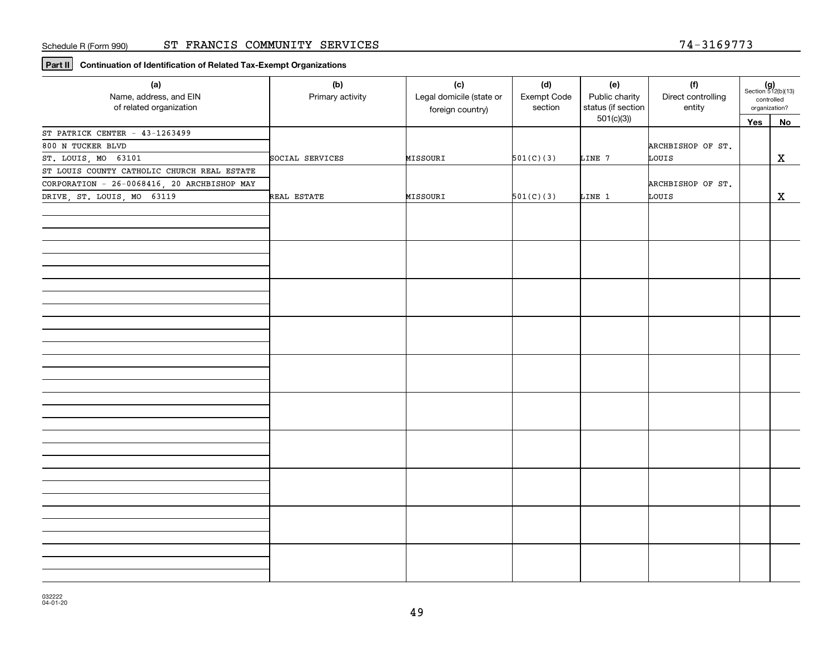**Part II Continuation of Identification of Related Tax-Exempt Organizations**

| (a)<br>Name, address, and EIN<br>of related organization | (b)<br>Primary activity | (c)<br>Legal domicile (state or<br>foreign country) | (d)<br>Exempt Code<br>section | (e)<br>Public charity<br>status (if section | (f)<br>Direct controlling<br>entity | $(g)$<br>Section 512(b)(13)<br>controlled<br>organization? |             |
|----------------------------------------------------------|-------------------------|-----------------------------------------------------|-------------------------------|---------------------------------------------|-------------------------------------|------------------------------------------------------------|-------------|
|                                                          |                         |                                                     |                               | 501(c)(3)                                   |                                     | Yes                                                        | No          |
| ST PATRICK CENTER - 43-1263499                           |                         |                                                     |                               |                                             |                                     |                                                            |             |
| 800 N TUCKER BLVD                                        |                         |                                                     |                               |                                             | ARCHBISHOP OF ST.                   |                                                            |             |
| ST. LOUIS, MO 63101                                      | SOCIAL SERVICES         | MISSOURI                                            | 501(C)(3)                     | LINE 7                                      | LOUIS                               |                                                            | $\mathbf X$ |
| ST LOUIS COUNTY CATHOLIC CHURCH REAL ESTATE              |                         |                                                     |                               |                                             |                                     |                                                            |             |
| CORPORATION - 26-0068416, 20 ARCHBISHOP MAY              |                         |                                                     |                               |                                             | ARCHBISHOP OF ST.                   |                                                            |             |
| DRIVE, ST. LOUIS, MO 63119                               | REAL ESTATE             | MISSOURI                                            | 501(C)(3)                     | LINE 1                                      | LOUIS                               |                                                            | $\mathbf x$ |
|                                                          |                         |                                                     |                               |                                             |                                     |                                                            |             |
|                                                          |                         |                                                     |                               |                                             |                                     |                                                            |             |
|                                                          |                         |                                                     |                               |                                             |                                     |                                                            |             |
|                                                          |                         |                                                     |                               |                                             |                                     |                                                            |             |
|                                                          |                         |                                                     |                               |                                             |                                     |                                                            |             |
|                                                          |                         |                                                     |                               |                                             |                                     |                                                            |             |
|                                                          |                         |                                                     |                               |                                             |                                     |                                                            |             |
|                                                          |                         |                                                     |                               |                                             |                                     |                                                            |             |
|                                                          |                         |                                                     |                               |                                             |                                     |                                                            |             |
|                                                          |                         |                                                     |                               |                                             |                                     |                                                            |             |
|                                                          |                         |                                                     |                               |                                             |                                     |                                                            |             |
|                                                          |                         |                                                     |                               |                                             |                                     |                                                            |             |
|                                                          |                         |                                                     |                               |                                             |                                     |                                                            |             |
|                                                          |                         |                                                     |                               |                                             |                                     |                                                            |             |
|                                                          |                         |                                                     |                               |                                             |                                     |                                                            |             |
|                                                          |                         |                                                     |                               |                                             |                                     |                                                            |             |
|                                                          |                         |                                                     |                               |                                             |                                     |                                                            |             |
|                                                          |                         |                                                     |                               |                                             |                                     |                                                            |             |
|                                                          |                         |                                                     |                               |                                             |                                     |                                                            |             |
|                                                          |                         |                                                     |                               |                                             |                                     |                                                            |             |
|                                                          |                         |                                                     |                               |                                             |                                     |                                                            |             |
|                                                          |                         |                                                     |                               |                                             |                                     |                                                            |             |
|                                                          |                         |                                                     |                               |                                             |                                     |                                                            |             |
|                                                          |                         |                                                     |                               |                                             |                                     |                                                            |             |
|                                                          |                         |                                                     |                               |                                             |                                     |                                                            |             |
|                                                          |                         |                                                     |                               |                                             |                                     |                                                            |             |
|                                                          |                         |                                                     |                               |                                             |                                     |                                                            |             |
|                                                          |                         |                                                     |                               |                                             |                                     |                                                            |             |
|                                                          |                         |                                                     |                               |                                             |                                     |                                                            |             |
|                                                          |                         |                                                     |                               |                                             |                                     |                                                            |             |
|                                                          |                         |                                                     |                               |                                             |                                     |                                                            |             |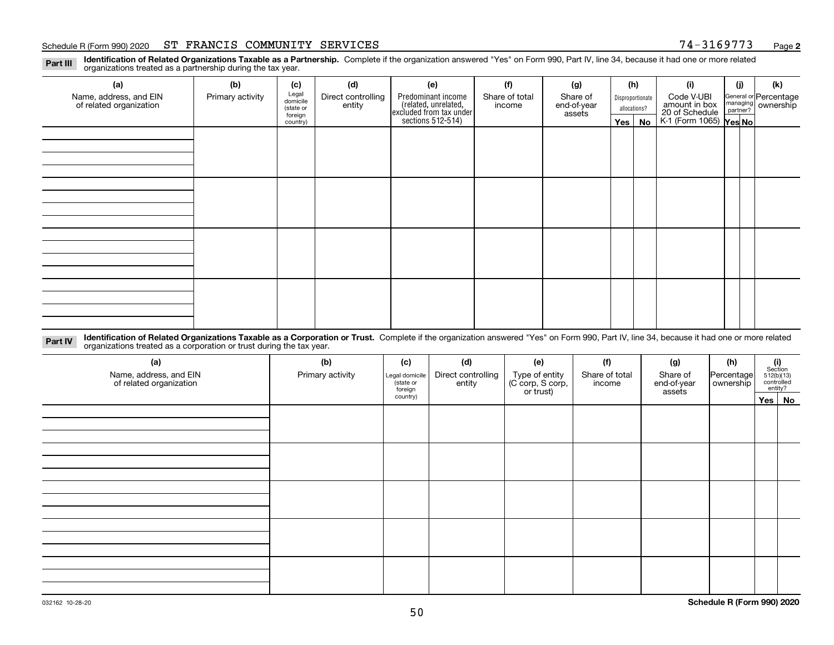#### Schedule R (Form 990) 2020 ST FRANCIS COMMUNITY SERVICES 7 4-3169773 <sub>Page</sub>

**2**

**Identification of Related Organizations Taxable as a Partnership.** Complete if the organization answered "Yes" on Form 990, Part IV, line 34, because it had one or more related **Part III** organizations treated as a partnership during the tax year.

| (a)                                               | (b)              | (c)                  | (d)                                                                                                                           | (e)                                                                 | (f)                         | (g)     |                                                           | (h) | (i)                                      | (j) | (k) |  |  |  |  |  |  |  |  |  |  |
|---------------------------------------------------|------------------|----------------------|-------------------------------------------------------------------------------------------------------------------------------|---------------------------------------------------------------------|-----------------------------|---------|-----------------------------------------------------------|-----|------------------------------------------|-----|-----|--|--|--|--|--|--|--|--|--|--|
| Name, address, and EIN<br>of related organization | Primary activity | Legal<br>domicile    | Predominant income<br>Share of<br>Direct controlling<br>Share of total<br>Disproportionate<br>entity<br>end-of-year<br>income |                                                                     | Code V-UBI<br>amount in box |         | General or Percentage<br>managing<br>partner?<br>partner? |     |                                          |     |     |  |  |  |  |  |  |  |  |  |  |
|                                                   |                  | (state or<br>foreign |                                                                                                                               |                                                                     |                             | assets  | allocations?                                              |     |                                          |     |     |  |  |  |  |  |  |  |  |  |  |
|                                                   |                  | country)             |                                                                                                                               | related, unrelated,<br>excluded from tax under<br>sections 512-514) |                             | Yes $ $ |                                                           | No  | 20 of Schedule<br>K-1 (Form 1065) Yes No |     |     |  |  |  |  |  |  |  |  |  |  |
|                                                   |                  |                      |                                                                                                                               |                                                                     |                             |         |                                                           |     |                                          |     |     |  |  |  |  |  |  |  |  |  |  |
|                                                   |                  |                      |                                                                                                                               |                                                                     |                             |         |                                                           |     |                                          |     |     |  |  |  |  |  |  |  |  |  |  |
|                                                   |                  |                      |                                                                                                                               |                                                                     |                             |         |                                                           |     |                                          |     |     |  |  |  |  |  |  |  |  |  |  |
|                                                   |                  |                      |                                                                                                                               |                                                                     |                             |         |                                                           |     |                                          |     |     |  |  |  |  |  |  |  |  |  |  |
|                                                   |                  |                      |                                                                                                                               |                                                                     |                             |         |                                                           |     |                                          |     |     |  |  |  |  |  |  |  |  |  |  |
|                                                   |                  |                      |                                                                                                                               |                                                                     |                             |         |                                                           |     |                                          |     |     |  |  |  |  |  |  |  |  |  |  |
|                                                   |                  |                      |                                                                                                                               |                                                                     |                             |         |                                                           |     |                                          |     |     |  |  |  |  |  |  |  |  |  |  |
|                                                   |                  |                      |                                                                                                                               |                                                                     |                             |         |                                                           |     |                                          |     |     |  |  |  |  |  |  |  |  |  |  |
|                                                   |                  |                      |                                                                                                                               |                                                                     |                             |         |                                                           |     |                                          |     |     |  |  |  |  |  |  |  |  |  |  |
|                                                   |                  |                      |                                                                                                                               |                                                                     |                             |         |                                                           |     |                                          |     |     |  |  |  |  |  |  |  |  |  |  |
|                                                   |                  |                      |                                                                                                                               |                                                                     |                             |         |                                                           |     |                                          |     |     |  |  |  |  |  |  |  |  |  |  |
|                                                   |                  |                      |                                                                                                                               |                                                                     |                             |         |                                                           |     |                                          |     |     |  |  |  |  |  |  |  |  |  |  |
|                                                   |                  |                      |                                                                                                                               |                                                                     |                             |         |                                                           |     |                                          |     |     |  |  |  |  |  |  |  |  |  |  |
|                                                   |                  |                      |                                                                                                                               |                                                                     |                             |         |                                                           |     |                                          |     |     |  |  |  |  |  |  |  |  |  |  |
|                                                   |                  |                      |                                                                                                                               |                                                                     |                             |         |                                                           |     |                                          |     |     |  |  |  |  |  |  |  |  |  |  |
|                                                   |                  |                      |                                                                                                                               |                                                                     |                             |         |                                                           |     |                                          |     |     |  |  |  |  |  |  |  |  |  |  |
|                                                   |                  |                      |                                                                                                                               |                                                                     |                             |         |                                                           |     |                                          |     |     |  |  |  |  |  |  |  |  |  |  |

**Identification of Related Organizations Taxable as a Corporation or Trust.** Complete if the organization answered "Yes" on Form 990, Part IV, line 34, because it had one or more related **Part IV** organizations treated as a corporation or trust during the tax year.

| (a)<br>Name, address, and EIN<br>of related organization | (b)<br>Primary activity | (c)<br>Legal domicile<br>state or<br>foreign | (d)<br>Direct controlling<br>entity | (e)<br>Type of entity<br>(C corp, S corp,<br>or trust) | (f)<br>Share of total<br>income | (g)<br>Share of<br>end-of-year<br>assets | (h)<br>Percentage<br>ownership | $(i)$ Section<br>512(b)(13)<br>controlled<br>entity? |  |
|----------------------------------------------------------|-------------------------|----------------------------------------------|-------------------------------------|--------------------------------------------------------|---------------------------------|------------------------------------------|--------------------------------|------------------------------------------------------|--|
|                                                          |                         | country)                                     |                                     |                                                        |                                 |                                          |                                | Yes No                                               |  |
|                                                          |                         |                                              |                                     |                                                        |                                 |                                          |                                |                                                      |  |
|                                                          |                         |                                              |                                     |                                                        |                                 |                                          |                                |                                                      |  |
|                                                          |                         |                                              |                                     |                                                        |                                 |                                          |                                |                                                      |  |
|                                                          |                         |                                              |                                     |                                                        |                                 |                                          |                                |                                                      |  |
|                                                          |                         |                                              |                                     |                                                        |                                 |                                          |                                |                                                      |  |
|                                                          |                         |                                              |                                     |                                                        |                                 |                                          |                                |                                                      |  |
|                                                          |                         |                                              |                                     |                                                        |                                 |                                          |                                |                                                      |  |
|                                                          |                         |                                              |                                     |                                                        |                                 |                                          |                                |                                                      |  |
|                                                          |                         |                                              |                                     |                                                        |                                 |                                          |                                |                                                      |  |
|                                                          |                         |                                              |                                     |                                                        |                                 |                                          |                                |                                                      |  |
|                                                          |                         |                                              |                                     |                                                        |                                 |                                          |                                |                                                      |  |
|                                                          |                         |                                              |                                     |                                                        |                                 |                                          |                                |                                                      |  |
|                                                          |                         |                                              |                                     |                                                        |                                 |                                          |                                |                                                      |  |
|                                                          |                         |                                              |                                     |                                                        |                                 |                                          |                                |                                                      |  |
|                                                          |                         |                                              |                                     |                                                        |                                 |                                          |                                |                                                      |  |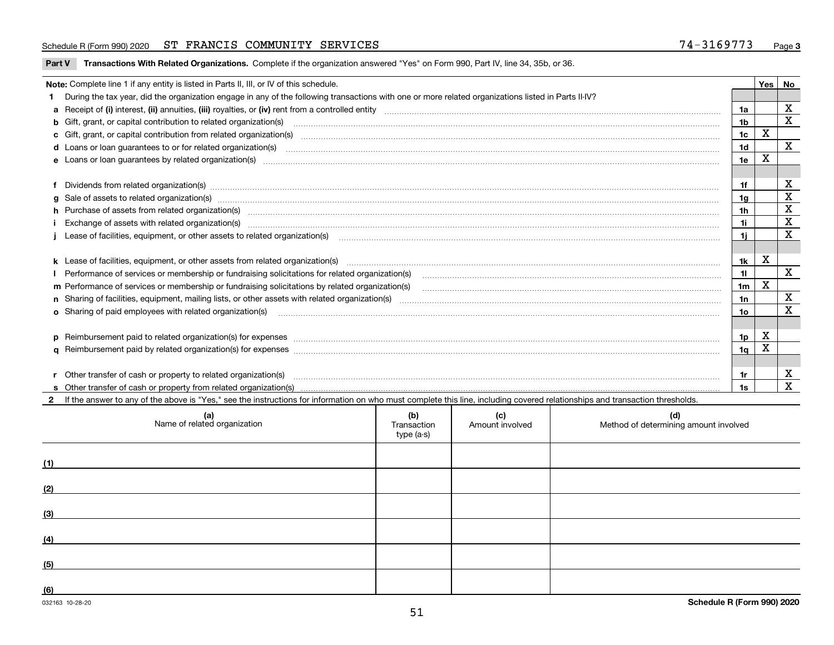#### Schedule R (Form 990) 2020 ST FRANCIS COMMUNITY SERVICES 7 4-3169773 <sub>Page</sub>

| Part V Transactions With Related Organizations. Complete if the organization answered "Yes" on Form 990, Part IV, line 34, 35b, or 36. |  |
|----------------------------------------------------------------------------------------------------------------------------------------|--|
|                                                                                                                                        |  |

|    | Note: Complete line 1 if any entity is listed in Parts II, III, or IV of this schedule.                                                                                                                                        |                 | <b>Yes</b> | No           |
|----|--------------------------------------------------------------------------------------------------------------------------------------------------------------------------------------------------------------------------------|-----------------|------------|--------------|
| 1. | During the tax year, did the organization engage in any of the following transactions with one or more related organizations listed in Parts II-IV?                                                                            |                 |            |              |
|    |                                                                                                                                                                                                                                | 1a              |            | $\mathbf x$  |
|    | b Gift, grant, or capital contribution to related organization(s) manufactured and contribution to related organization(s)                                                                                                     | 1b              |            | X            |
|    | c Gift, grant, or capital contribution from related organization(s) material content and contribution from related organization(s) material content and content and contribution from related organization(s) material content | 1 <sub>c</sub>  | X          |              |
|    |                                                                                                                                                                                                                                | 1 <sub>d</sub>  |            | $\mathbf{x}$ |
|    |                                                                                                                                                                                                                                | 1e              | X          |              |
|    |                                                                                                                                                                                                                                |                 |            |              |
|    | Dividends from related organization(s) material contents and content and content of the content of the content of the content of the content of the content of the content of the content of the content of the content of the | 1f              |            | х            |
|    |                                                                                                                                                                                                                                | 1g              |            | х            |
|    | h Purchase of assets from related organization(s) manufactured and content to content the content of assets from related organization(s)                                                                                       | 1h              |            | $\mathbf X$  |
|    | Exchange of assets with related organization(s) www.wallen.com/www.wallen.com/www.wallen.com/www.wallen.com/www.wallen.com/www.wallen.com/www.wallen.com/www.wallen.com/www.wallen.com/www.wallen.com/www.wallen.com/www.walle | 11              |            | X            |
|    | Lease of facilities, equipment, or other assets to related organization(s) manufactured content and content and content and content and content and content and content and content and content and content and content and co | 1i.             |            | X            |
|    |                                                                                                                                                                                                                                |                 |            |              |
|    |                                                                                                                                                                                                                                | 1k              | X          |              |
|    | Performance of services or membership or fundraising solicitations for related organization(s) [10] process content to the services or membership or fundraising solicitations for related organization(s) [10] process conten | 11              |            | $\mathbf{x}$ |
|    | m Performance of services or membership or fundraising solicitations by related organization(s)                                                                                                                                | 1 <sub>m</sub>  | X          |              |
|    |                                                                                                                                                                                                                                | 1n              |            | X            |
|    | <b>o</b> Sharing of paid employees with related organization(s)                                                                                                                                                                | 10 <sub>o</sub> |            | X            |
|    |                                                                                                                                                                                                                                |                 |            |              |
|    | p Reimbursement paid to related organization(s) for expenses [11111] and the content of the content of the content of the content of the content of the content of the content of the content of the content of the content of | 1p              | X          |              |
|    |                                                                                                                                                                                                                                | 1 <sub>q</sub>  | X          |              |
|    |                                                                                                                                                                                                                                |                 |            |              |
|    | Other transfer of cash or property to related organization(s)                                                                                                                                                                  | 1r              |            | X            |
|    |                                                                                                                                                                                                                                | 1s              |            | $\mathbf{x}$ |
|    | 2 If the answer to any of the above is "Yes," see the instructions for information on who must complete this line, including covered relationships and transaction thresholds.                                                 |                 |            |              |

| (a)<br>Name of related organization | (b)<br>Transaction<br>type (a-s) | (c)<br>Amount involved | (d)<br>Method of determining amount involved |
|-------------------------------------|----------------------------------|------------------------|----------------------------------------------|
| (1)                                 |                                  |                        |                                              |
| (2)                                 |                                  |                        |                                              |
| (3)                                 |                                  |                        |                                              |
| (4)                                 |                                  |                        |                                              |
| (5)                                 |                                  |                        |                                              |
| (6)                                 |                                  |                        |                                              |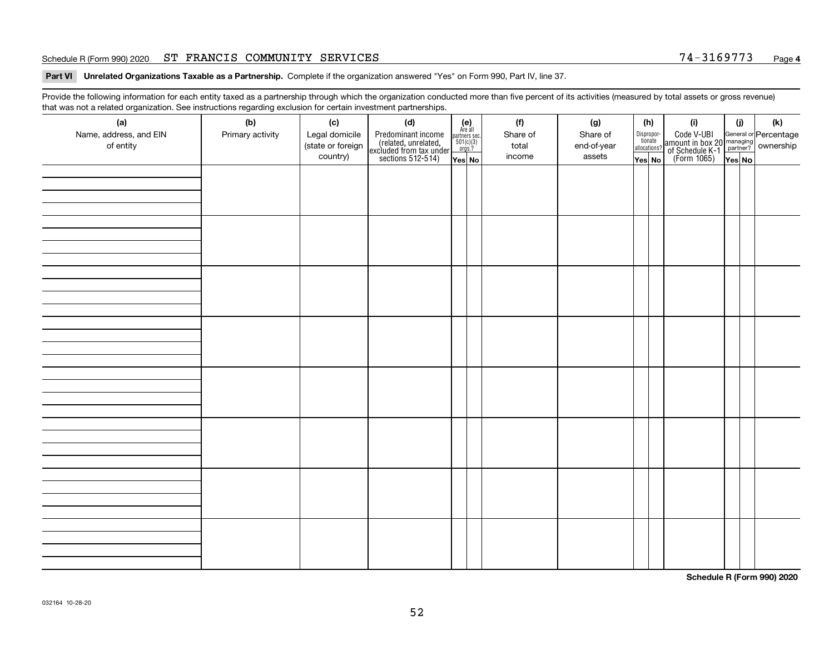#### Schedule R (Form 990) 2020 ST FRANCIS COMMUNITY SERVICES 7 4-3169773 <sub>Page</sub>

**Part VI Unrelated Organizations Taxable as a Partnership. Complete if the organization answered "Yes" on Form 990, Part IV, line 37.** 

Provide the following information for each entity taxed as a partnership through which the organization conducted more than five percent of its activities (measured by total assets or gross revenue) that was not a related organization. See instructions regarding exclusion for certain investment partnerships.

| ັ                      | ັ<br>ັ           |                   |                                                                                            |                                                                                               |  |          |             |                                  |                                                                                                  |        |     |  |  |  |  |  |  |  |  |  |  |
|------------------------|------------------|-------------------|--------------------------------------------------------------------------------------------|-----------------------------------------------------------------------------------------------|--|----------|-------------|----------------------------------|--------------------------------------------------------------------------------------------------|--------|-----|--|--|--|--|--|--|--|--|--|--|
| (a)                    | (b)              | (c)               | (d)                                                                                        | $(e)$<br>Are all                                                                              |  | (f)      | (g)         | (h)                              | (i)                                                                                              | (i)    | (k) |  |  |  |  |  |  |  |  |  |  |
| Name, address, and EIN | Primary activity | Legal domicile    |                                                                                            |                                                                                               |  | Share of | Share of    |                                  |                                                                                                  |        |     |  |  |  |  |  |  |  |  |  |  |
| of entity              |                  | (state or foreign | Predominant income<br>(related, unrelated,<br>excluded from tax under<br>sections 512-514) | $\begin{array}{c}\n\text{partners} & \text{sec.} \\ 501(c)(3) & \text{orgs.?} \\ \end{array}$ |  | total    | end-of-year | Disproportionate<br>allocations? | Code V-UBI<br>amount in box 20 managing<br>of Schedule K-1<br>(Form 1065)<br>$\overline{Yes}$ No |        |     |  |  |  |  |  |  |  |  |  |  |
|                        |                  | country)          |                                                                                            |                                                                                               |  | income   | assets      |                                  |                                                                                                  |        |     |  |  |  |  |  |  |  |  |  |  |
|                        |                  |                   |                                                                                            | Yes No                                                                                        |  |          |             | Yes No                           |                                                                                                  | Yes No |     |  |  |  |  |  |  |  |  |  |  |
|                        |                  |                   |                                                                                            |                                                                                               |  |          |             |                                  |                                                                                                  |        |     |  |  |  |  |  |  |  |  |  |  |
|                        |                  |                   |                                                                                            |                                                                                               |  |          |             |                                  |                                                                                                  |        |     |  |  |  |  |  |  |  |  |  |  |
|                        |                  |                   |                                                                                            |                                                                                               |  |          |             |                                  |                                                                                                  |        |     |  |  |  |  |  |  |  |  |  |  |
|                        |                  |                   |                                                                                            |                                                                                               |  |          |             |                                  |                                                                                                  |        |     |  |  |  |  |  |  |  |  |  |  |
|                        |                  |                   |                                                                                            |                                                                                               |  |          |             |                                  |                                                                                                  |        |     |  |  |  |  |  |  |  |  |  |  |
|                        |                  |                   |                                                                                            |                                                                                               |  |          |             |                                  |                                                                                                  |        |     |  |  |  |  |  |  |  |  |  |  |
|                        |                  |                   |                                                                                            |                                                                                               |  |          |             |                                  |                                                                                                  |        |     |  |  |  |  |  |  |  |  |  |  |
|                        |                  |                   |                                                                                            |                                                                                               |  |          |             |                                  |                                                                                                  |        |     |  |  |  |  |  |  |  |  |  |  |
|                        |                  |                   |                                                                                            |                                                                                               |  |          |             |                                  |                                                                                                  |        |     |  |  |  |  |  |  |  |  |  |  |
|                        |                  |                   |                                                                                            |                                                                                               |  |          |             |                                  |                                                                                                  |        |     |  |  |  |  |  |  |  |  |  |  |
|                        |                  |                   |                                                                                            |                                                                                               |  |          |             |                                  |                                                                                                  |        |     |  |  |  |  |  |  |  |  |  |  |
|                        |                  |                   |                                                                                            |                                                                                               |  |          |             |                                  |                                                                                                  |        |     |  |  |  |  |  |  |  |  |  |  |
|                        |                  |                   |                                                                                            |                                                                                               |  |          |             |                                  |                                                                                                  |        |     |  |  |  |  |  |  |  |  |  |  |
|                        |                  |                   |                                                                                            |                                                                                               |  |          |             |                                  |                                                                                                  |        |     |  |  |  |  |  |  |  |  |  |  |
|                        |                  |                   |                                                                                            |                                                                                               |  |          |             |                                  |                                                                                                  |        |     |  |  |  |  |  |  |  |  |  |  |
|                        |                  |                   |                                                                                            |                                                                                               |  |          |             |                                  |                                                                                                  |        |     |  |  |  |  |  |  |  |  |  |  |
|                        |                  |                   |                                                                                            |                                                                                               |  |          |             |                                  |                                                                                                  |        |     |  |  |  |  |  |  |  |  |  |  |
|                        |                  |                   |                                                                                            |                                                                                               |  |          |             |                                  |                                                                                                  |        |     |  |  |  |  |  |  |  |  |  |  |
|                        |                  |                   |                                                                                            |                                                                                               |  |          |             |                                  |                                                                                                  |        |     |  |  |  |  |  |  |  |  |  |  |
|                        |                  |                   |                                                                                            |                                                                                               |  |          |             |                                  |                                                                                                  |        |     |  |  |  |  |  |  |  |  |  |  |
|                        |                  |                   |                                                                                            |                                                                                               |  |          |             |                                  |                                                                                                  |        |     |  |  |  |  |  |  |  |  |  |  |
|                        |                  |                   |                                                                                            |                                                                                               |  |          |             |                                  |                                                                                                  |        |     |  |  |  |  |  |  |  |  |  |  |
|                        |                  |                   |                                                                                            |                                                                                               |  |          |             |                                  |                                                                                                  |        |     |  |  |  |  |  |  |  |  |  |  |
|                        |                  |                   |                                                                                            |                                                                                               |  |          |             |                                  |                                                                                                  |        |     |  |  |  |  |  |  |  |  |  |  |
|                        |                  |                   |                                                                                            |                                                                                               |  |          |             |                                  |                                                                                                  |        |     |  |  |  |  |  |  |  |  |  |  |
|                        |                  |                   |                                                                                            |                                                                                               |  |          |             |                                  |                                                                                                  |        |     |  |  |  |  |  |  |  |  |  |  |
|                        |                  |                   |                                                                                            |                                                                                               |  |          |             |                                  |                                                                                                  |        |     |  |  |  |  |  |  |  |  |  |  |
|                        |                  |                   |                                                                                            |                                                                                               |  |          |             |                                  |                                                                                                  |        |     |  |  |  |  |  |  |  |  |  |  |
|                        |                  |                   |                                                                                            |                                                                                               |  |          |             |                                  |                                                                                                  |        |     |  |  |  |  |  |  |  |  |  |  |
|                        |                  |                   |                                                                                            |                                                                                               |  |          |             |                                  |                                                                                                  |        |     |  |  |  |  |  |  |  |  |  |  |
|                        |                  |                   |                                                                                            |                                                                                               |  |          |             |                                  |                                                                                                  |        |     |  |  |  |  |  |  |  |  |  |  |
|                        |                  |                   |                                                                                            |                                                                                               |  |          |             |                                  |                                                                                                  |        |     |  |  |  |  |  |  |  |  |  |  |
|                        |                  |                   |                                                                                            |                                                                                               |  |          |             |                                  |                                                                                                  |        |     |  |  |  |  |  |  |  |  |  |  |
|                        |                  |                   |                                                                                            |                                                                                               |  |          |             |                                  |                                                                                                  |        |     |  |  |  |  |  |  |  |  |  |  |
|                        |                  |                   |                                                                                            |                                                                                               |  |          |             |                                  |                                                                                                  |        |     |  |  |  |  |  |  |  |  |  |  |
|                        |                  |                   |                                                                                            |                                                                                               |  |          |             |                                  |                                                                                                  |        |     |  |  |  |  |  |  |  |  |  |  |
|                        |                  |                   |                                                                                            |                                                                                               |  |          |             |                                  |                                                                                                  |        |     |  |  |  |  |  |  |  |  |  |  |
|                        |                  |                   |                                                                                            |                                                                                               |  |          |             |                                  |                                                                                                  |        |     |  |  |  |  |  |  |  |  |  |  |
|                        |                  |                   |                                                                                            |                                                                                               |  |          |             |                                  |                                                                                                  |        |     |  |  |  |  |  |  |  |  |  |  |
|                        |                  |                   |                                                                                            |                                                                                               |  |          |             |                                  |                                                                                                  |        |     |  |  |  |  |  |  |  |  |  |  |
|                        |                  |                   |                                                                                            |                                                                                               |  |          |             |                                  |                                                                                                  |        |     |  |  |  |  |  |  |  |  |  |  |
|                        |                  |                   |                                                                                            |                                                                                               |  |          |             |                                  |                                                                                                  |        |     |  |  |  |  |  |  |  |  |  |  |

**Schedule R (Form 990) 2020**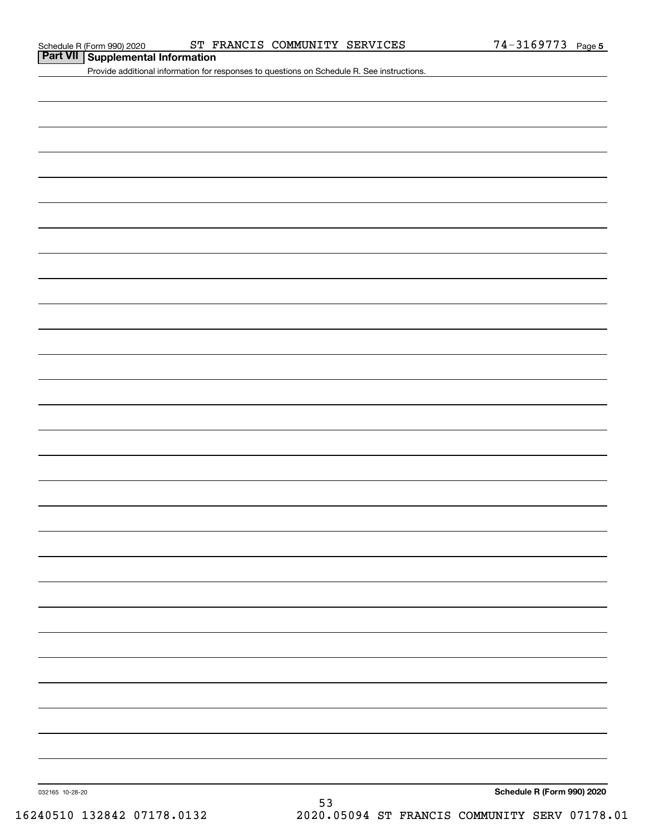#### Schedule R (Form 990) 2020 ST FRANCIS COMMUNITY SERVICES 74-3169773 Page

**Part VII Supplemental Information**

Provide additional information for responses to questions on Schedule R. See instructions.

032165 10-28-20